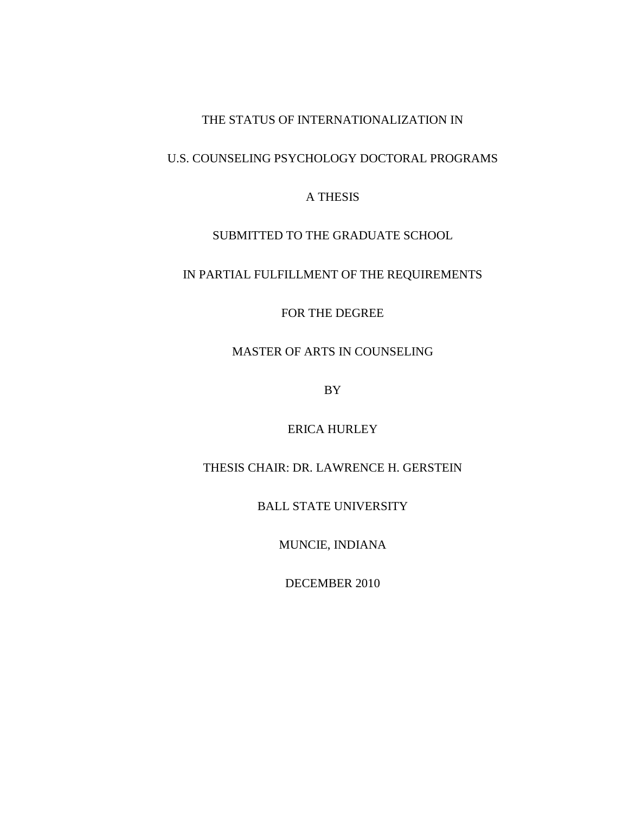# THE STATUS OF INTERNATIONALIZATION IN

## U.S. COUNSELING PSYCHOLOGY DOCTORAL PROGRAMS

### A THESIS

### SUBMITTED TO THE GRADUATE SCHOOL

# IN PARTIAL FULFILLMENT OF THE REQUIREMENTS

### FOR THE DEGREE

# MASTER OF ARTS IN COUNSELING

BY

### ERICA HURLEY

## THESIS CHAIR: DR. LAWRENCE H. GERSTEIN

BALL STATE UNIVERSITY

MUNCIE, INDIANA

DECEMBER 2010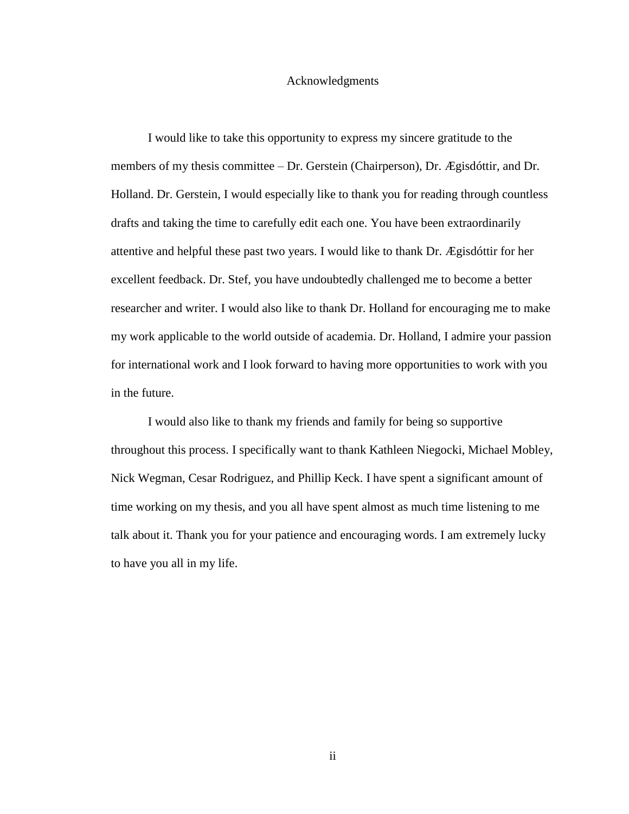#### Acknowledgments

I would like to take this opportunity to express my sincere gratitude to the members of my thesis committee – Dr. Gerstein (Chairperson), Dr. Ægisdóttir, and Dr. Holland. Dr. Gerstein, I would especially like to thank you for reading through countless drafts and taking the time to carefully edit each one. You have been extraordinarily attentive and helpful these past two years. I would like to thank Dr. Ægisdóttir for her excellent feedback. Dr. Stef, you have undoubtedly challenged me to become a better researcher and writer. I would also like to thank Dr. Holland for encouraging me to make my work applicable to the world outside of academia. Dr. Holland, I admire your passion for international work and I look forward to having more opportunities to work with you in the future.

I would also like to thank my friends and family for being so supportive throughout this process. I specifically want to thank Kathleen Niegocki, Michael Mobley, Nick Wegman, Cesar Rodriguez, and Phillip Keck. I have spent a significant amount of time working on my thesis, and you all have spent almost as much time listening to me talk about it. Thank you for your patience and encouraging words. I am extremely lucky to have you all in my life.

ii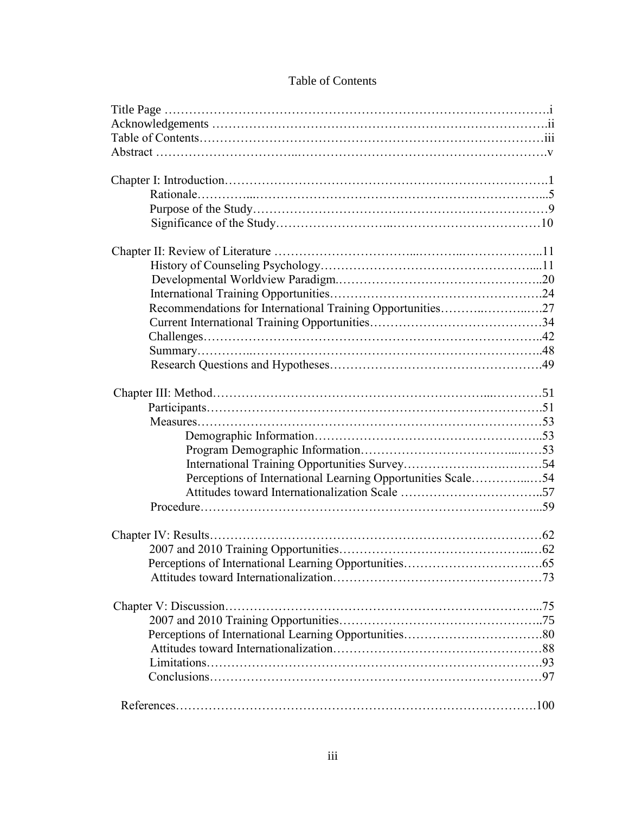| Recommendations for International Training Opportunities27  |  |
|-------------------------------------------------------------|--|
|                                                             |  |
|                                                             |  |
|                                                             |  |
|                                                             |  |
|                                                             |  |
|                                                             |  |
|                                                             |  |
|                                                             |  |
|                                                             |  |
|                                                             |  |
| Perceptions of International Learning Opportunities Scale54 |  |
|                                                             |  |
|                                                             |  |
|                                                             |  |
|                                                             |  |
|                                                             |  |
|                                                             |  |
|                                                             |  |
|                                                             |  |
|                                                             |  |
|                                                             |  |
|                                                             |  |
|                                                             |  |
|                                                             |  |
|                                                             |  |

### Table of Contents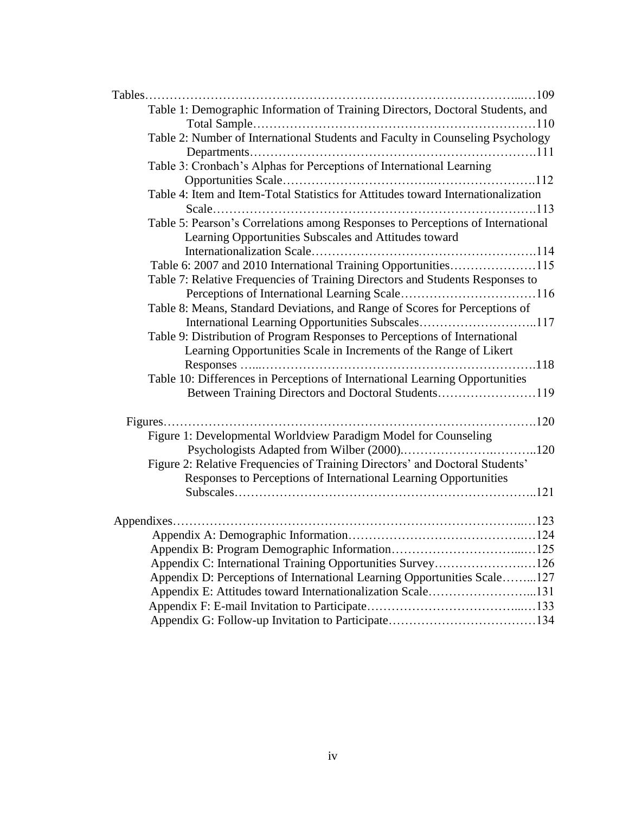| Table 1: Demographic Information of Training Directors, Doctoral Students, and    |  |
|-----------------------------------------------------------------------------------|--|
|                                                                                   |  |
| Table 2: Number of International Students and Faculty in Counseling Psychology    |  |
|                                                                                   |  |
| Table 3: Cronbach's Alphas for Perceptions of International Learning              |  |
|                                                                                   |  |
| Table 4: Item and Item-Total Statistics for Attitudes toward Internationalization |  |
|                                                                                   |  |
| Table 5: Pearson's Correlations among Responses to Perceptions of International   |  |
| Learning Opportunities Subscales and Attitudes toward                             |  |
|                                                                                   |  |
| Table 6: 2007 and 2010 International Training Opportunities115                    |  |
| Table 7: Relative Frequencies of Training Directors and Students Responses to     |  |
|                                                                                   |  |
| Table 8: Means, Standard Deviations, and Range of Scores for Perceptions of       |  |
| International Learning Opportunities Subscales117                                 |  |
| Table 9: Distribution of Program Responses to Perceptions of International        |  |
| Learning Opportunities Scale in Increments of the Range of Likert                 |  |
|                                                                                   |  |
| Table 10: Differences in Perceptions of International Learning Opportunities      |  |
| Between Training Directors and Doctoral Students119                               |  |
|                                                                                   |  |
|                                                                                   |  |
| Figure 1: Developmental Worldview Paradigm Model for Counseling                   |  |
|                                                                                   |  |
| Figure 2: Relative Frequencies of Training Directors' and Doctoral Students'      |  |
| Responses to Perceptions of International Learning Opportunities                  |  |
|                                                                                   |  |
|                                                                                   |  |
|                                                                                   |  |
|                                                                                   |  |
|                                                                                   |  |
| Appendix C: International Training Opportunities Survey126                        |  |
| Appendix D: Perceptions of International Learning Opportunities Scale127          |  |
| Appendix E: Attitudes toward Internationalization Scale131                        |  |
|                                                                                   |  |
|                                                                                   |  |
|                                                                                   |  |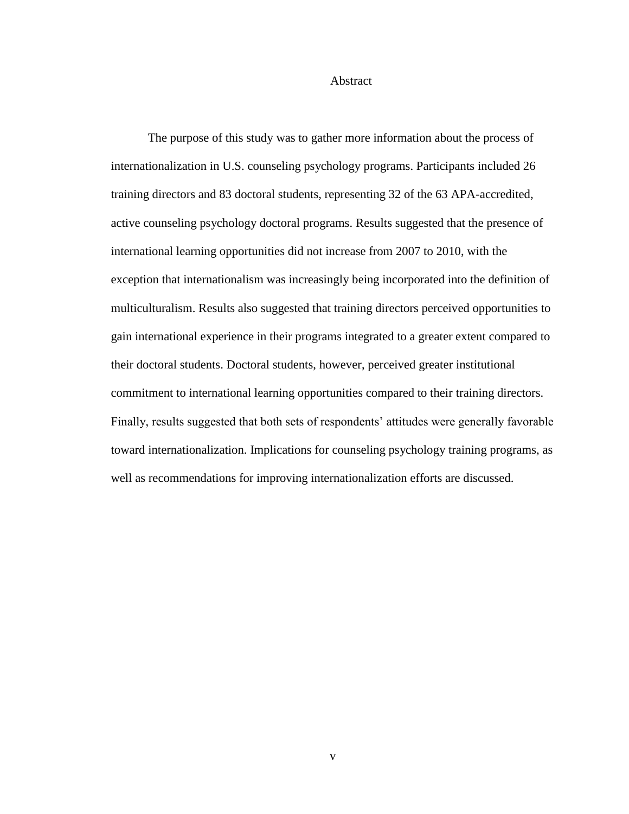#### Abstract

The purpose of this study was to gather more information about the process of internationalization in U.S. counseling psychology programs. Participants included 26 training directors and 83 doctoral students, representing 32 of the 63 APA-accredited, active counseling psychology doctoral programs. Results suggested that the presence of international learning opportunities did not increase from 2007 to 2010, with the exception that internationalism was increasingly being incorporated into the definition of multiculturalism. Results also suggested that training directors perceived opportunities to gain international experience in their programs integrated to a greater extent compared to their doctoral students. Doctoral students, however, perceived greater institutional commitment to international learning opportunities compared to their training directors. Finally, results suggested that both sets of respondents' attitudes were generally favorable toward internationalization. Implications for counseling psychology training programs, as well as recommendations for improving internationalization efforts are discussed.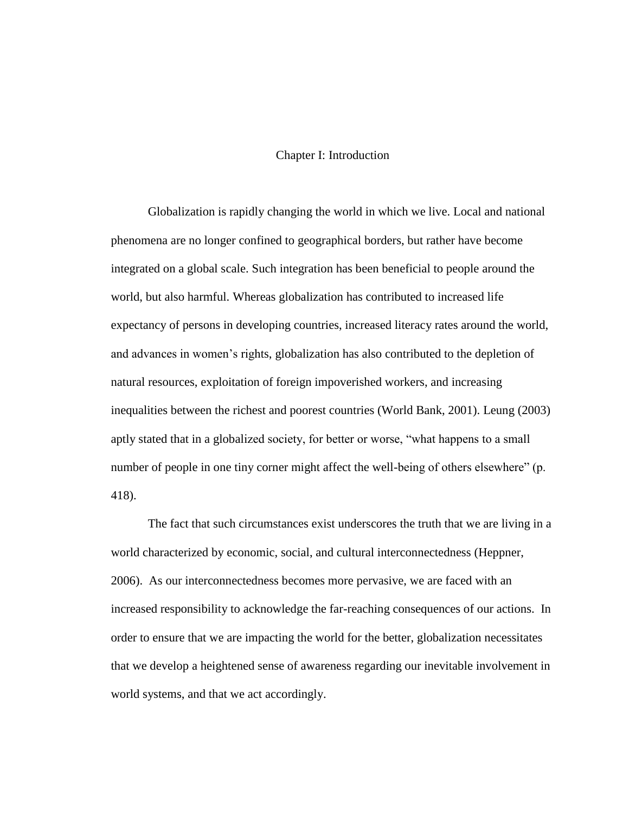#### Chapter I: Introduction

Globalization is rapidly changing the world in which we live. Local and national phenomena are no longer confined to geographical borders, but rather have become integrated on a global scale. Such integration has been beneficial to people around the world, but also harmful. Whereas globalization has contributed to increased life expectancy of persons in developing countries, increased literacy rates around the world, and advances in women's rights, globalization has also contributed to the depletion of natural resources, exploitation of foreign impoverished workers, and increasing inequalities between the richest and poorest countries (World Bank, 2001). Leung (2003) aptly stated that in a globalized society, for better or worse, "what happens to a small number of people in one tiny corner might affect the well-being of others elsewhere" (p. 418).

The fact that such circumstances exist underscores the truth that we are living in a world characterized by economic, social, and cultural interconnectedness (Heppner, 2006). As our interconnectedness becomes more pervasive, we are faced with an increased responsibility to acknowledge the far-reaching consequences of our actions. In order to ensure that we are impacting the world for the better, globalization necessitates that we develop a heightened sense of awareness regarding our inevitable involvement in world systems, and that we act accordingly.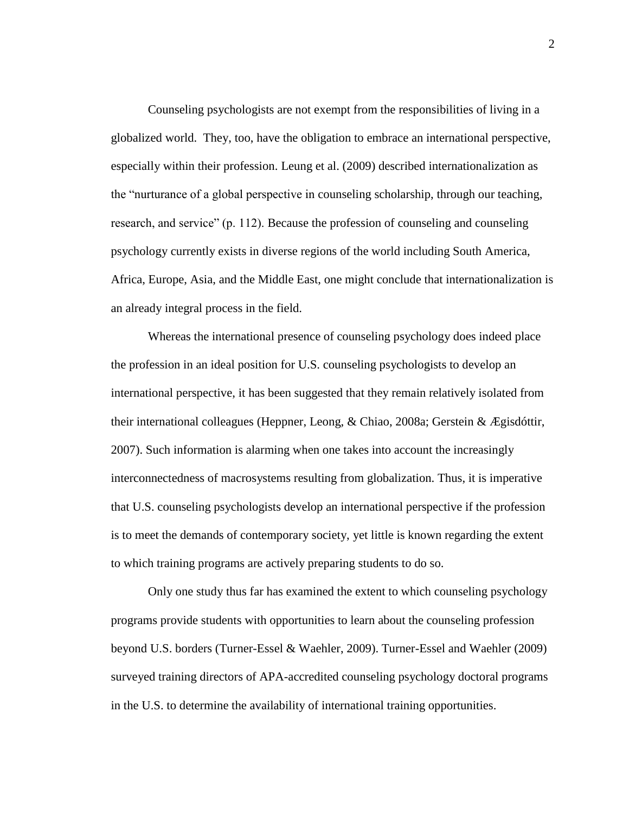Counseling psychologists are not exempt from the responsibilities of living in a globalized world. They, too, have the obligation to embrace an international perspective, especially within their profession. Leung et al. (2009) described internationalization as the "nurturance of a global perspective in counseling scholarship, through our teaching, research, and service" (p. 112). Because the profession of counseling and counseling psychology currently exists in diverse regions of the world including South America, Africa, Europe, Asia, and the Middle East, one might conclude that internationalization is an already integral process in the field.

Whereas the international presence of counseling psychology does indeed place the profession in an ideal position for U.S. counseling psychologists to develop an international perspective, it has been suggested that they remain relatively isolated from their international colleagues (Heppner, Leong, & Chiao, 2008a; Gerstein & Ægisdóttir, 2007). Such information is alarming when one takes into account the increasingly interconnectedness of macrosystems resulting from globalization. Thus, it is imperative that U.S. counseling psychologists develop an international perspective if the profession is to meet the demands of contemporary society, yet little is known regarding the extent to which training programs are actively preparing students to do so.

Only one study thus far has examined the extent to which counseling psychology programs provide students with opportunities to learn about the counseling profession beyond U.S. borders (Turner-Essel & Waehler, 2009). Turner-Essel and Waehler (2009) surveyed training directors of APA-accredited counseling psychology doctoral programs in the U.S. to determine the availability of international training opportunities.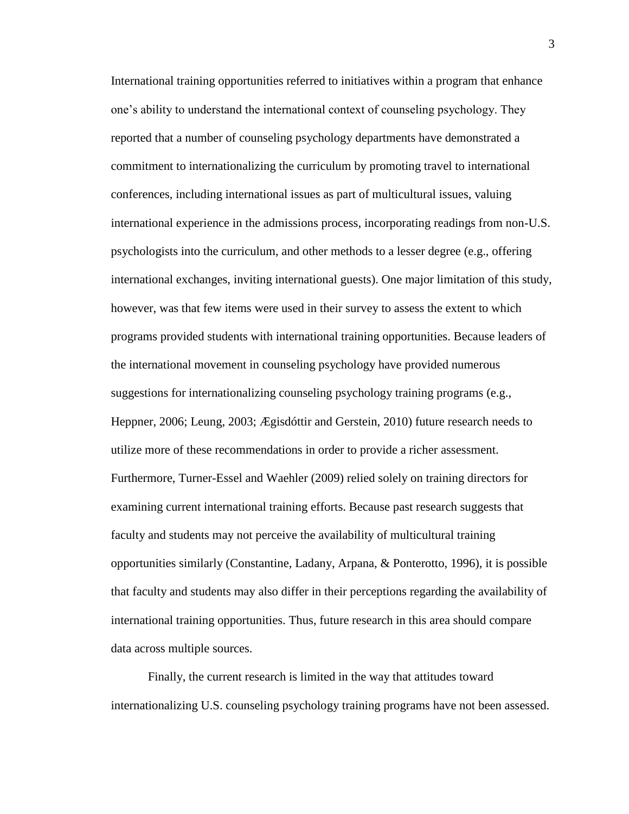International training opportunities referred to initiatives within a program that enhance one's ability to understand the international context of counseling psychology. They reported that a number of counseling psychology departments have demonstrated a commitment to internationalizing the curriculum by promoting travel to international conferences, including international issues as part of multicultural issues, valuing international experience in the admissions process, incorporating readings from non-U.S. psychologists into the curriculum, and other methods to a lesser degree (e.g., offering international exchanges, inviting international guests). One major limitation of this study, however, was that few items were used in their survey to assess the extent to which programs provided students with international training opportunities. Because leaders of the international movement in counseling psychology have provided numerous suggestions for internationalizing counseling psychology training programs (e.g., Heppner, 2006; Leung, 2003; Ægisdóttir and Gerstein, 2010) future research needs to utilize more of these recommendations in order to provide a richer assessment. Furthermore, Turner-Essel and Waehler (2009) relied solely on training directors for examining current international training efforts. Because past research suggests that faculty and students may not perceive the availability of multicultural training opportunities similarly (Constantine, Ladany, Arpana, & Ponterotto, 1996), it is possible that faculty and students may also differ in their perceptions regarding the availability of international training opportunities. Thus, future research in this area should compare data across multiple sources.

Finally, the current research is limited in the way that attitudes toward internationalizing U.S. counseling psychology training programs have not been assessed.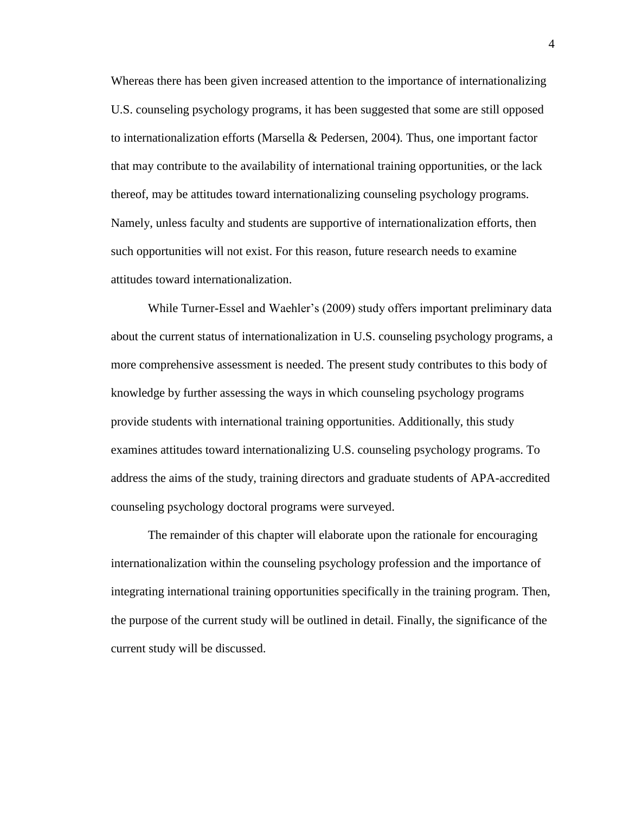Whereas there has been given increased attention to the importance of internationalizing U.S. counseling psychology programs, it has been suggested that some are still opposed to internationalization efforts (Marsella & Pedersen, 2004)*.* Thus, one important factor that may contribute to the availability of international training opportunities, or the lack thereof, may be attitudes toward internationalizing counseling psychology programs. Namely, unless faculty and students are supportive of internationalization efforts, then such opportunities will not exist. For this reason, future research needs to examine attitudes toward internationalization.

While Turner-Essel and Waehler's (2009) study offers important preliminary data about the current status of internationalization in U.S. counseling psychology programs, a more comprehensive assessment is needed. The present study contributes to this body of knowledge by further assessing the ways in which counseling psychology programs provide students with international training opportunities. Additionally, this study examines attitudes toward internationalizing U.S. counseling psychology programs. To address the aims of the study, training directors and graduate students of APA-accredited counseling psychology doctoral programs were surveyed.

The remainder of this chapter will elaborate upon the rationale for encouraging internationalization within the counseling psychology profession and the importance of integrating international training opportunities specifically in the training program. Then, the purpose of the current study will be outlined in detail. Finally, the significance of the current study will be discussed.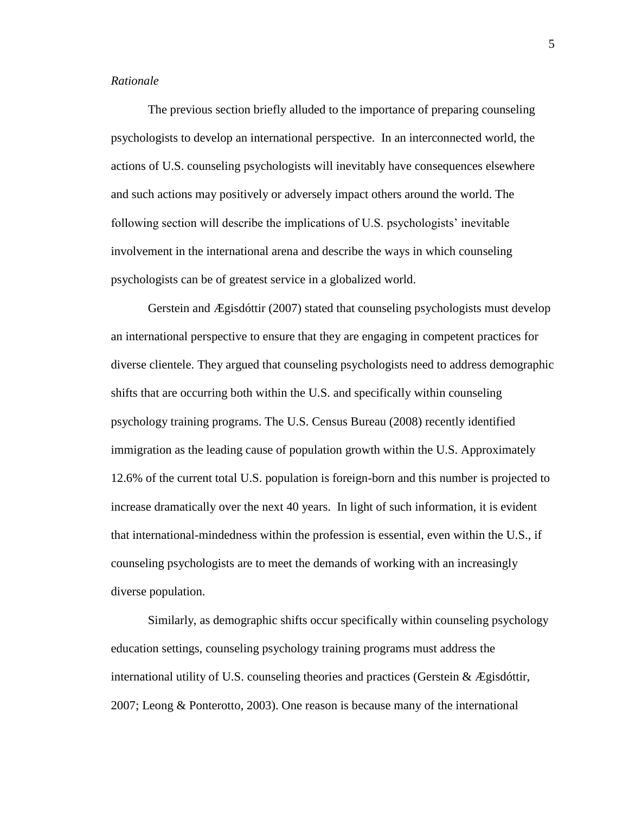#### *Rationale*

The previous section briefly alluded to the importance of preparing counseling psychologists to develop an international perspective. In an interconnected world, the actions of U.S. counseling psychologists will inevitably have consequences elsewhere and such actions may positively or adversely impact others around the world. The following section will describe the implications of U.S. psychologists' inevitable involvement in the international arena and describe the ways in which counseling psychologists can be of greatest service in a globalized world.

Gerstein and Ægisdóttir (2007) stated that counseling psychologists must develop an international perspective to ensure that they are engaging in competent practices for diverse clientele. They argued that counseling psychologists need to address demographic shifts that are occurring both within the U.S. and specifically within counseling psychology training programs. The U.S. Census Bureau (2008) recently identified immigration as the leading cause of population growth within the U.S. Approximately 12.6% of the current total U.S. population is foreign-born and this number is projected to increase dramatically over the next 40 years. In light of such information, it is evident that international-mindedness within the profession is essential, even within the U.S., if counseling psychologists are to meet the demands of working with an increasingly diverse population.

Similarly, as demographic shifts occur specifically within counseling psychology education settings, counseling psychology training programs must address the international utility of U.S. counseling theories and practices (Gerstein  $\&$  Ægisdóttir, 2007; Leong & Ponterotto, 2003). One reason is because many of the international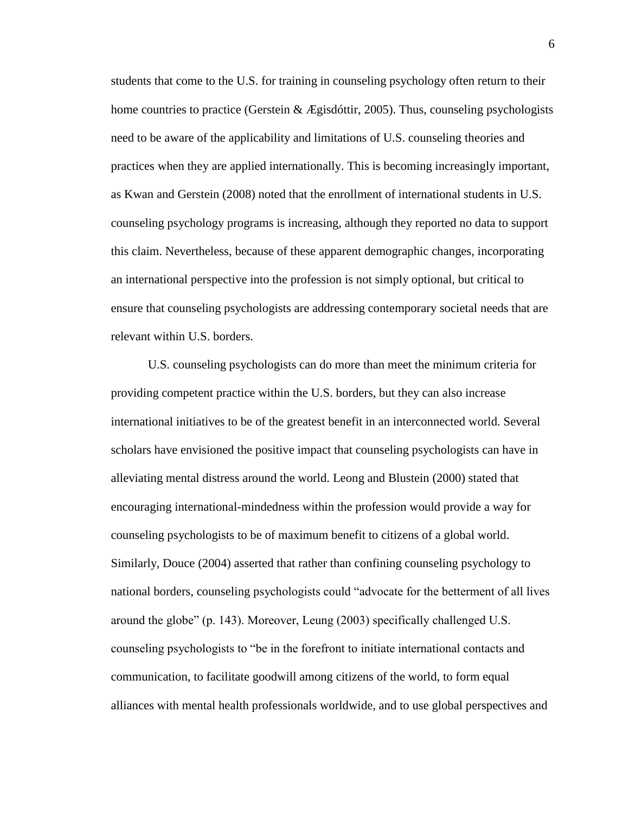students that come to the U.S. for training in counseling psychology often return to their home countries to practice (Gerstein & Ægisdóttir, 2005). Thus, counseling psychologists need to be aware of the applicability and limitations of U.S. counseling theories and practices when they are applied internationally. This is becoming increasingly important, as Kwan and Gerstein (2008) noted that the enrollment of international students in U.S. counseling psychology programs is increasing, although they reported no data to support this claim. Nevertheless, because of these apparent demographic changes, incorporating an international perspective into the profession is not simply optional, but critical to ensure that counseling psychologists are addressing contemporary societal needs that are relevant within U.S. borders.

U.S. counseling psychologists can do more than meet the minimum criteria for providing competent practice within the U.S. borders, but they can also increase international initiatives to be of the greatest benefit in an interconnected world. Several scholars have envisioned the positive impact that counseling psychologists can have in alleviating mental distress around the world. Leong and Blustein (2000) stated that encouraging international-mindedness within the profession would provide a way for counseling psychologists to be of maximum benefit to citizens of a global world. Similarly, Douce (2004) asserted that rather than confining counseling psychology to national borders, counseling psychologists could "advocate for the betterment of all lives around the globe" (p. 143). Moreover, Leung (2003) specifically challenged U.S. counseling psychologists to "be in the forefront to initiate international contacts and communication, to facilitate goodwill among citizens of the world, to form equal alliances with mental health professionals worldwide, and to use global perspectives and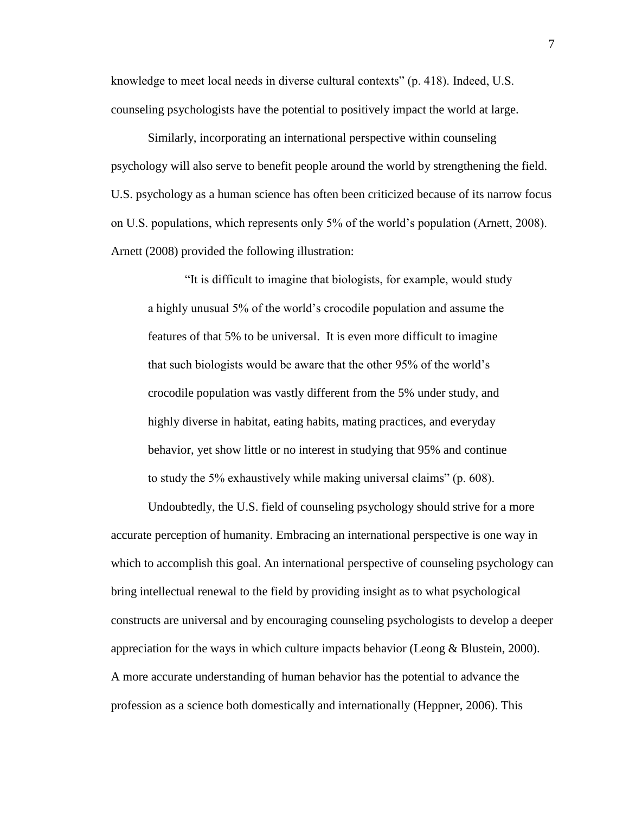knowledge to meet local needs in diverse cultural contexts" (p. 418). Indeed, U.S. counseling psychologists have the potential to positively impact the world at large.

Similarly, incorporating an international perspective within counseling psychology will also serve to benefit people around the world by strengthening the field. U.S. psychology as a human science has often been criticized because of its narrow focus on U.S. populations, which represents only 5% of the world's population (Arnett, 2008). Arnett (2008) provided the following illustration:

"It is difficult to imagine that biologists, for example, would study a highly unusual 5% of the world's crocodile population and assume the features of that 5% to be universal. It is even more difficult to imagine that such biologists would be aware that the other 95% of the world's crocodile population was vastly different from the 5% under study, and highly diverse in habitat, eating habits, mating practices, and everyday behavior, yet show little or no interest in studying that 95% and continue to study the 5% exhaustively while making universal claims" (p. 608).

Undoubtedly, the U.S. field of counseling psychology should strive for a more accurate perception of humanity. Embracing an international perspective is one way in which to accomplish this goal. An international perspective of counseling psychology can bring intellectual renewal to the field by providing insight as to what psychological constructs are universal and by encouraging counseling psychologists to develop a deeper appreciation for the ways in which culture impacts behavior (Leong  $\&$  Blustein, 2000). A more accurate understanding of human behavior has the potential to advance the profession as a science both domestically and internationally (Heppner, 2006). This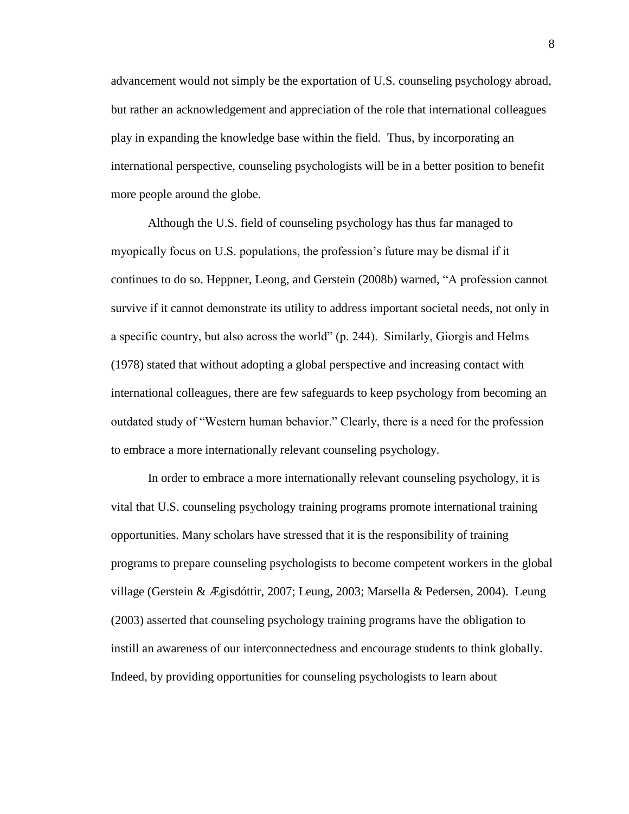advancement would not simply be the exportation of U.S. counseling psychology abroad, but rather an acknowledgement and appreciation of the role that international colleagues play in expanding the knowledge base within the field. Thus, by incorporating an international perspective, counseling psychologists will be in a better position to benefit more people around the globe.

Although the U.S. field of counseling psychology has thus far managed to myopically focus on U.S. populations, the profession's future may be dismal if it continues to do so. Heppner, Leong, and Gerstein (2008b) warned, "A profession cannot survive if it cannot demonstrate its utility to address important societal needs, not only in a specific country, but also across the world" (p. 244). Similarly, Giorgis and Helms (1978) stated that without adopting a global perspective and increasing contact with international colleagues, there are few safeguards to keep psychology from becoming an outdated study of "Western human behavior." Clearly, there is a need for the profession to embrace a more internationally relevant counseling psychology.

In order to embrace a more internationally relevant counseling psychology, it is vital that U.S. counseling psychology training programs promote international training opportunities. Many scholars have stressed that it is the responsibility of training programs to prepare counseling psychologists to become competent workers in the global village (Gerstein & Ægisdóttir, 2007; Leung, 2003; Marsella & Pedersen, 2004). Leung (2003) asserted that counseling psychology training programs have the obligation to instill an awareness of our interconnectedness and encourage students to think globally. Indeed, by providing opportunities for counseling psychologists to learn about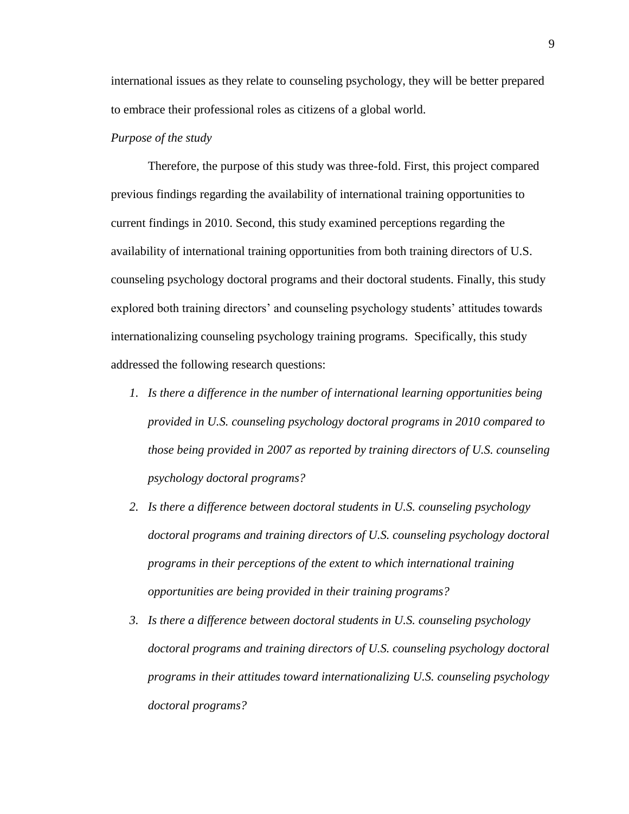international issues as they relate to counseling psychology, they will be better prepared to embrace their professional roles as citizens of a global world.

### *Purpose of the study*

Therefore, the purpose of this study was three-fold. First, this project compared previous findings regarding the availability of international training opportunities to current findings in 2010. Second, this study examined perceptions regarding the availability of international training opportunities from both training directors of U.S. counseling psychology doctoral programs and their doctoral students. Finally, this study explored both training directors' and counseling psychology students' attitudes towards internationalizing counseling psychology training programs. Specifically, this study addressed the following research questions:

- *1. Is there a difference in the number of international learning opportunities being provided in U.S. counseling psychology doctoral programs in 2010 compared to those being provided in 2007 as reported by training directors of U.S. counseling psychology doctoral programs?*
- *2. Is there a difference between doctoral students in U.S. counseling psychology doctoral programs and training directors of U.S. counseling psychology doctoral programs in their perceptions of the extent to which international training opportunities are being provided in their training programs?*
- *3. Is there a difference between doctoral students in U.S. counseling psychology doctoral programs and training directors of U.S. counseling psychology doctoral programs in their attitudes toward internationalizing U.S. counseling psychology doctoral programs?*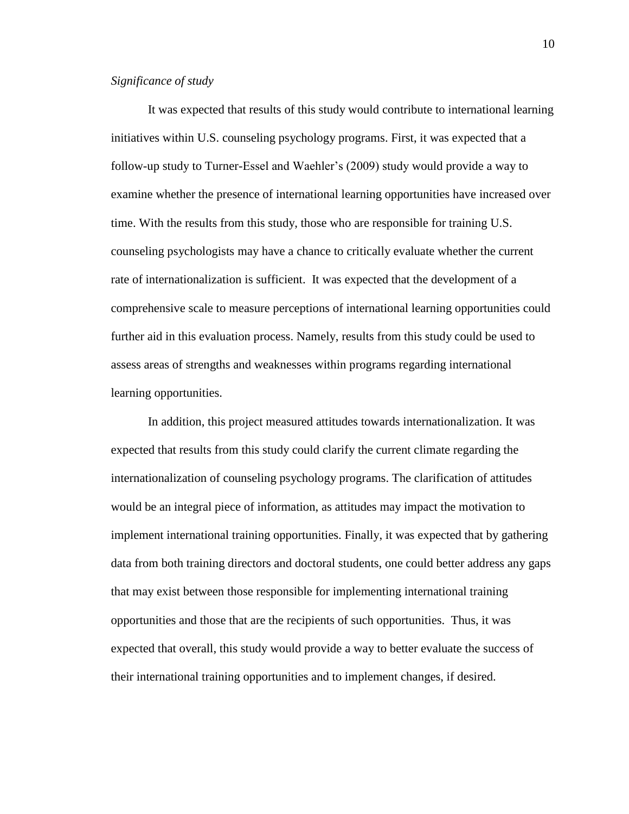#### *Significance of study*

It was expected that results of this study would contribute to international learning initiatives within U.S. counseling psychology programs. First, it was expected that a follow-up study to Turner-Essel and Waehler's (2009) study would provide a way to examine whether the presence of international learning opportunities have increased over time. With the results from this study, those who are responsible for training U.S. counseling psychologists may have a chance to critically evaluate whether the current rate of internationalization is sufficient. It was expected that the development of a comprehensive scale to measure perceptions of international learning opportunities could further aid in this evaluation process. Namely, results from this study could be used to assess areas of strengths and weaknesses within programs regarding international learning opportunities.

In addition, this project measured attitudes towards internationalization. It was expected that results from this study could clarify the current climate regarding the internationalization of counseling psychology programs. The clarification of attitudes would be an integral piece of information, as attitudes may impact the motivation to implement international training opportunities. Finally, it was expected that by gathering data from both training directors and doctoral students, one could better address any gaps that may exist between those responsible for implementing international training opportunities and those that are the recipients of such opportunities. Thus, it was expected that overall, this study would provide a way to better evaluate the success of their international training opportunities and to implement changes, if desired.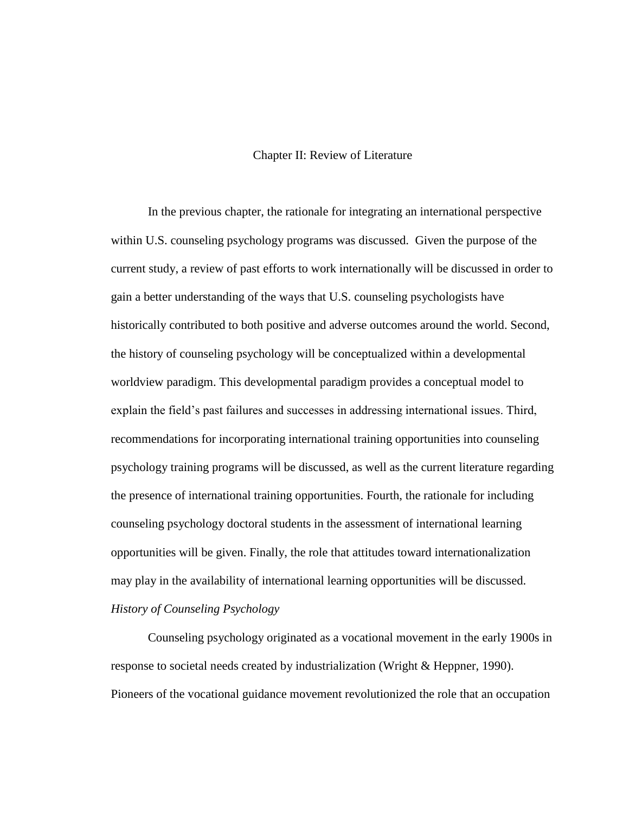### Chapter II: Review of Literature

In the previous chapter, the rationale for integrating an international perspective within U.S. counseling psychology programs was discussed. Given the purpose of the current study, a review of past efforts to work internationally will be discussed in order to gain a better understanding of the ways that U.S. counseling psychologists have historically contributed to both positive and adverse outcomes around the world. Second, the history of counseling psychology will be conceptualized within a developmental worldview paradigm. This developmental paradigm provides a conceptual model to explain the field's past failures and successes in addressing international issues. Third, recommendations for incorporating international training opportunities into counseling psychology training programs will be discussed, as well as the current literature regarding the presence of international training opportunities. Fourth, the rationale for including counseling psychology doctoral students in the assessment of international learning opportunities will be given. Finally, the role that attitudes toward internationalization may play in the availability of international learning opportunities will be discussed. *History of Counseling Psychology*

Counseling psychology originated as a vocational movement in the early 1900s in response to societal needs created by industrialization (Wright & Heppner, 1990). Pioneers of the vocational guidance movement revolutionized the role that an occupation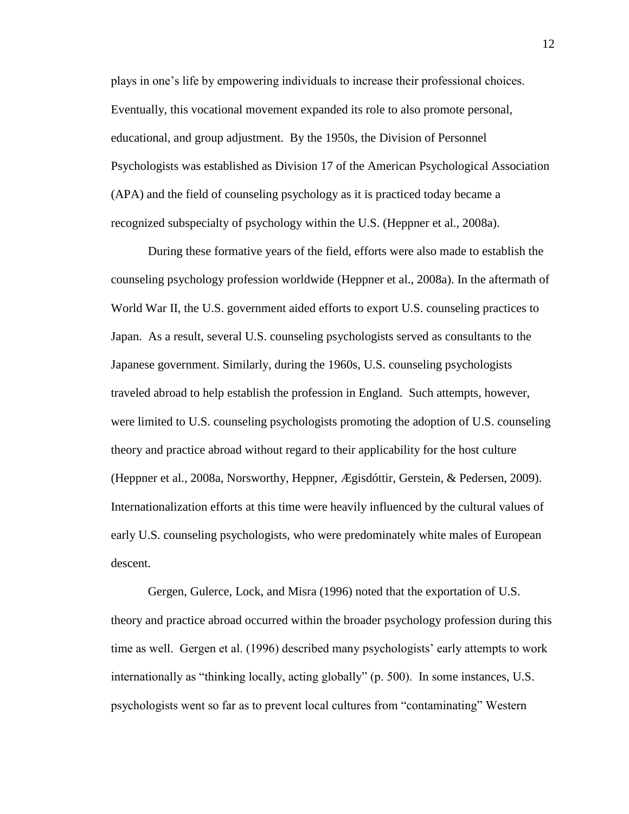plays in one's life by empowering individuals to increase their professional choices. Eventually, this vocational movement expanded its role to also promote personal, educational, and group adjustment. By the 1950s, the Division of Personnel Psychologists was established as Division 17 of the American Psychological Association (APA) and the field of counseling psychology as it is practiced today became a recognized subspecialty of psychology within the U.S. (Heppner et al., 2008a).

During these formative years of the field, efforts were also made to establish the counseling psychology profession worldwide (Heppner et al., 2008a). In the aftermath of World War II, the U.S. government aided efforts to export U.S. counseling practices to Japan. As a result, several U.S. counseling psychologists served as consultants to the Japanese government. Similarly, during the 1960s, U.S. counseling psychologists traveled abroad to help establish the profession in England. Such attempts, however, were limited to U.S. counseling psychologists promoting the adoption of U.S. counseling theory and practice abroad without regard to their applicability for the host culture (Heppner et al., 2008a, Norsworthy, Heppner, Ægisdóttir, Gerstein, & Pedersen, 2009). Internationalization efforts at this time were heavily influenced by the cultural values of early U.S. counseling psychologists, who were predominately white males of European descent.

Gergen, Gulerce, Lock, and Misra (1996) noted that the exportation of U.S. theory and practice abroad occurred within the broader psychology profession during this time as well. Gergen et al. (1996) described many psychologists' early attempts to work internationally as "thinking locally, acting globally" (p. 500). In some instances, U.S. psychologists went so far as to prevent local cultures from "contaminating" Western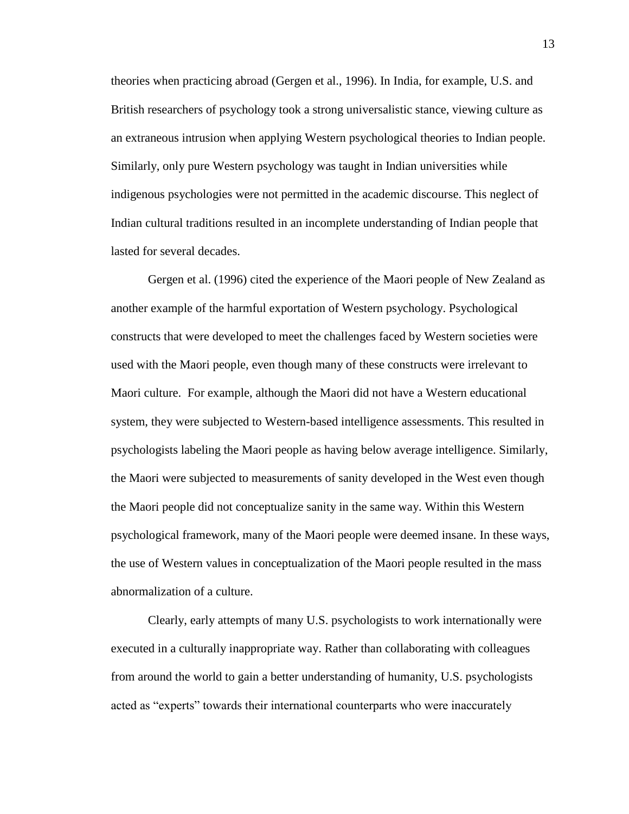theories when practicing abroad (Gergen et al., 1996). In India, for example, U.S. and British researchers of psychology took a strong universalistic stance, viewing culture as an extraneous intrusion when applying Western psychological theories to Indian people. Similarly, only pure Western psychology was taught in Indian universities while indigenous psychologies were not permitted in the academic discourse. This neglect of Indian cultural traditions resulted in an incomplete understanding of Indian people that lasted for several decades.

Gergen et al. (1996) cited the experience of the Maori people of New Zealand as another example of the harmful exportation of Western psychology. Psychological constructs that were developed to meet the challenges faced by Western societies were used with the Maori people, even though many of these constructs were irrelevant to Maori culture. For example, although the Maori did not have a Western educational system, they were subjected to Western-based intelligence assessments. This resulted in psychologists labeling the Maori people as having below average intelligence. Similarly, the Maori were subjected to measurements of sanity developed in the West even though the Maori people did not conceptualize sanity in the same way. Within this Western psychological framework, many of the Maori people were deemed insane. In these ways, the use of Western values in conceptualization of the Maori people resulted in the mass abnormalization of a culture.

Clearly, early attempts of many U.S. psychologists to work internationally were executed in a culturally inappropriate way. Rather than collaborating with colleagues from around the world to gain a better understanding of humanity, U.S. psychologists acted as "experts" towards their international counterparts who were inaccurately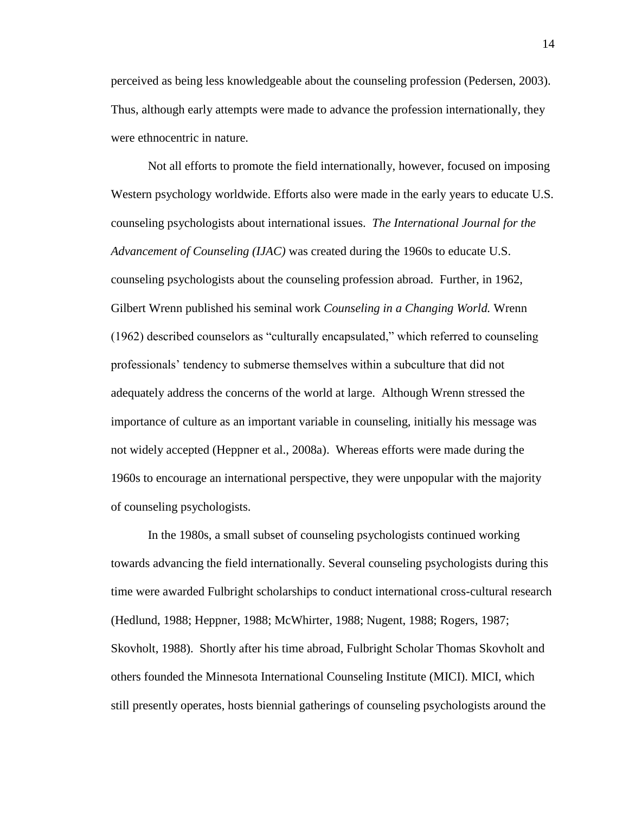perceived as being less knowledgeable about the counseling profession (Pedersen, 2003). Thus, although early attempts were made to advance the profession internationally, they were ethnocentric in nature.

Not all efforts to promote the field internationally, however, focused on imposing Western psychology worldwide. Efforts also were made in the early years to educate U.S. counseling psychologists about international issues. *The International Journal for the Advancement of Counseling (IJAC)* was created during the 1960s to educate U.S. counseling psychologists about the counseling profession abroad. Further, in 1962, Gilbert Wrenn published his seminal work *Counseling in a Changing World.* Wrenn (1962) described counselors as "culturally encapsulated," which referred to counseling professionals' tendency to submerse themselves within a subculture that did not adequately address the concerns of the world at large. Although Wrenn stressed the importance of culture as an important variable in counseling, initially his message was not widely accepted (Heppner et al., 2008a). Whereas efforts were made during the 1960s to encourage an international perspective, they were unpopular with the majority of counseling psychologists.

In the 1980s, a small subset of counseling psychologists continued working towards advancing the field internationally. Several counseling psychologists during this time were awarded Fulbright scholarships to conduct international cross-cultural research (Hedlund, 1988; Heppner, 1988; McWhirter, 1988; Nugent, 1988; Rogers, 1987; Skovholt, 1988). Shortly after his time abroad, Fulbright Scholar Thomas Skovholt and others founded the Minnesota International Counseling Institute (MICI). MICI, which still presently operates, hosts biennial gatherings of counseling psychologists around the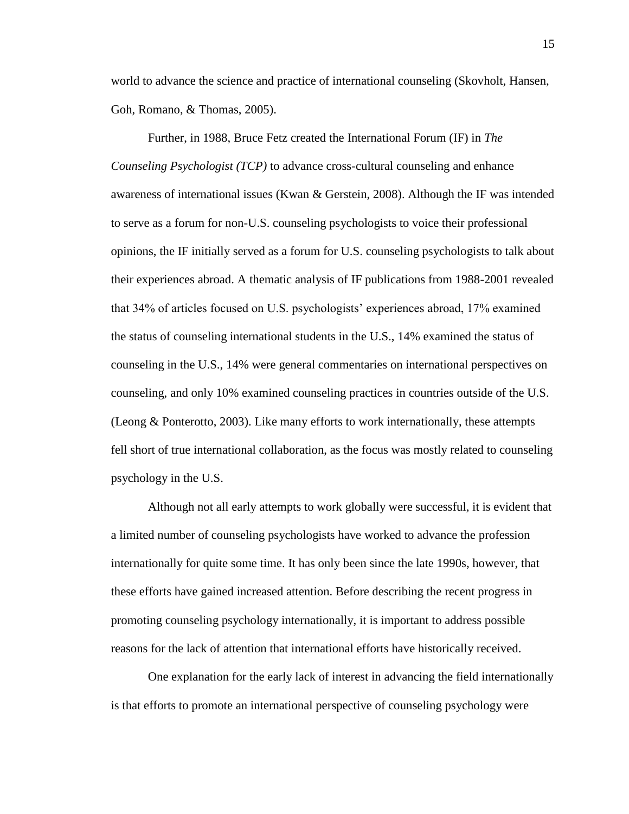world to advance the science and practice of international counseling (Skovholt, Hansen, Goh, Romano, & Thomas, 2005).

Further, in 1988, Bruce Fetz created the International Forum (IF) in *The Counseling Psychologist (TCP)* to advance cross-cultural counseling and enhance awareness of international issues (Kwan & Gerstein, 2008). Although the IF was intended to serve as a forum for non-U.S. counseling psychologists to voice their professional opinions, the IF initially served as a forum for U.S. counseling psychologists to talk about their experiences abroad. A thematic analysis of IF publications from 1988-2001 revealed that 34% of articles focused on U.S. psychologists' experiences abroad, 17% examined the status of counseling international students in the U.S., 14% examined the status of counseling in the U.S., 14% were general commentaries on international perspectives on counseling, and only 10% examined counseling practices in countries outside of the U.S. (Leong & Ponterotto, 2003). Like many efforts to work internationally, these attempts fell short of true international collaboration, as the focus was mostly related to counseling psychology in the U.S.

Although not all early attempts to work globally were successful, it is evident that a limited number of counseling psychologists have worked to advance the profession internationally for quite some time. It has only been since the late 1990s, however, that these efforts have gained increased attention. Before describing the recent progress in promoting counseling psychology internationally, it is important to address possible reasons for the lack of attention that international efforts have historically received.

One explanation for the early lack of interest in advancing the field internationally is that efforts to promote an international perspective of counseling psychology were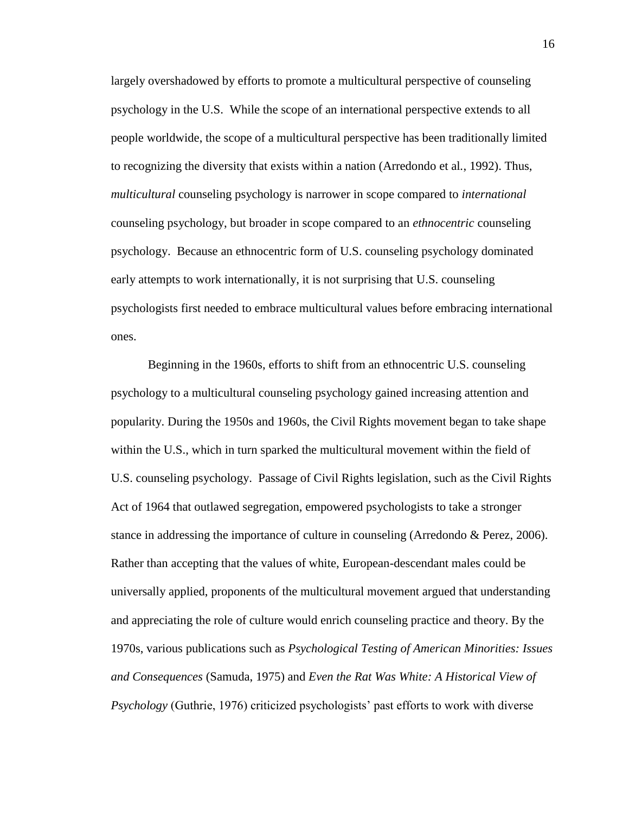largely overshadowed by efforts to promote a multicultural perspective of counseling psychology in the U.S. While the scope of an international perspective extends to all people worldwide, the scope of a multicultural perspective has been traditionally limited to recognizing the diversity that exists within a nation (Arredondo et al*.*, 1992). Thus, *multicultural* counseling psychology is narrower in scope compared to *international* counseling psychology, but broader in scope compared to an *ethnocentric* counseling psychology. Because an ethnocentric form of U.S. counseling psychology dominated early attempts to work internationally, it is not surprising that U.S. counseling psychologists first needed to embrace multicultural values before embracing international ones.

Beginning in the 1960s, efforts to shift from an ethnocentric U.S. counseling psychology to a multicultural counseling psychology gained increasing attention and popularity. During the 1950s and 1960s, the Civil Rights movement began to take shape within the U.S., which in turn sparked the multicultural movement within the field of U.S. counseling psychology. Passage of Civil Rights legislation, such as the Civil Rights Act of 1964 that outlawed segregation, empowered psychologists to take a stronger stance in addressing the importance of culture in counseling (Arredondo & Perez, 2006). Rather than accepting that the values of white, European-descendant males could be universally applied, proponents of the multicultural movement argued that understanding and appreciating the role of culture would enrich counseling practice and theory. By the 1970s, various publications such as *Psychological Testing of American Minorities: Issues and Consequences* (Samuda, 1975) and *Even the Rat Was White: A Historical View of Psychology* (Guthrie, 1976) criticized psychologists' past efforts to work with diverse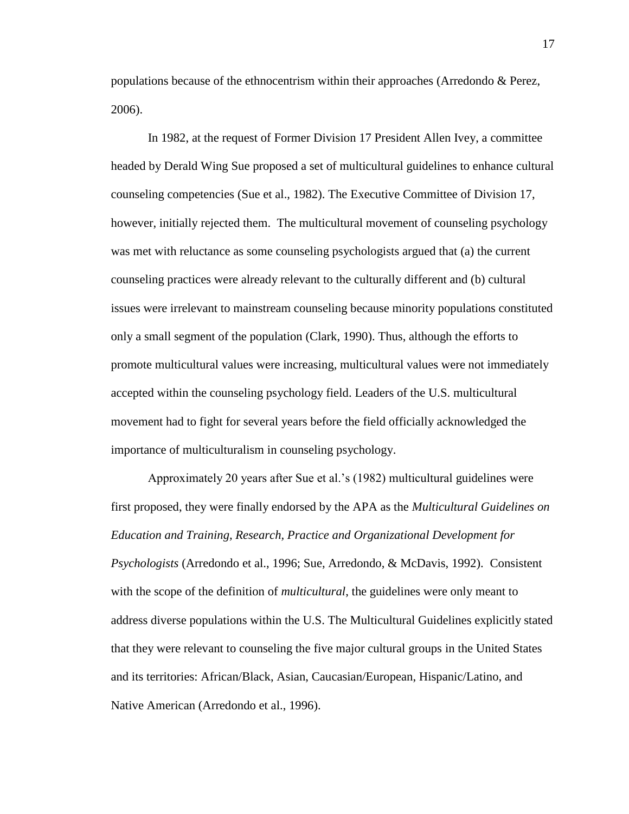populations because of the ethnocentrism within their approaches (Arredondo & Perez, 2006).

In 1982, at the request of Former Division 17 President Allen Ivey, a committee headed by Derald Wing Sue proposed a set of multicultural guidelines to enhance cultural counseling competencies (Sue et al., 1982). The Executive Committee of Division 17, however, initially rejected them. The multicultural movement of counseling psychology was met with reluctance as some counseling psychologists argued that (a) the current counseling practices were already relevant to the culturally different and (b) cultural issues were irrelevant to mainstream counseling because minority populations constituted only a small segment of the population (Clark, 1990). Thus, although the efforts to promote multicultural values were increasing, multicultural values were not immediately accepted within the counseling psychology field. Leaders of the U.S. multicultural movement had to fight for several years before the field officially acknowledged the importance of multiculturalism in counseling psychology.

Approximately 20 years after Sue et al.'s (1982) multicultural guidelines were first proposed, they were finally endorsed by the APA as the *Multicultural Guidelines on Education and Training, Research, Practice and Organizational Development for Psychologists* (Arredondo et al., 1996; Sue, Arredondo, & McDavis, 1992). Consistent with the scope of the definition of *multicultural*, the guidelines were only meant to address diverse populations within the U.S. The Multicultural Guidelines explicitly stated that they were relevant to counseling the five major cultural groups in the United States and its territories: African/Black, Asian, Caucasian/European, Hispanic/Latino, and Native American (Arredondo et al., 1996).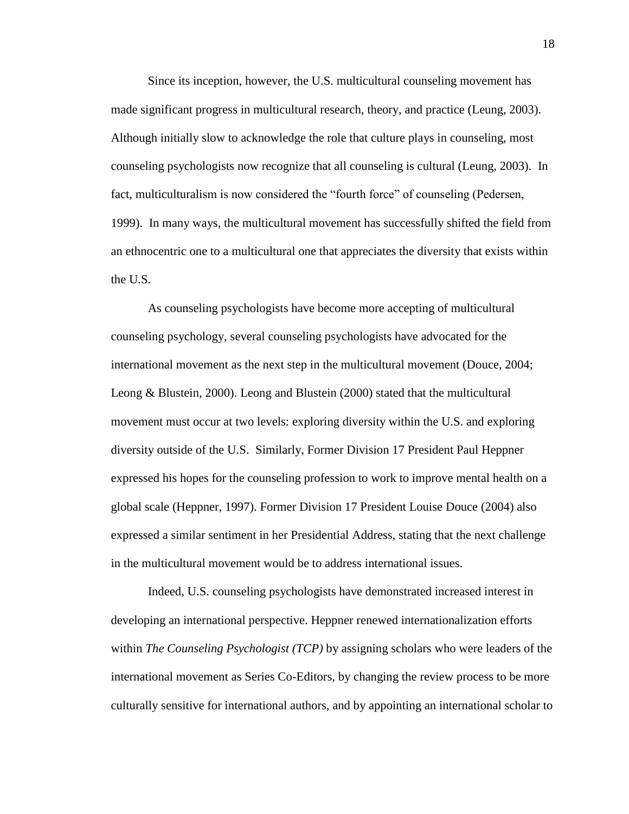Since its inception, however, the U.S. multicultural counseling movement has made significant progress in multicultural research, theory, and practice (Leung, 2003). Although initially slow to acknowledge the role that culture plays in counseling, most counseling psychologists now recognize that all counseling is cultural (Leung, 2003). In fact, multiculturalism is now considered the "fourth force" of counseling (Pedersen, 1999). In many ways, the multicultural movement has successfully shifted the field from an ethnocentric one to a multicultural one that appreciates the diversity that exists within the U.S.

As counseling psychologists have become more accepting of multicultural counseling psychology, several counseling psychologists have advocated for the international movement as the next step in the multicultural movement (Douce, 2004; Leong & Blustein, 2000). Leong and Blustein (2000) stated that the multicultural movement must occur at two levels: exploring diversity within the U.S. and exploring diversity outside of the U.S. Similarly, Former Division 17 President Paul Heppner expressed his hopes for the counseling profession to work to improve mental health on a global scale (Heppner, 1997). Former Division 17 President Louise Douce (2004) also expressed a similar sentiment in her Presidential Address, stating that the next challenge in the multicultural movement would be to address international issues.

Indeed, U.S. counseling psychologists have demonstrated increased interest in developing an international perspective. Heppner renewed internationalization efforts within *The Counseling Psychologist (TCP)* by assigning scholars who were leaders of the international movement as Series Co-Editors, by changing the review process to be more culturally sensitive for international authors, and by appointing an international scholar to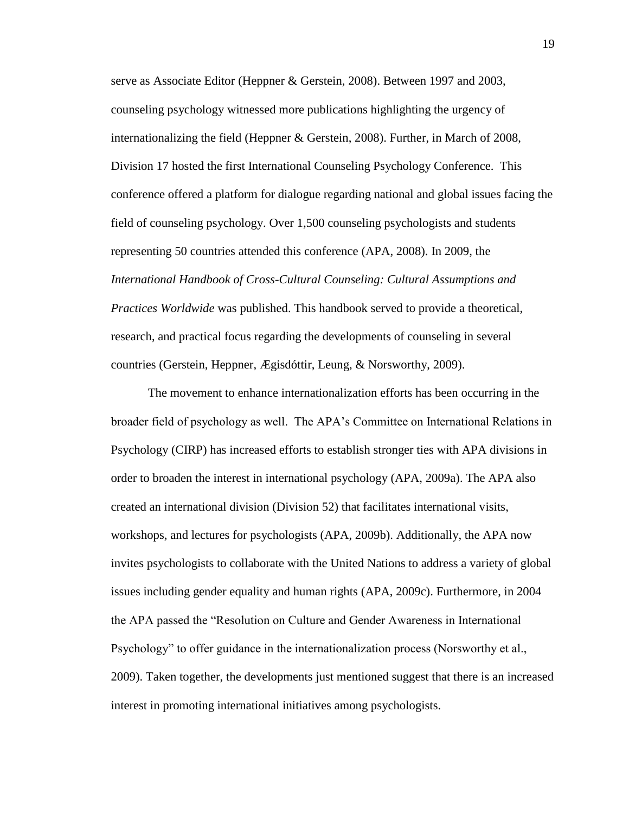serve as Associate Editor (Heppner & Gerstein, 2008). Between 1997 and 2003, counseling psychology witnessed more publications highlighting the urgency of internationalizing the field (Heppner & Gerstein, 2008). Further, in March of 2008, Division 17 hosted the first International Counseling Psychology Conference. This conference offered a platform for dialogue regarding national and global issues facing the field of counseling psychology. Over 1,500 counseling psychologists and students representing 50 countries attended this conference (APA, 2008). In 2009, the *International Handbook of Cross-Cultural Counseling: Cultural Assumptions and Practices Worldwide* was published. This handbook served to provide a theoretical, research, and practical focus regarding the developments of counseling in several countries (Gerstein, Heppner, Ægisdóttir, Leung, & Norsworthy, 2009).

The movement to enhance internationalization efforts has been occurring in the broader field of psychology as well. The APA's Committee on International Relations in Psychology (CIRP) has increased efforts to establish stronger ties with APA divisions in order to broaden the interest in international psychology (APA, 2009a). The APA also created an international division (Division 52) that facilitates international visits, workshops, and lectures for psychologists (APA, 2009b). Additionally, the APA now invites psychologists to collaborate with the United Nations to address a variety of global issues including gender equality and human rights (APA, 2009c). Furthermore, in 2004 the APA passed the "Resolution on Culture and Gender Awareness in International Psychology" to offer guidance in the internationalization process (Norsworthy et al., 2009). Taken together, the developments just mentioned suggest that there is an increased interest in promoting international initiatives among psychologists.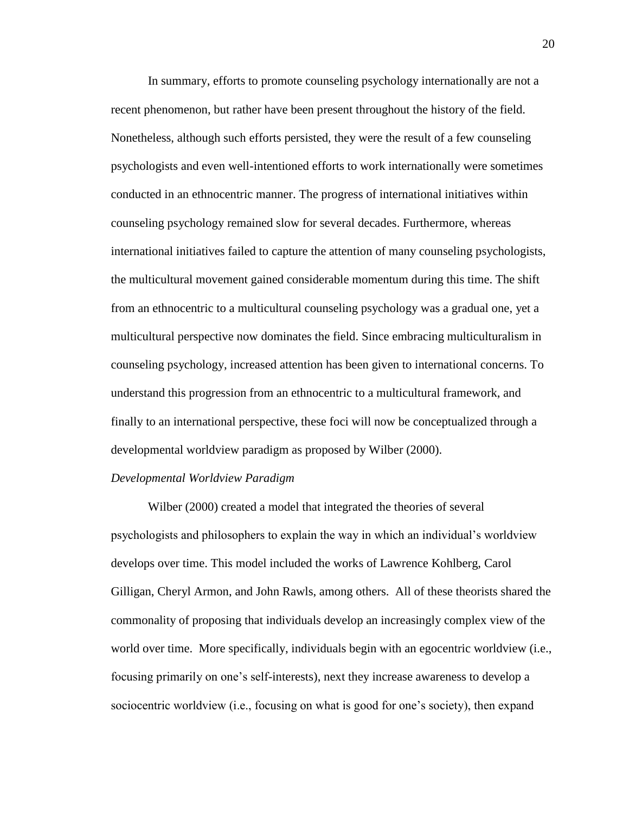In summary, efforts to promote counseling psychology internationally are not a recent phenomenon, but rather have been present throughout the history of the field. Nonetheless, although such efforts persisted, they were the result of a few counseling psychologists and even well-intentioned efforts to work internationally were sometimes conducted in an ethnocentric manner. The progress of international initiatives within counseling psychology remained slow for several decades. Furthermore, whereas international initiatives failed to capture the attention of many counseling psychologists, the multicultural movement gained considerable momentum during this time. The shift from an ethnocentric to a multicultural counseling psychology was a gradual one, yet a multicultural perspective now dominates the field. Since embracing multiculturalism in counseling psychology, increased attention has been given to international concerns. To understand this progression from an ethnocentric to a multicultural framework, and finally to an international perspective, these foci will now be conceptualized through a developmental worldview paradigm as proposed by Wilber (2000).

#### *Developmental Worldview Paradigm*

Wilber (2000) created a model that integrated the theories of several psychologists and philosophers to explain the way in which an individual's worldview develops over time. This model included the works of Lawrence Kohlberg, Carol Gilligan, Cheryl Armon, and John Rawls, among others. All of these theorists shared the commonality of proposing that individuals develop an increasingly complex view of the world over time. More specifically, individuals begin with an egocentric worldview (i.e., focusing primarily on one's self-interests), next they increase awareness to develop a sociocentric worldview (i.e., focusing on what is good for one's society), then expand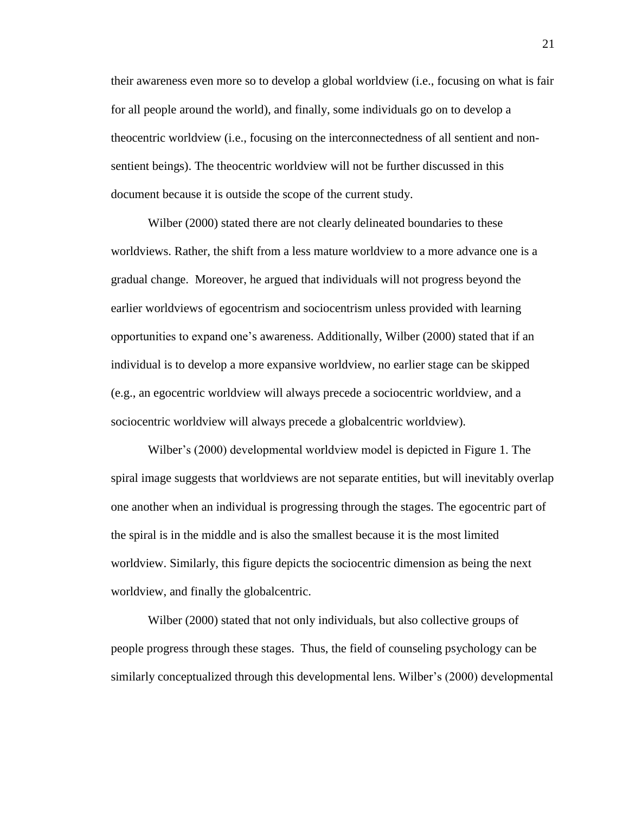their awareness even more so to develop a global worldview (i.e., focusing on what is fair for all people around the world), and finally, some individuals go on to develop a theocentric worldview (i.e., focusing on the interconnectedness of all sentient and nonsentient beings). The theocentric worldview will not be further discussed in this document because it is outside the scope of the current study.

Wilber (2000) stated there are not clearly delineated boundaries to these worldviews. Rather, the shift from a less mature worldview to a more advance one is a gradual change. Moreover, he argued that individuals will not progress beyond the earlier worldviews of egocentrism and sociocentrism unless provided with learning opportunities to expand one's awareness. Additionally, Wilber (2000) stated that if an individual is to develop a more expansive worldview, no earlier stage can be skipped (e.g., an egocentric worldview will always precede a sociocentric worldview, and a sociocentric worldview will always precede a globalcentric worldview).

Wilber's (2000) developmental worldview model is depicted in Figure 1. The spiral image suggests that worldviews are not separate entities, but will inevitably overlap one another when an individual is progressing through the stages. The egocentric part of the spiral is in the middle and is also the smallest because it is the most limited worldview. Similarly, this figure depicts the sociocentric dimension as being the next worldview, and finally the globalcentric.

Wilber (2000) stated that not only individuals, but also collective groups of people progress through these stages. Thus, the field of counseling psychology can be similarly conceptualized through this developmental lens. Wilber's (2000) developmental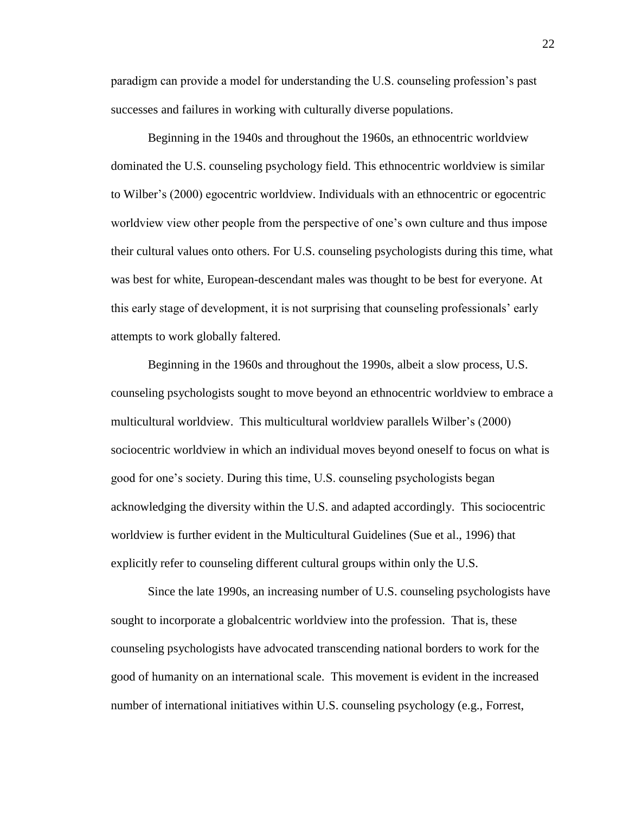paradigm can provide a model for understanding the U.S. counseling profession's past successes and failures in working with culturally diverse populations.

Beginning in the 1940s and throughout the 1960s, an ethnocentric worldview dominated the U.S. counseling psychology field. This ethnocentric worldview is similar to Wilber's (2000) egocentric worldview. Individuals with an ethnocentric or egocentric worldview view other people from the perspective of one's own culture and thus impose their cultural values onto others. For U.S. counseling psychologists during this time, what was best for white, European-descendant males was thought to be best for everyone. At this early stage of development, it is not surprising that counseling professionals' early attempts to work globally faltered.

Beginning in the 1960s and throughout the 1990s, albeit a slow process, U.S. counseling psychologists sought to move beyond an ethnocentric worldview to embrace a multicultural worldview. This multicultural worldview parallels Wilber's (2000) sociocentric worldview in which an individual moves beyond oneself to focus on what is good for one's society. During this time, U.S. counseling psychologists began acknowledging the diversity within the U.S. and adapted accordingly. This sociocentric worldview is further evident in the Multicultural Guidelines (Sue et al., 1996) that explicitly refer to counseling different cultural groups within only the U.S.

Since the late 1990s, an increasing number of U.S. counseling psychologists have sought to incorporate a globalcentric worldview into the profession. That is, these counseling psychologists have advocated transcending national borders to work for the good of humanity on an international scale. This movement is evident in the increased number of international initiatives within U.S. counseling psychology (e.g., Forrest,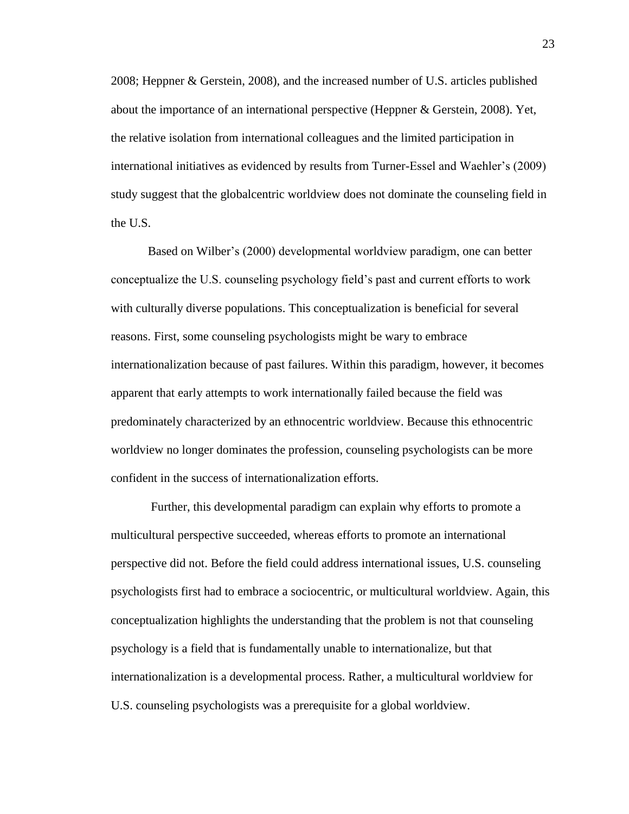2008; Heppner & Gerstein, 2008), and the increased number of U.S. articles published about the importance of an international perspective (Heppner & Gerstein, 2008). Yet, the relative isolation from international colleagues and the limited participation in international initiatives as evidenced by results from Turner-Essel and Waehler's (2009) study suggest that the globalcentric worldview does not dominate the counseling field in the U.S.

Based on Wilber's (2000) developmental worldview paradigm, one can better conceptualize the U.S. counseling psychology field's past and current efforts to work with culturally diverse populations. This conceptualization is beneficial for several reasons. First, some counseling psychologists might be wary to embrace internationalization because of past failures. Within this paradigm, however, it becomes apparent that early attempts to work internationally failed because the field was predominately characterized by an ethnocentric worldview. Because this ethnocentric worldview no longer dominates the profession, counseling psychologists can be more confident in the success of internationalization efforts.

Further, this developmental paradigm can explain why efforts to promote a multicultural perspective succeeded, whereas efforts to promote an international perspective did not. Before the field could address international issues, U.S. counseling psychologists first had to embrace a sociocentric, or multicultural worldview. Again, this conceptualization highlights the understanding that the problem is not that counseling psychology is a field that is fundamentally unable to internationalize, but that internationalization is a developmental process. Rather, a multicultural worldview for U.S. counseling psychologists was a prerequisite for a global worldview.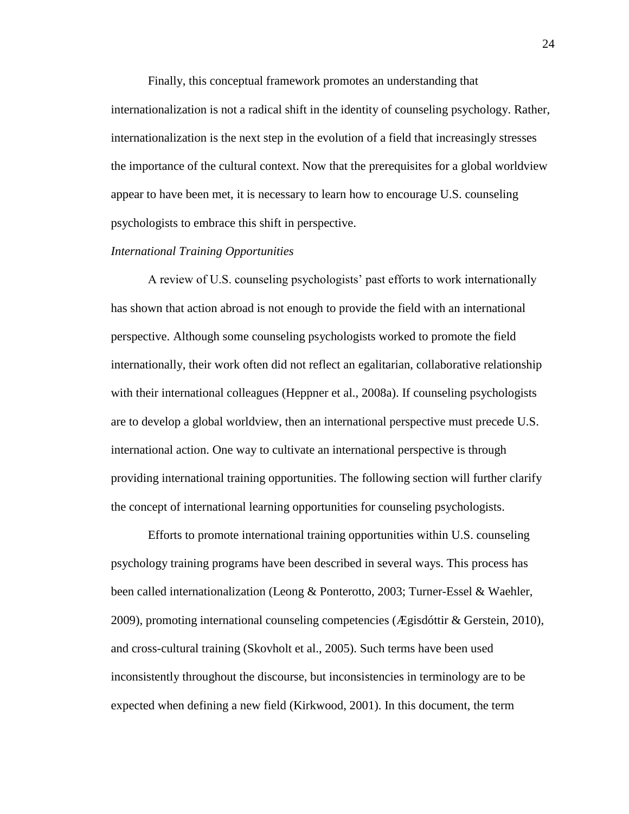Finally, this conceptual framework promotes an understanding that internationalization is not a radical shift in the identity of counseling psychology. Rather, internationalization is the next step in the evolution of a field that increasingly stresses the importance of the cultural context. Now that the prerequisites for a global worldview appear to have been met, it is necessary to learn how to encourage U.S. counseling psychologists to embrace this shift in perspective.

### *International Training Opportunities*

A review of U.S. counseling psychologists' past efforts to work internationally has shown that action abroad is not enough to provide the field with an international perspective. Although some counseling psychologists worked to promote the field internationally, their work often did not reflect an egalitarian, collaborative relationship with their international colleagues (Heppner et al., 2008a). If counseling psychologists are to develop a global worldview, then an international perspective must precede U.S. international action. One way to cultivate an international perspective is through providing international training opportunities. The following section will further clarify the concept of international learning opportunities for counseling psychologists.

Efforts to promote international training opportunities within U.S. counseling psychology training programs have been described in several ways. This process has been called internationalization (Leong & Ponterotto, 2003; Turner-Essel & Waehler, 2009), promoting international counseling competencies (Ægisdóttir & Gerstein, 2010), and cross-cultural training (Skovholt et al., 2005). Such terms have been used inconsistently throughout the discourse, but inconsistencies in terminology are to be expected when defining a new field (Kirkwood, 2001). In this document, the term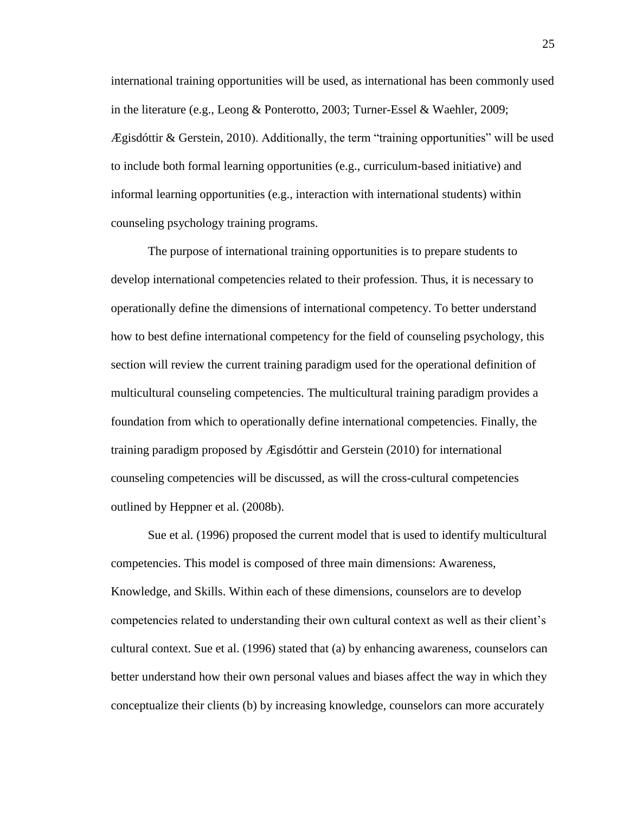international training opportunities will be used, as international has been commonly used in the literature (e.g., Leong & Ponterotto, 2003; Turner-Essel & Waehler, 2009;  $E$ gisdóttir & Gerstein, 2010). Additionally, the term "training opportunities" will be used to include both formal learning opportunities (e.g., curriculum-based initiative) and informal learning opportunities (e.g., interaction with international students) within counseling psychology training programs.

The purpose of international training opportunities is to prepare students to develop international competencies related to their profession. Thus, it is necessary to operationally define the dimensions of international competency. To better understand how to best define international competency for the field of counseling psychology, this section will review the current training paradigm used for the operational definition of multicultural counseling competencies. The multicultural training paradigm provides a foundation from which to operationally define international competencies. Finally, the training paradigm proposed by Ægisdóttir and Gerstein (2010) for international counseling competencies will be discussed, as will the cross-cultural competencies outlined by Heppner et al. (2008b).

Sue et al. (1996) proposed the current model that is used to identify multicultural competencies. This model is composed of three main dimensions: Awareness, Knowledge, and Skills. Within each of these dimensions, counselors are to develop competencies related to understanding their own cultural context as well as their client's cultural context. Sue et al. (1996) stated that (a) by enhancing awareness, counselors can better understand how their own personal values and biases affect the way in which they conceptualize their clients (b) by increasing knowledge, counselors can more accurately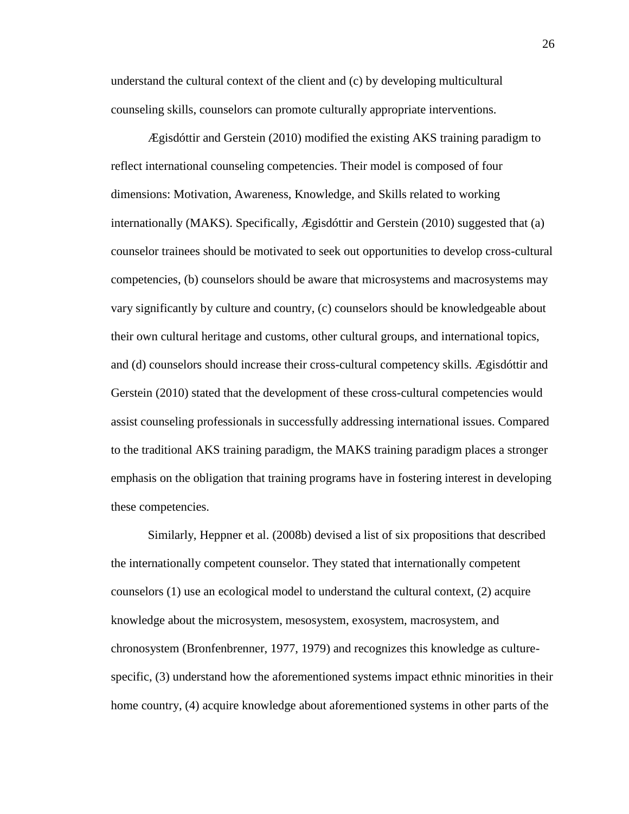understand the cultural context of the client and (c) by developing multicultural counseling skills, counselors can promote culturally appropriate interventions.

Ægisdóttir and Gerstein (2010) modified the existing AKS training paradigm to reflect international counseling competencies. Their model is composed of four dimensions: Motivation, Awareness, Knowledge, and Skills related to working internationally (MAKS). Specifically, Ægisdóttir and Gerstein (2010) suggested that (a) counselor trainees should be motivated to seek out opportunities to develop cross-cultural competencies, (b) counselors should be aware that microsystems and macrosystems may vary significantly by culture and country, (c) counselors should be knowledgeable about their own cultural heritage and customs, other cultural groups, and international topics, and (d) counselors should increase their cross-cultural competency skills. Ægisdóttir and Gerstein (2010) stated that the development of these cross-cultural competencies would assist counseling professionals in successfully addressing international issues. Compared to the traditional AKS training paradigm, the MAKS training paradigm places a stronger emphasis on the obligation that training programs have in fostering interest in developing these competencies.

Similarly, Heppner et al. (2008b) devised a list of six propositions that described the internationally competent counselor. They stated that internationally competent counselors (1) use an ecological model to understand the cultural context, (2) acquire knowledge about the microsystem, mesosystem, exosystem, macrosystem, and chronosystem (Bronfenbrenner, 1977, 1979) and recognizes this knowledge as culturespecific, (3) understand how the aforementioned systems impact ethnic minorities in their home country, (4) acquire knowledge about aforementioned systems in other parts of the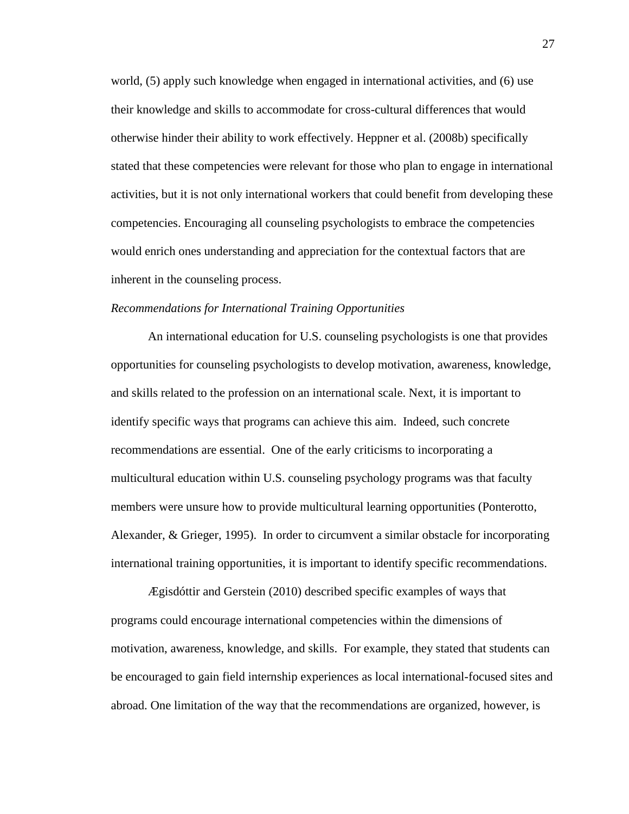world, (5) apply such knowledge when engaged in international activities, and (6) use their knowledge and skills to accommodate for cross-cultural differences that would otherwise hinder their ability to work effectively. Heppner et al. (2008b) specifically stated that these competencies were relevant for those who plan to engage in international activities, but it is not only international workers that could benefit from developing these competencies. Encouraging all counseling psychologists to embrace the competencies would enrich ones understanding and appreciation for the contextual factors that are inherent in the counseling process.

#### *Recommendations for International Training Opportunities*

An international education for U.S. counseling psychologists is one that provides opportunities for counseling psychologists to develop motivation, awareness, knowledge, and skills related to the profession on an international scale. Next, it is important to identify specific ways that programs can achieve this aim. Indeed, such concrete recommendations are essential. One of the early criticisms to incorporating a multicultural education within U.S. counseling psychology programs was that faculty members were unsure how to provide multicultural learning opportunities (Ponterotto, Alexander, & Grieger, 1995). In order to circumvent a similar obstacle for incorporating international training opportunities, it is important to identify specific recommendations.

Ægisdóttir and Gerstein (2010) described specific examples of ways that programs could encourage international competencies within the dimensions of motivation, awareness, knowledge, and skills. For example, they stated that students can be encouraged to gain field internship experiences as local international-focused sites and abroad. One limitation of the way that the recommendations are organized, however, is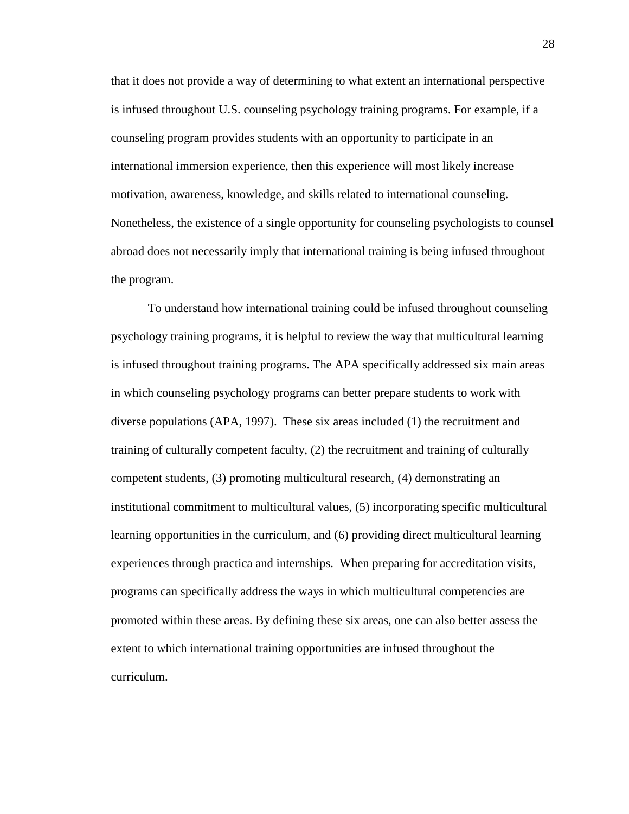that it does not provide a way of determining to what extent an international perspective is infused throughout U.S. counseling psychology training programs. For example, if a counseling program provides students with an opportunity to participate in an international immersion experience, then this experience will most likely increase motivation, awareness, knowledge, and skills related to international counseling. Nonetheless, the existence of a single opportunity for counseling psychologists to counsel abroad does not necessarily imply that international training is being infused throughout the program.

To understand how international training could be infused throughout counseling psychology training programs, it is helpful to review the way that multicultural learning is infused throughout training programs. The APA specifically addressed six main areas in which counseling psychology programs can better prepare students to work with diverse populations (APA, 1997). These six areas included (1) the recruitment and training of culturally competent faculty, (2) the recruitment and training of culturally competent students, (3) promoting multicultural research, (4) demonstrating an institutional commitment to multicultural values, (5) incorporating specific multicultural learning opportunities in the curriculum, and (6) providing direct multicultural learning experiences through practica and internships. When preparing for accreditation visits, programs can specifically address the ways in which multicultural competencies are promoted within these areas. By defining these six areas, one can also better assess the extent to which international training opportunities are infused throughout the curriculum.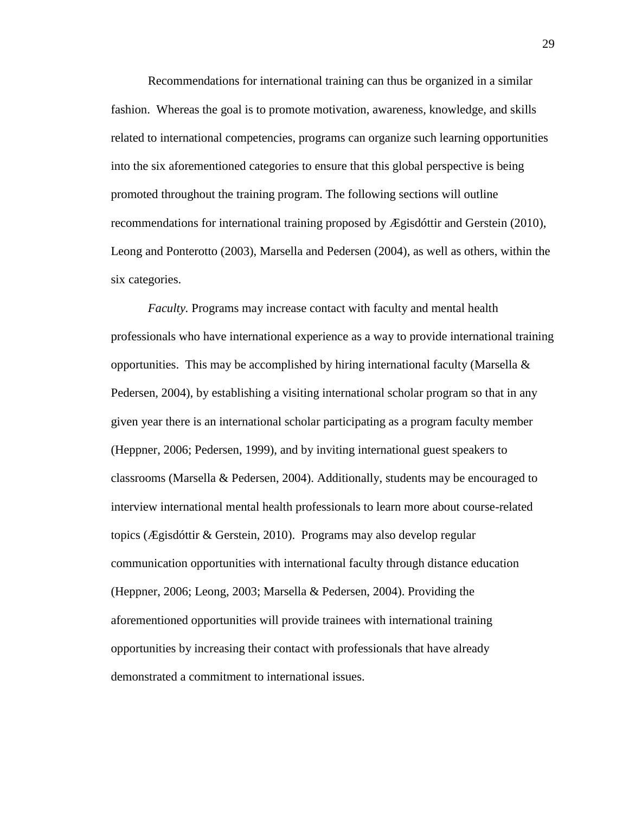Recommendations for international training can thus be organized in a similar fashion. Whereas the goal is to promote motivation, awareness, knowledge, and skills related to international competencies, programs can organize such learning opportunities into the six aforementioned categories to ensure that this global perspective is being promoted throughout the training program. The following sections will outline recommendations for international training proposed by Ægisdóttir and Gerstein (2010), Leong and Ponterotto (2003), Marsella and Pedersen (2004), as well as others, within the six categories.

*Faculty.* Programs may increase contact with faculty and mental health professionals who have international experience as a way to provide international training opportunities. This may be accomplished by hiring international faculty (Marsella  $\&$ Pedersen, 2004), by establishing a visiting international scholar program so that in any given year there is an international scholar participating as a program faculty member (Heppner, 2006; Pedersen, 1999), and by inviting international guest speakers to classrooms (Marsella & Pedersen, 2004). Additionally, students may be encouraged to interview international mental health professionals to learn more about course-related topics (Ægisdóttir & Gerstein, 2010). Programs may also develop regular communication opportunities with international faculty through distance education (Heppner, 2006; Leong, 2003; Marsella & Pedersen, 2004). Providing the aforementioned opportunities will provide trainees with international training opportunities by increasing their contact with professionals that have already demonstrated a commitment to international issues.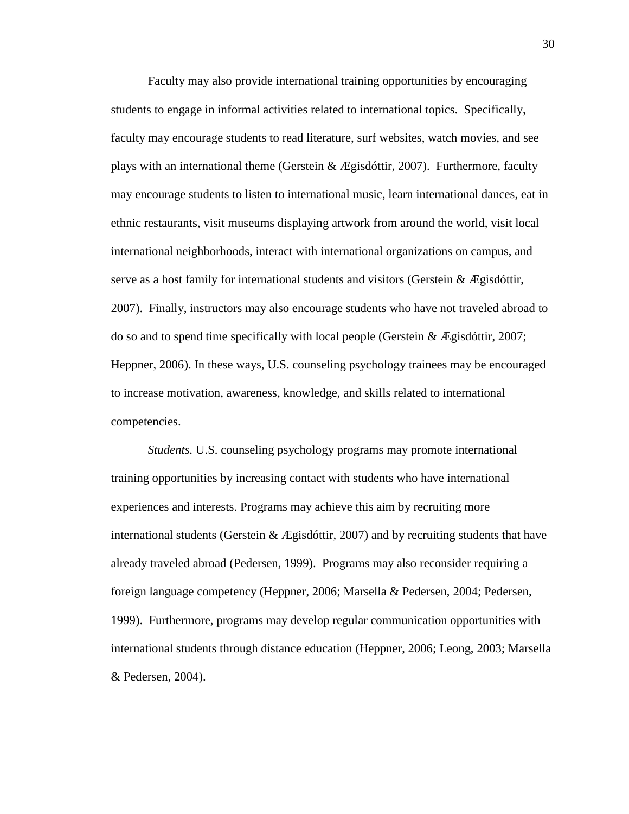Faculty may also provide international training opportunities by encouraging students to engage in informal activities related to international topics. Specifically, faculty may encourage students to read literature, surf websites, watch movies, and see plays with an international theme (Gerstein  $\&$  Ægisdóttir, 2007). Furthermore, faculty may encourage students to listen to international music, learn international dances, eat in ethnic restaurants, visit museums displaying artwork from around the world, visit local international neighborhoods, interact with international organizations on campus, and serve as a host family for international students and visitors (Gerstein  $\&$  Ægisdóttir, 2007). Finally, instructors may also encourage students who have not traveled abroad to do so and to spend time specifically with local people (Gerstein & Ægisdóttir, 2007; Heppner, 2006). In these ways, U.S. counseling psychology trainees may be encouraged to increase motivation, awareness, knowledge, and skills related to international competencies.

*Students.* U.S. counseling psychology programs may promote international training opportunities by increasing contact with students who have international experiences and interests. Programs may achieve this aim by recruiting more international students (Gerstein  $\&$  Ægisdóttir, 2007) and by recruiting students that have already traveled abroad (Pedersen, 1999). Programs may also reconsider requiring a foreign language competency (Heppner, 2006; Marsella & Pedersen, 2004; Pedersen, 1999). Furthermore, programs may develop regular communication opportunities with international students through distance education (Heppner, 2006; Leong, 2003; Marsella & Pedersen, 2004).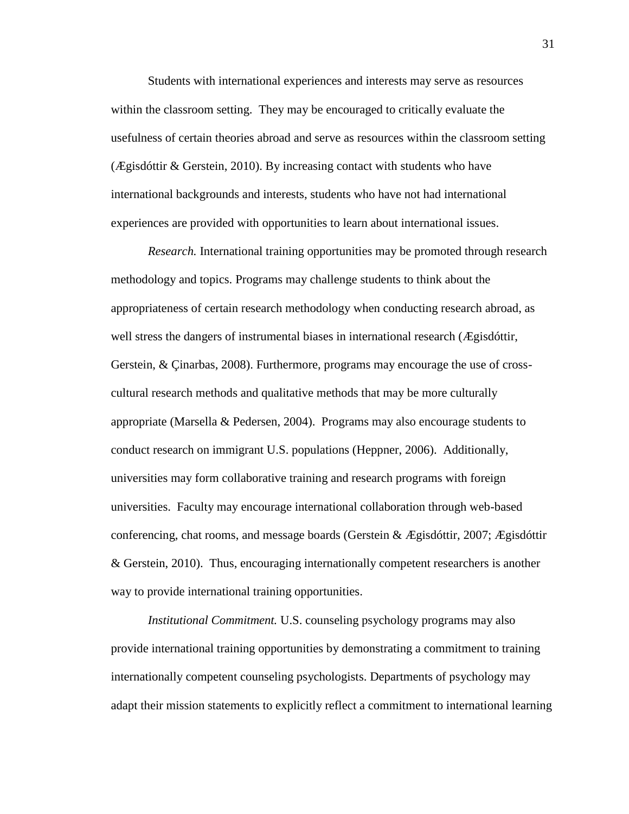Students with international experiences and interests may serve as resources within the classroom setting. They may be encouraged to critically evaluate the usefulness of certain theories abroad and serve as resources within the classroom setting (Ægisdóttir & Gerstein, 2010). By increasing contact with students who have international backgrounds and interests, students who have not had international experiences are provided with opportunities to learn about international issues.

*Research.* International training opportunities may be promoted through research methodology and topics. Programs may challenge students to think about the appropriateness of certain research methodology when conducting research abroad, as well stress the dangers of instrumental biases in international research (Ægisdóttir, Gerstein, & Çinarbas, 2008). Furthermore, programs may encourage the use of crosscultural research methods and qualitative methods that may be more culturally appropriate (Marsella & Pedersen, 2004). Programs may also encourage students to conduct research on immigrant U.S. populations (Heppner, 2006). Additionally, universities may form collaborative training and research programs with foreign universities. Faculty may encourage international collaboration through web-based conferencing, chat rooms, and message boards (Gerstein  $\&$  Ægisdóttir, 2007; Ægisdóttir & Gerstein, 2010). Thus, encouraging internationally competent researchers is another way to provide international training opportunities.

*Institutional Commitment.* U.S. counseling psychology programs may also provide international training opportunities by demonstrating a commitment to training internationally competent counseling psychologists. Departments of psychology may adapt their mission statements to explicitly reflect a commitment to international learning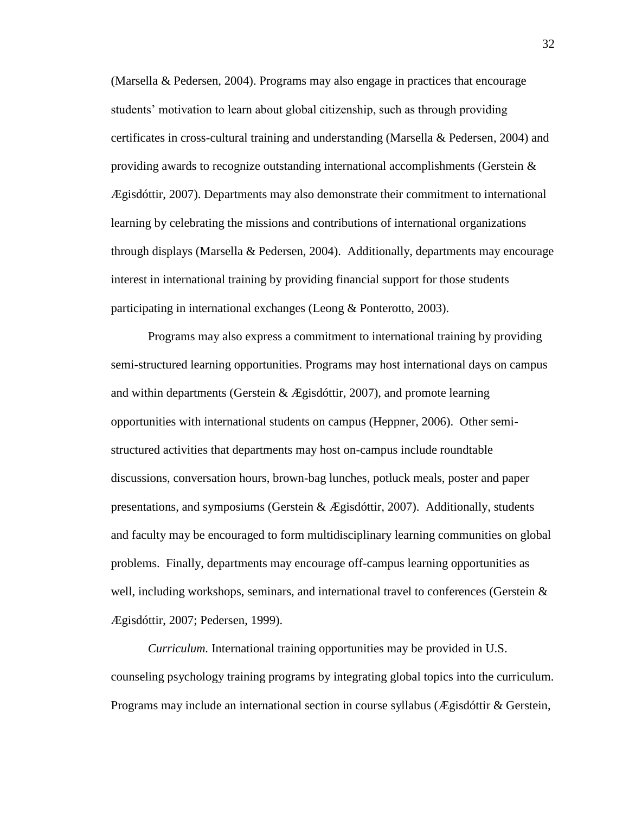(Marsella & Pedersen, 2004). Programs may also engage in practices that encourage students' motivation to learn about global citizenship, such as through providing certificates in cross-cultural training and understanding (Marsella & Pedersen, 2004) and providing awards to recognize outstanding international accomplishments (Gerstein  $\&$ Ægisdóttir, 2007). Departments may also demonstrate their commitment to international learning by celebrating the missions and contributions of international organizations through displays (Marsella & Pedersen, 2004). Additionally, departments may encourage interest in international training by providing financial support for those students participating in international exchanges (Leong & Ponterotto, 2003).

Programs may also express a commitment to international training by providing semi-structured learning opportunities. Programs may host international days on campus and within departments (Gerstein & Ægisdóttir, 2007), and promote learning opportunities with international students on campus (Heppner, 2006). Other semistructured activities that departments may host on-campus include roundtable discussions, conversation hours, brown-bag lunches, potluck meals, poster and paper presentations, and symposiums (Gerstein  $\&$  Ægisdóttir, 2007). Additionally, students and faculty may be encouraged to form multidisciplinary learning communities on global problems. Finally, departments may encourage off-campus learning opportunities as well, including workshops, seminars, and international travel to conferences (Gerstein  $\&$ Ægisdóttir, 2007; Pedersen, 1999).

*Curriculum.* International training opportunities may be provided in U.S. counseling psychology training programs by integrating global topics into the curriculum. Programs may include an international section in course syllabus (Ægisdóttir & Gerstein,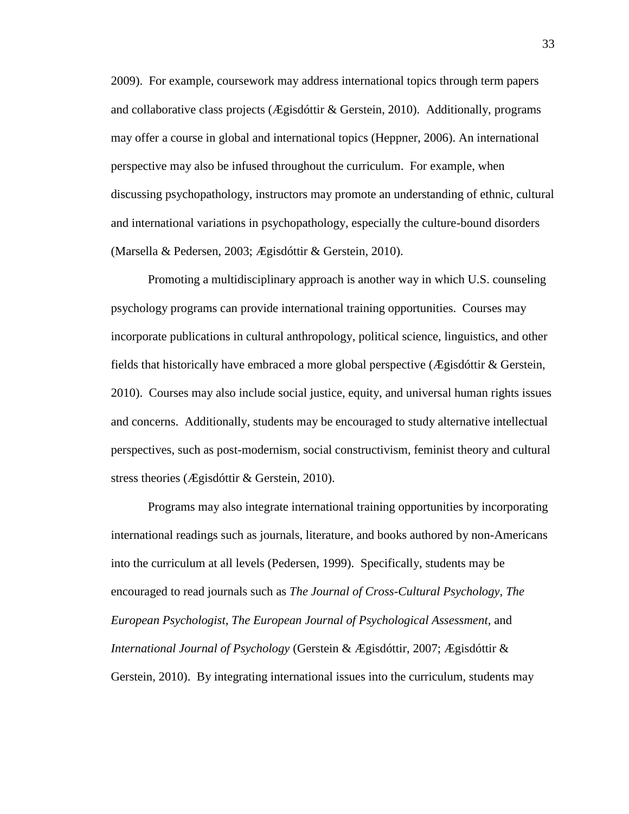2009). For example, coursework may address international topics through term papers and collaborative class projects (Ægisdóttir & Gerstein, 2010). Additionally, programs may offer a course in global and international topics (Heppner, 2006). An international perspective may also be infused throughout the curriculum. For example, when discussing psychopathology, instructors may promote an understanding of ethnic, cultural and international variations in psychopathology, especially the culture-bound disorders (Marsella & Pedersen, 2003; Ægisdóttir & Gerstein, 2010).

Promoting a multidisciplinary approach is another way in which U.S. counseling psychology programs can provide international training opportunities. Courses may incorporate publications in cultural anthropology, political science, linguistics, and other fields that historically have embraced a more global perspective (Ægisdóttir & Gerstein, 2010). Courses may also include social justice, equity, and universal human rights issues and concerns. Additionally, students may be encouraged to study alternative intellectual perspectives, such as post-modernism, social constructivism, feminist theory and cultural stress theories (Ægisdóttir & Gerstein, 2010).

Programs may also integrate international training opportunities by incorporating international readings such as journals, literature, and books authored by non-Americans into the curriculum at all levels (Pedersen, 1999). Specifically, students may be encouraged to read journals such as *The Journal of Cross-Cultural Psychology, The European Psychologist, The European Journal of Psychological Assessment,* and *International Journal of Psychology* (Gerstein & Ægisdóttir, 2007; Ægisdóttir & Gerstein, 2010). By integrating international issues into the curriculum, students may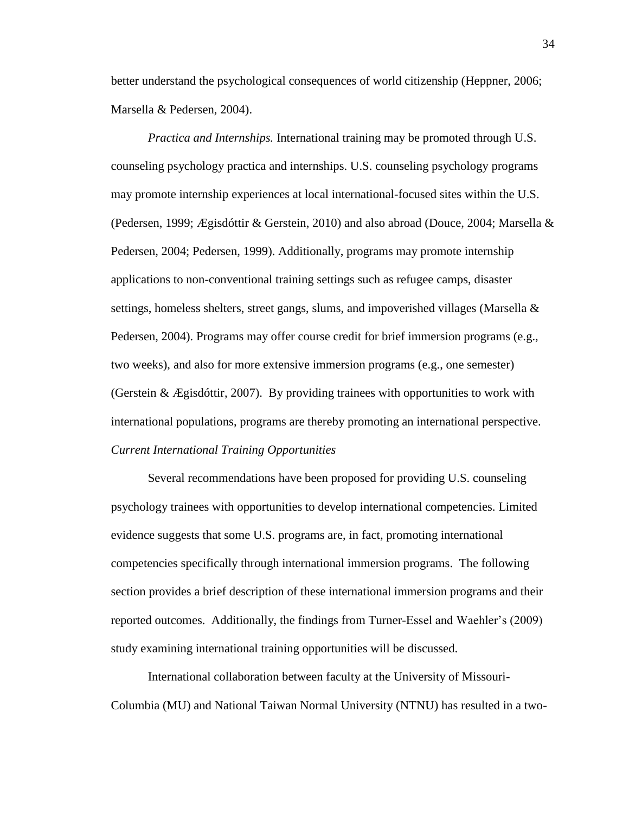better understand the psychological consequences of world citizenship (Heppner, 2006; Marsella & Pedersen, 2004).

*Practica and Internships.* International training may be promoted through U.S. counseling psychology practica and internships. U.S. counseling psychology programs may promote internship experiences at local international-focused sites within the U.S. (Pedersen, 1999; Ægisdóttir & Gerstein, 2010) and also abroad (Douce, 2004; Marsella & Pedersen, 2004; Pedersen, 1999). Additionally, programs may promote internship applications to non-conventional training settings such as refugee camps, disaster settings, homeless shelters, street gangs, slums, and impoverished villages (Marsella  $\&$ Pedersen, 2004). Programs may offer course credit for brief immersion programs (e.g., two weeks), and also for more extensive immersion programs (e.g., one semester) (Gerstein & Ægisdóttir, 2007). By providing trainees with opportunities to work with international populations, programs are thereby promoting an international perspective. *Current International Training Opportunities*

Several recommendations have been proposed for providing U.S. counseling psychology trainees with opportunities to develop international competencies. Limited evidence suggests that some U.S. programs are, in fact, promoting international competencies specifically through international immersion programs. The following section provides a brief description of these international immersion programs and their reported outcomes. Additionally, the findings from Turner-Essel and Waehler's (2009) study examining international training opportunities will be discussed.

International collaboration between faculty at the University of Missouri-Columbia (MU) and National Taiwan Normal University (NTNU) has resulted in a two-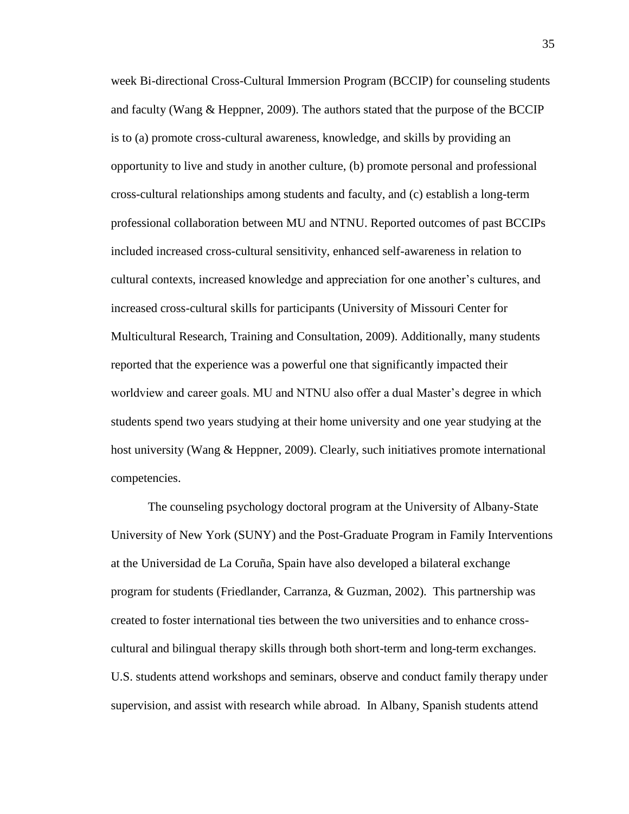week Bi-directional Cross-Cultural Immersion Program (BCCIP) for counseling students and faculty (Wang & Heppner, 2009). The authors stated that the purpose of the BCCIP is to (a) promote cross-cultural awareness, knowledge, and skills by providing an opportunity to live and study in another culture, (b) promote personal and professional cross-cultural relationships among students and faculty, and (c) establish a long-term professional collaboration between MU and NTNU. Reported outcomes of past BCCIPs included increased cross-cultural sensitivity, enhanced self-awareness in relation to cultural contexts, increased knowledge and appreciation for one another's cultures, and increased cross-cultural skills for participants (University of Missouri Center for Multicultural Research, Training and Consultation, 2009). Additionally, many students reported that the experience was a powerful one that significantly impacted their worldview and career goals. MU and NTNU also offer a dual Master's degree in which students spend two years studying at their home university and one year studying at the host university (Wang & Heppner, 2009). Clearly, such initiatives promote international competencies.

The counseling psychology doctoral program at the University of Albany-State University of New York (SUNY) and the Post-Graduate Program in Family Interventions at the Universidad de La Coruña, Spain have also developed a bilateral exchange program for students (Friedlander, Carranza, & Guzman, 2002). This partnership was created to foster international ties between the two universities and to enhance crosscultural and bilingual therapy skills through both short-term and long-term exchanges. U.S. students attend workshops and seminars, observe and conduct family therapy under supervision, and assist with research while abroad. In Albany, Spanish students attend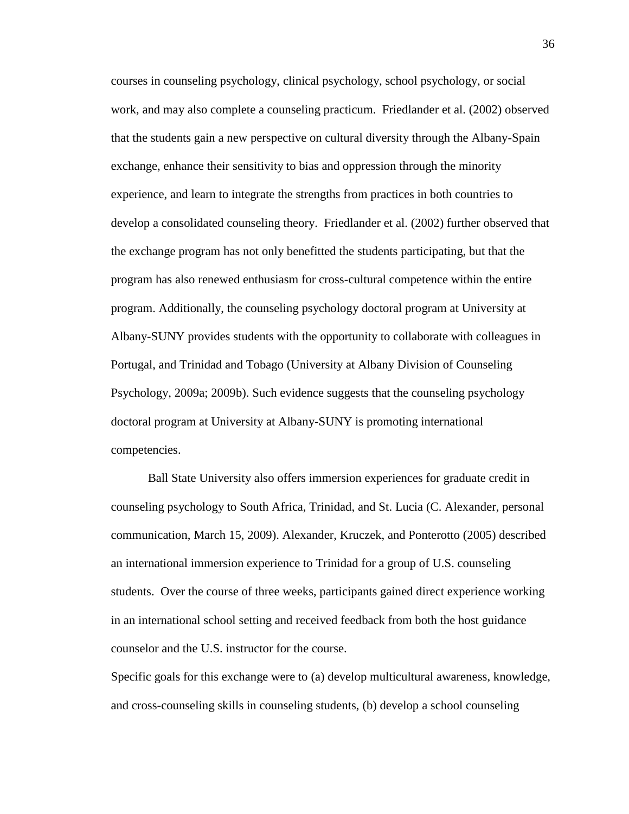courses in counseling psychology, clinical psychology, school psychology, or social work, and may also complete a counseling practicum. Friedlander et al. (2002) observed that the students gain a new perspective on cultural diversity through the Albany-Spain exchange, enhance their sensitivity to bias and oppression through the minority experience, and learn to integrate the strengths from practices in both countries to develop a consolidated counseling theory. Friedlander et al. (2002) further observed that the exchange program has not only benefitted the students participating, but that the program has also renewed enthusiasm for cross-cultural competence within the entire program. Additionally, the counseling psychology doctoral program at University at Albany-SUNY provides students with the opportunity to collaborate with colleagues in Portugal, and Trinidad and Tobago (University at Albany Division of Counseling Psychology, 2009a; 2009b). Such evidence suggests that the counseling psychology doctoral program at University at Albany-SUNY is promoting international competencies.

Ball State University also offers immersion experiences for graduate credit in counseling psychology to South Africa, Trinidad, and St. Lucia (C. Alexander, personal communication, March 15, 2009). Alexander, Kruczek, and Ponterotto (2005) described an international immersion experience to Trinidad for a group of U.S. counseling students. Over the course of three weeks, participants gained direct experience working in an international school setting and received feedback from both the host guidance counselor and the U.S. instructor for the course.

Specific goals for this exchange were to (a) develop multicultural awareness, knowledge, and cross-counseling skills in counseling students, (b) develop a school counseling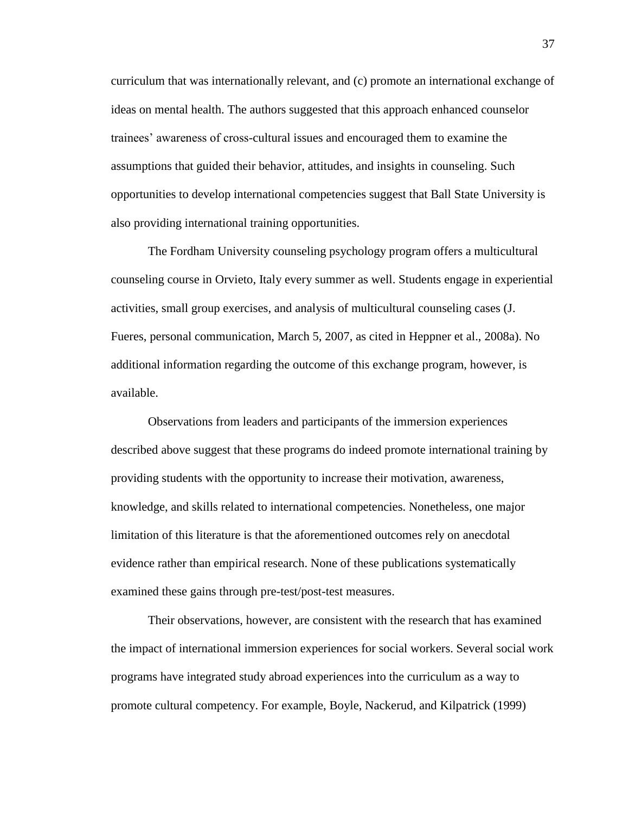curriculum that was internationally relevant, and (c) promote an international exchange of ideas on mental health. The authors suggested that this approach enhanced counselor trainees' awareness of cross-cultural issues and encouraged them to examine the assumptions that guided their behavior, attitudes, and insights in counseling. Such opportunities to develop international competencies suggest that Ball State University is also providing international training opportunities.

The Fordham University counseling psychology program offers a multicultural counseling course in Orvieto, Italy every summer as well. Students engage in experiential activities, small group exercises, and analysis of multicultural counseling cases (J. Fueres, personal communication, March 5, 2007, as cited in Heppner et al., 2008a). No additional information regarding the outcome of this exchange program, however, is available.

Observations from leaders and participants of the immersion experiences described above suggest that these programs do indeed promote international training by providing students with the opportunity to increase their motivation, awareness, knowledge, and skills related to international competencies. Nonetheless, one major limitation of this literature is that the aforementioned outcomes rely on anecdotal evidence rather than empirical research. None of these publications systematically examined these gains through pre-test/post-test measures.

Their observations, however, are consistent with the research that has examined the impact of international immersion experiences for social workers. Several social work programs have integrated study abroad experiences into the curriculum as a way to promote cultural competency. For example, Boyle, Nackerud, and Kilpatrick (1999)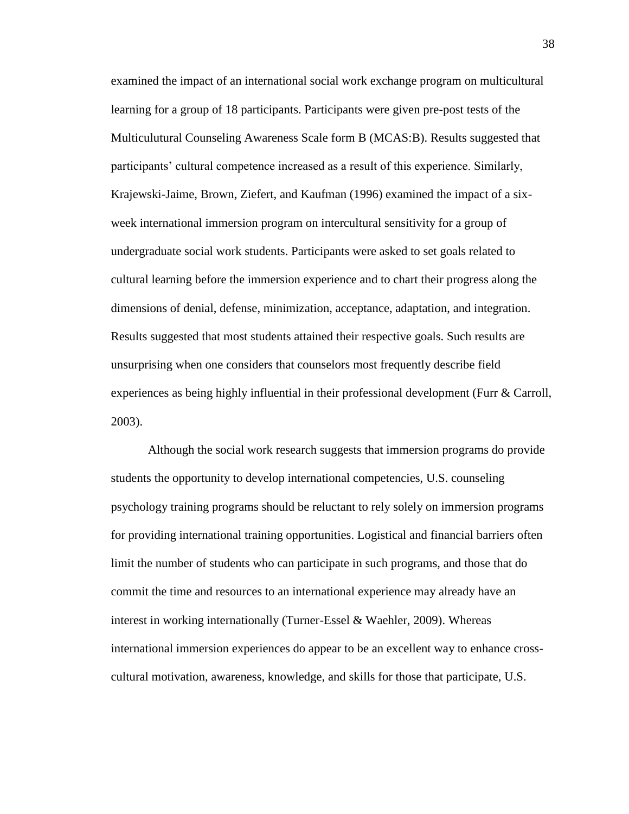examined the impact of an international social work exchange program on multicultural learning for a group of 18 participants. Participants were given pre-post tests of the Multiculutural Counseling Awareness Scale form B (MCAS:B). Results suggested that participants' cultural competence increased as a result of this experience. Similarly, Krajewski-Jaime, Brown, Ziefert, and Kaufman (1996) examined the impact of a sixweek international immersion program on intercultural sensitivity for a group of undergraduate social work students. Participants were asked to set goals related to cultural learning before the immersion experience and to chart their progress along the dimensions of denial, defense, minimization, acceptance, adaptation, and integration. Results suggested that most students attained their respective goals. Such results are unsurprising when one considers that counselors most frequently describe field experiences as being highly influential in their professional development (Furr & Carroll, 2003).

Although the social work research suggests that immersion programs do provide students the opportunity to develop international competencies, U.S. counseling psychology training programs should be reluctant to rely solely on immersion programs for providing international training opportunities. Logistical and financial barriers often limit the number of students who can participate in such programs, and those that do commit the time and resources to an international experience may already have an interest in working internationally (Turner-Essel & Waehler, 2009). Whereas international immersion experiences do appear to be an excellent way to enhance crosscultural motivation, awareness, knowledge, and skills for those that participate, U.S.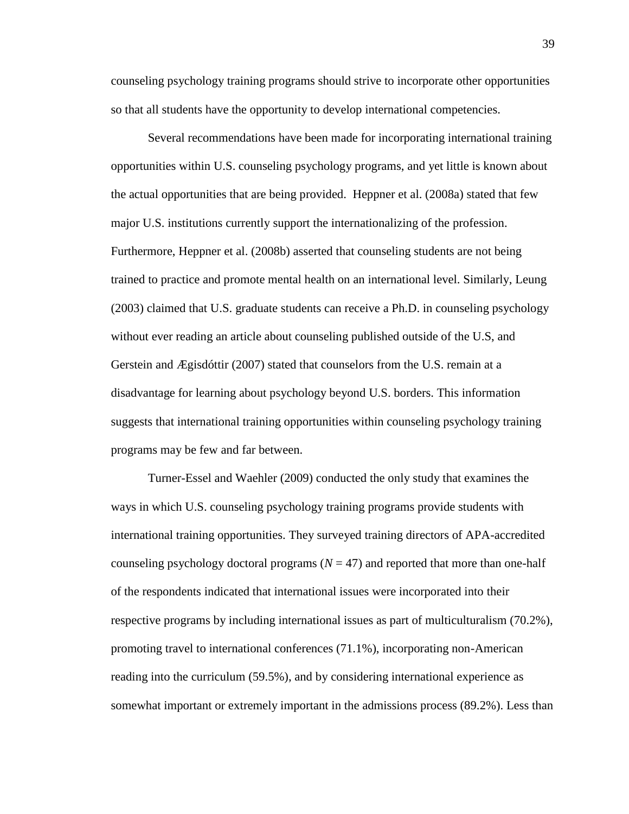counseling psychology training programs should strive to incorporate other opportunities so that all students have the opportunity to develop international competencies.

Several recommendations have been made for incorporating international training opportunities within U.S. counseling psychology programs, and yet little is known about the actual opportunities that are being provided. Heppner et al. (2008a) stated that few major U.S. institutions currently support the internationalizing of the profession. Furthermore, Heppner et al. (2008b) asserted that counseling students are not being trained to practice and promote mental health on an international level. Similarly, Leung (2003) claimed that U.S. graduate students can receive a Ph.D. in counseling psychology without ever reading an article about counseling published outside of the U.S, and Gerstein and Ægisdóttir (2007) stated that counselors from the U.S. remain at a disadvantage for learning about psychology beyond U.S. borders. This information suggests that international training opportunities within counseling psychology training programs may be few and far between.

Turner-Essel and Waehler (2009) conducted the only study that examines the ways in which U.S. counseling psychology training programs provide students with international training opportunities. They surveyed training directors of APA-accredited counseling psychology doctoral programs  $(N = 47)$  and reported that more than one-half of the respondents indicated that international issues were incorporated into their respective programs by including international issues as part of multiculturalism (70.2%), promoting travel to international conferences (71.1%), incorporating non-American reading into the curriculum (59.5%), and by considering international experience as somewhat important or extremely important in the admissions process (89.2%). Less than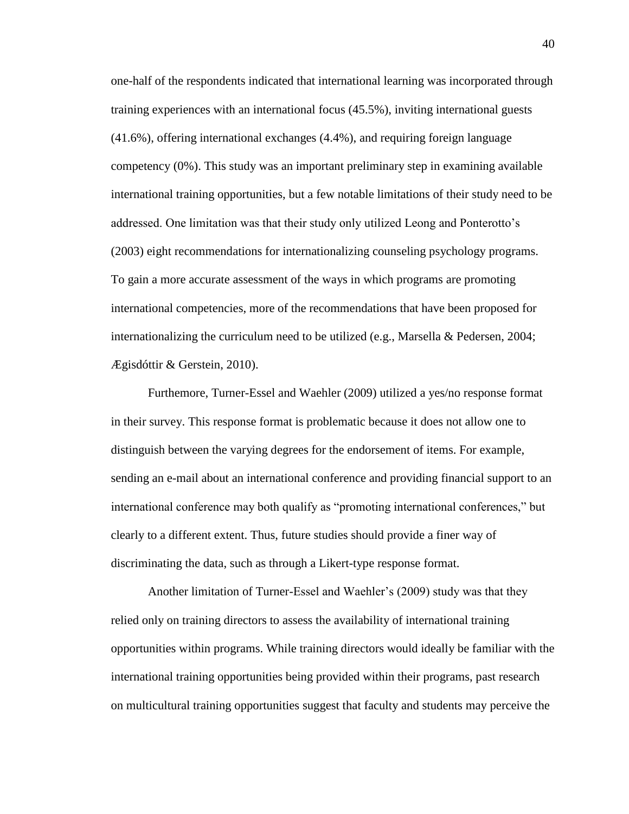one-half of the respondents indicated that international learning was incorporated through training experiences with an international focus (45.5%), inviting international guests (41.6%), offering international exchanges (4.4%), and requiring foreign language competency (0%). This study was an important preliminary step in examining available international training opportunities, but a few notable limitations of their study need to be addressed. One limitation was that their study only utilized Leong and Ponterotto's (2003) eight recommendations for internationalizing counseling psychology programs. To gain a more accurate assessment of the ways in which programs are promoting international competencies, more of the recommendations that have been proposed for internationalizing the curriculum need to be utilized (e.g., Marsella & Pedersen, 2004; Ægisdóttir & Gerstein, 2010).

Furthemore, Turner-Essel and Waehler (2009) utilized a yes/no response format in their survey. This response format is problematic because it does not allow one to distinguish between the varying degrees for the endorsement of items. For example, sending an e-mail about an international conference and providing financial support to an international conference may both qualify as "promoting international conferences," but clearly to a different extent. Thus, future studies should provide a finer way of discriminating the data, such as through a Likert-type response format.

Another limitation of Turner-Essel and Waehler's (2009) study was that they relied only on training directors to assess the availability of international training opportunities within programs. While training directors would ideally be familiar with the international training opportunities being provided within their programs, past research on multicultural training opportunities suggest that faculty and students may perceive the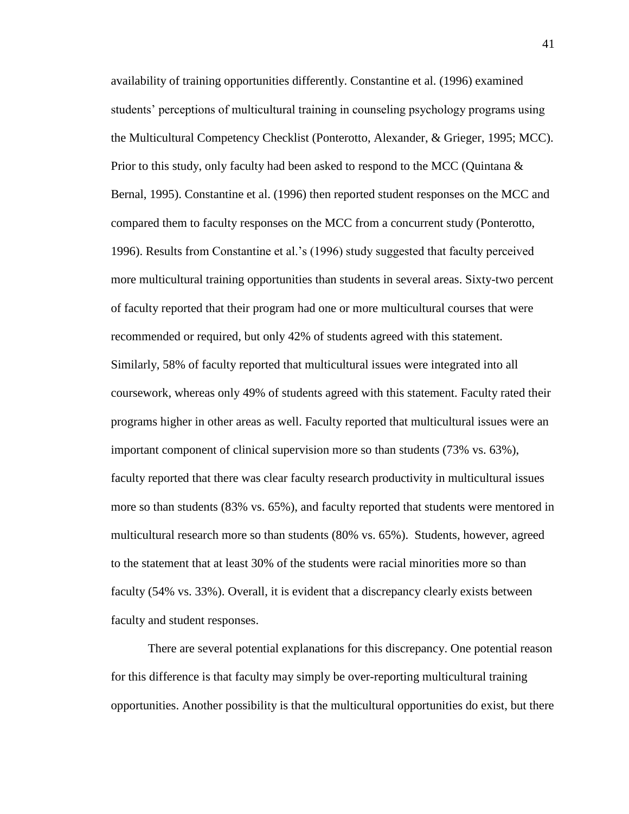availability of training opportunities differently. Constantine et al. (1996) examined students' perceptions of multicultural training in counseling psychology programs using the Multicultural Competency Checklist (Ponterotto, Alexander, & Grieger, 1995; MCC). Prior to this study, only faculty had been asked to respond to the MCC (Quintana  $\&$ Bernal, 1995). Constantine et al. (1996) then reported student responses on the MCC and compared them to faculty responses on the MCC from a concurrent study (Ponterotto, 1996). Results from Constantine et al.'s (1996) study suggested that faculty perceived more multicultural training opportunities than students in several areas. Sixty-two percent of faculty reported that their program had one or more multicultural courses that were recommended or required, but only 42% of students agreed with this statement. Similarly, 58% of faculty reported that multicultural issues were integrated into all coursework, whereas only 49% of students agreed with this statement. Faculty rated their programs higher in other areas as well. Faculty reported that multicultural issues were an important component of clinical supervision more so than students (73% vs. 63%), faculty reported that there was clear faculty research productivity in multicultural issues more so than students (83% vs. 65%), and faculty reported that students were mentored in multicultural research more so than students (80% vs. 65%). Students, however, agreed to the statement that at least 30% of the students were racial minorities more so than faculty (54% vs. 33%). Overall, it is evident that a discrepancy clearly exists between faculty and student responses.

There are several potential explanations for this discrepancy. One potential reason for this difference is that faculty may simply be over-reporting multicultural training opportunities. Another possibility is that the multicultural opportunities do exist, but there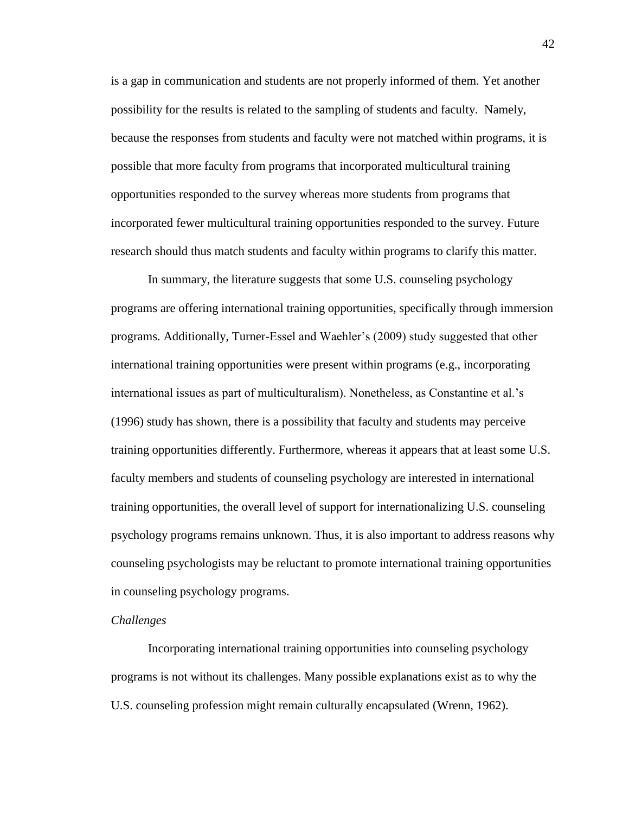is a gap in communication and students are not properly informed of them. Yet another possibility for the results is related to the sampling of students and faculty. Namely, because the responses from students and faculty were not matched within programs, it is possible that more faculty from programs that incorporated multicultural training opportunities responded to the survey whereas more students from programs that incorporated fewer multicultural training opportunities responded to the survey. Future research should thus match students and faculty within programs to clarify this matter.

In summary, the literature suggests that some U.S. counseling psychology programs are offering international training opportunities, specifically through immersion programs. Additionally, Turner-Essel and Waehler's (2009) study suggested that other international training opportunities were present within programs (e.g., incorporating international issues as part of multiculturalism). Nonetheless, as Constantine et al.'s (1996) study has shown, there is a possibility that faculty and students may perceive training opportunities differently. Furthermore, whereas it appears that at least some U.S. faculty members and students of counseling psychology are interested in international training opportunities, the overall level of support for internationalizing U.S. counseling psychology programs remains unknown. Thus, it is also important to address reasons why counseling psychologists may be reluctant to promote international training opportunities in counseling psychology programs.

#### *Challenges*

Incorporating international training opportunities into counseling psychology programs is not without its challenges. Many possible explanations exist as to why the U.S. counseling profession might remain culturally encapsulated (Wrenn, 1962).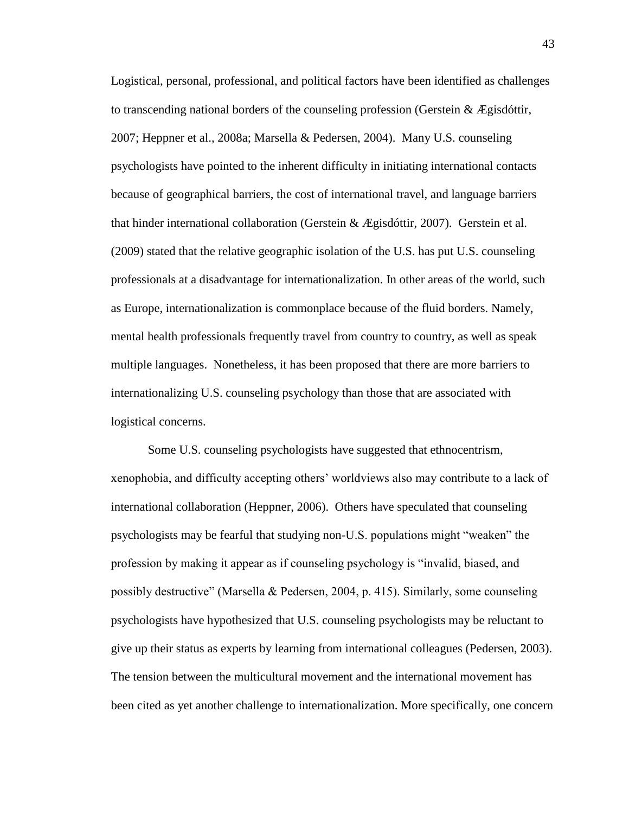Logistical, personal, professional, and political factors have been identified as challenges to transcending national borders of the counseling profession (Gerstein & Ægisdóttir, 2007; Heppner et al., 2008a; Marsella & Pedersen, 2004). Many U.S. counseling psychologists have pointed to the inherent difficulty in initiating international contacts because of geographical barriers, the cost of international travel, and language barriers that hinder international collaboration (Gerstein  $\&$  Ægisdóttir, 2007). Gerstein et al. (2009) stated that the relative geographic isolation of the U.S. has put U.S. counseling professionals at a disadvantage for internationalization. In other areas of the world, such as Europe, internationalization is commonplace because of the fluid borders. Namely, mental health professionals frequently travel from country to country, as well as speak multiple languages. Nonetheless, it has been proposed that there are more barriers to internationalizing U.S. counseling psychology than those that are associated with logistical concerns.

Some U.S. counseling psychologists have suggested that ethnocentrism, xenophobia, and difficulty accepting others' worldviews also may contribute to a lack of international collaboration (Heppner, 2006). Others have speculated that counseling psychologists may be fearful that studying non-U.S. populations might "weaken" the profession by making it appear as if counseling psychology is "invalid, biased, and possibly destructive" (Marsella & Pedersen, 2004, p. 415). Similarly, some counseling psychologists have hypothesized that U.S. counseling psychologists may be reluctant to give up their status as experts by learning from international colleagues (Pedersen, 2003). The tension between the multicultural movement and the international movement has been cited as yet another challenge to internationalization. More specifically, one concern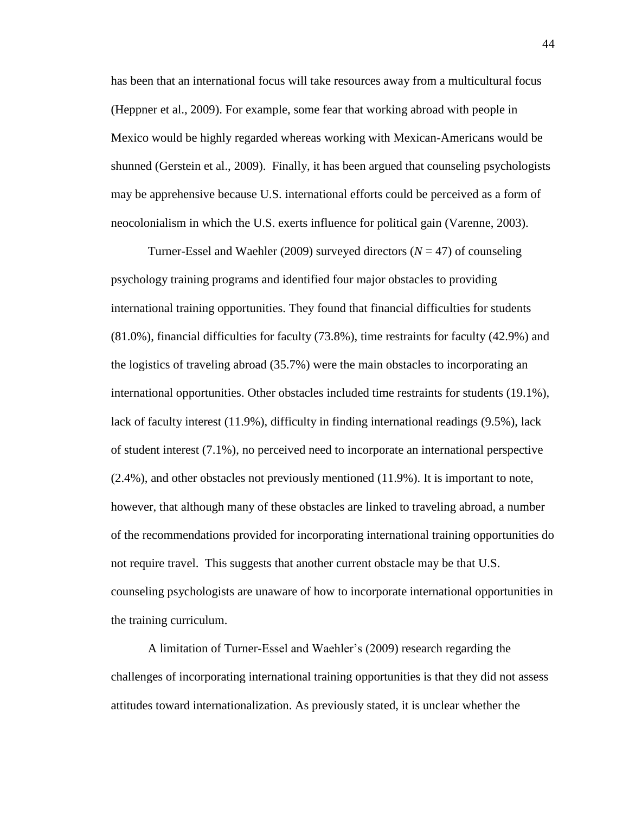has been that an international focus will take resources away from a multicultural focus (Heppner et al., 2009). For example, some fear that working abroad with people in Mexico would be highly regarded whereas working with Mexican-Americans would be shunned (Gerstein et al., 2009). Finally, it has been argued that counseling psychologists may be apprehensive because U.S. international efforts could be perceived as a form of neocolonialism in which the U.S. exerts influence for political gain (Varenne, 2003).

Turner-Essel and Waehler (2009) surveyed directors ( $N = 47$ ) of counseling psychology training programs and identified four major obstacles to providing international training opportunities. They found that financial difficulties for students (81.0%), financial difficulties for faculty (73.8%), time restraints for faculty (42.9%) and the logistics of traveling abroad (35.7%) were the main obstacles to incorporating an international opportunities. Other obstacles included time restraints for students (19.1%), lack of faculty interest (11.9%), difficulty in finding international readings (9.5%), lack of student interest (7.1%), no perceived need to incorporate an international perspective (2.4%), and other obstacles not previously mentioned (11.9%). It is important to note, however, that although many of these obstacles are linked to traveling abroad, a number of the recommendations provided for incorporating international training opportunities do not require travel. This suggests that another current obstacle may be that U.S. counseling psychologists are unaware of how to incorporate international opportunities in the training curriculum.

A limitation of Turner-Essel and Waehler's (2009) research regarding the challenges of incorporating international training opportunities is that they did not assess attitudes toward internationalization. As previously stated, it is unclear whether the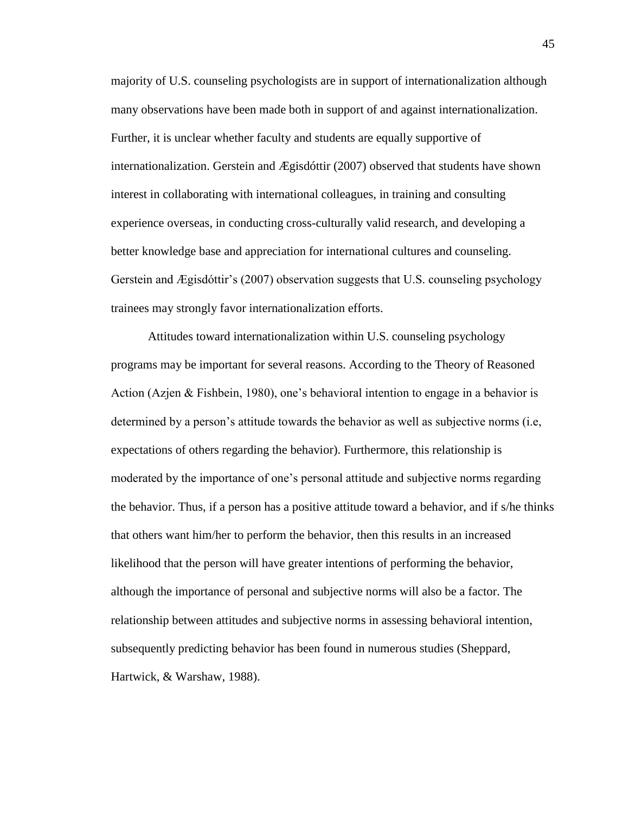majority of U.S. counseling psychologists are in support of internationalization although many observations have been made both in support of and against internationalization. Further, it is unclear whether faculty and students are equally supportive of internationalization. Gerstein and Ægisdóttir (2007) observed that students have shown interest in collaborating with international colleagues, in training and consulting experience overseas, in conducting cross-culturally valid research, and developing a better knowledge base and appreciation for international cultures and counseling. Gerstein and Ægisdóttir's (2007) observation suggests that U.S. counseling psychology trainees may strongly favor internationalization efforts.

Attitudes toward internationalization within U.S. counseling psychology programs may be important for several reasons. According to the Theory of Reasoned Action (Azjen & Fishbein, 1980), one's behavioral intention to engage in a behavior is determined by a person's attitude towards the behavior as well as subjective norms (i.e, expectations of others regarding the behavior). Furthermore, this relationship is moderated by the importance of one's personal attitude and subjective norms regarding the behavior. Thus, if a person has a positive attitude toward a behavior, and if s/he thinks that others want him/her to perform the behavior, then this results in an increased likelihood that the person will have greater intentions of performing the behavior, although the importance of personal and subjective norms will also be a factor. The relationship between attitudes and subjective norms in assessing behavioral intention, subsequently predicting behavior has been found in numerous studies (Sheppard, Hartwick, & Warshaw, 1988).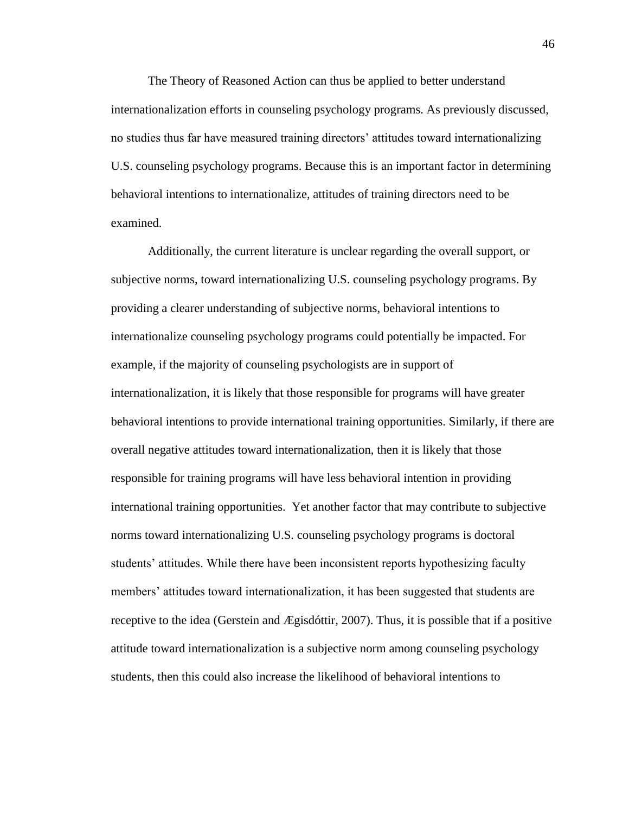The Theory of Reasoned Action can thus be applied to better understand internationalization efforts in counseling psychology programs. As previously discussed, no studies thus far have measured training directors' attitudes toward internationalizing U.S. counseling psychology programs. Because this is an important factor in determining behavioral intentions to internationalize, attitudes of training directors need to be examined.

Additionally, the current literature is unclear regarding the overall support, or subjective norms, toward internationalizing U.S. counseling psychology programs. By providing a clearer understanding of subjective norms, behavioral intentions to internationalize counseling psychology programs could potentially be impacted. For example, if the majority of counseling psychologists are in support of internationalization, it is likely that those responsible for programs will have greater behavioral intentions to provide international training opportunities. Similarly, if there are overall negative attitudes toward internationalization, then it is likely that those responsible for training programs will have less behavioral intention in providing international training opportunities. Yet another factor that may contribute to subjective norms toward internationalizing U.S. counseling psychology programs is doctoral students' attitudes. While there have been inconsistent reports hypothesizing faculty members' attitudes toward internationalization, it has been suggested that students are receptive to the idea (Gerstein and Ægisdóttir, 2007). Thus, it is possible that if a positive attitude toward internationalization is a subjective norm among counseling psychology students, then this could also increase the likelihood of behavioral intentions to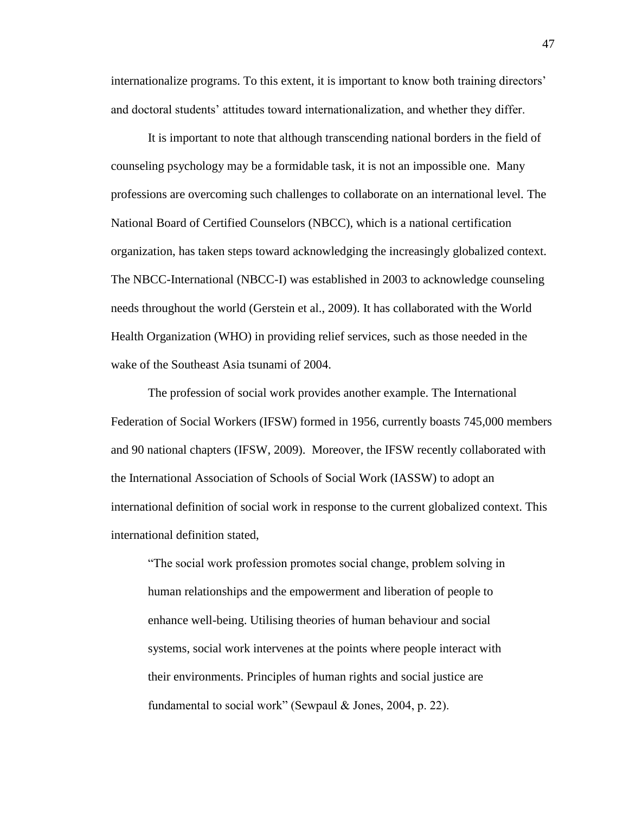internationalize programs. To this extent, it is important to know both training directors' and doctoral students' attitudes toward internationalization, and whether they differ.

It is important to note that although transcending national borders in the field of counseling psychology may be a formidable task, it is not an impossible one. Many professions are overcoming such challenges to collaborate on an international level. The National Board of Certified Counselors (NBCC), which is a national certification organization, has taken steps toward acknowledging the increasingly globalized context. The NBCC-International (NBCC-I) was established in 2003 to acknowledge counseling needs throughout the world (Gerstein et al., 2009). It has collaborated with the World Health Organization (WHO) in providing relief services, such as those needed in the wake of the Southeast Asia tsunami of 2004.

The profession of social work provides another example. The International Federation of Social Workers (IFSW) formed in 1956, currently boasts 745,000 members and 90 national chapters (IFSW, 2009). Moreover, the IFSW recently collaborated with the International Association of Schools of Social Work (IASSW) to adopt an international definition of social work in response to the current globalized context. This international definition stated,

"The social work profession promotes social change, problem solving in human relationships and the empowerment and liberation of people to enhance well-being. Utilising theories of human behaviour and social systems, social work intervenes at the points where people interact with their environments. Principles of human rights and social justice are fundamental to social work" (Sewpaul & Jones, 2004, p. 22).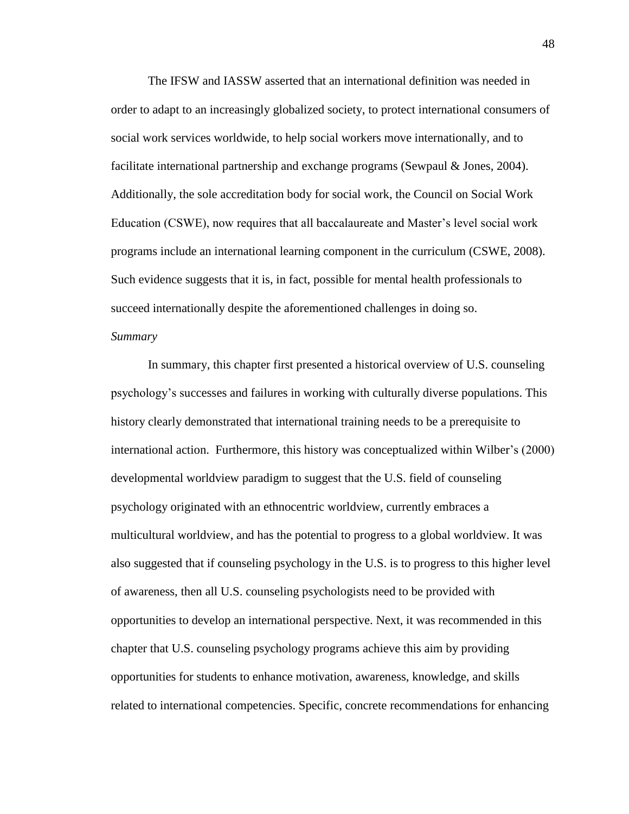The IFSW and IASSW asserted that an international definition was needed in order to adapt to an increasingly globalized society, to protect international consumers of social work services worldwide, to help social workers move internationally, and to facilitate international partnership and exchange programs (Sewpaul & Jones, 2004). Additionally, the sole accreditation body for social work, the Council on Social Work Education (CSWE), now requires that all baccalaureate and Master's level social work programs include an international learning component in the curriculum (CSWE, 2008). Such evidence suggests that it is, in fact, possible for mental health professionals to succeed internationally despite the aforementioned challenges in doing so.

# *Summary*

In summary, this chapter first presented a historical overview of U.S. counseling psychology's successes and failures in working with culturally diverse populations. This history clearly demonstrated that international training needs to be a prerequisite to international action. Furthermore, this history was conceptualized within Wilber's (2000) developmental worldview paradigm to suggest that the U.S. field of counseling psychology originated with an ethnocentric worldview, currently embraces a multicultural worldview, and has the potential to progress to a global worldview. It was also suggested that if counseling psychology in the U.S. is to progress to this higher level of awareness, then all U.S. counseling psychologists need to be provided with opportunities to develop an international perspective. Next, it was recommended in this chapter that U.S. counseling psychology programs achieve this aim by providing opportunities for students to enhance motivation, awareness, knowledge, and skills related to international competencies. Specific, concrete recommendations for enhancing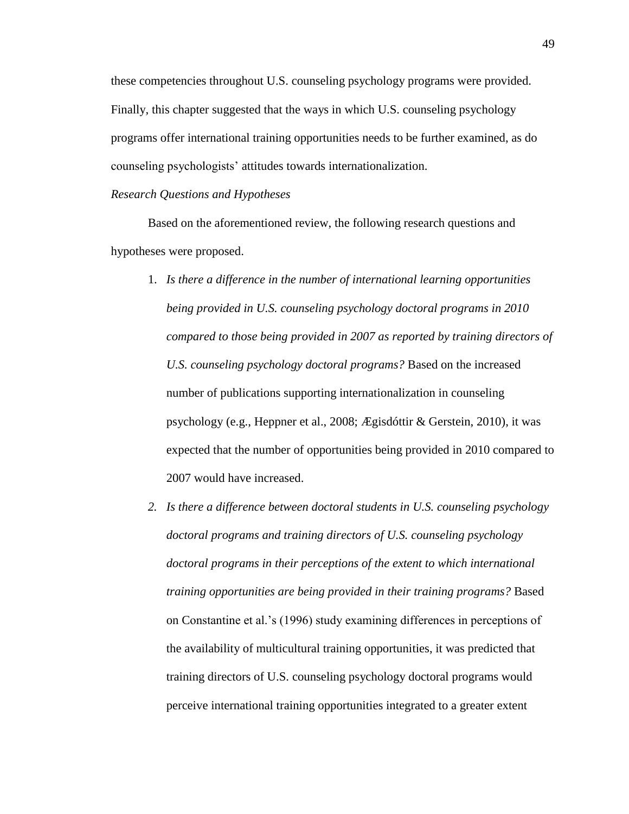these competencies throughout U.S. counseling psychology programs were provided. Finally, this chapter suggested that the ways in which U.S. counseling psychology programs offer international training opportunities needs to be further examined, as do counseling psychologists' attitudes towards internationalization.

## *Research Questions and Hypotheses*

Based on the aforementioned review, the following research questions and hypotheses were proposed.

- 1. *Is there a difference in the number of international learning opportunities being provided in U.S. counseling psychology doctoral programs in 2010 compared to those being provided in 2007 as reported by training directors of U.S. counseling psychology doctoral programs?* Based on the increased number of publications supporting internationalization in counseling psychology (e.g., Heppner et al., 2008; Ægisdóttir & Gerstein, 2010), it was expected that the number of opportunities being provided in 2010 compared to 2007 would have increased.
- *2. Is there a difference between doctoral students in U.S. counseling psychology doctoral programs and training directors of U.S. counseling psychology doctoral programs in their perceptions of the extent to which international training opportunities are being provided in their training programs?* Based on Constantine et al.'s (1996) study examining differences in perceptions of the availability of multicultural training opportunities, it was predicted that training directors of U.S. counseling psychology doctoral programs would perceive international training opportunities integrated to a greater extent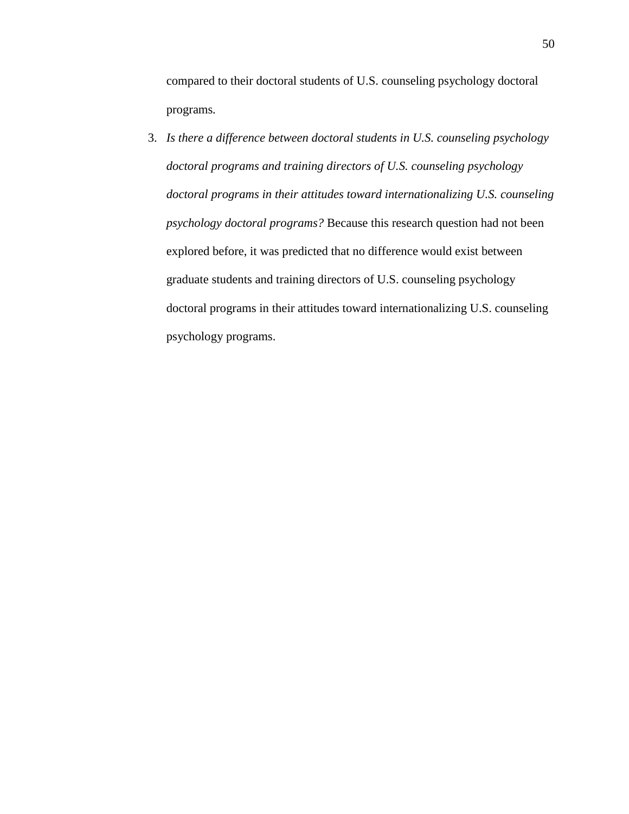compared to their doctoral students of U.S. counseling psychology doctoral programs*.*

3. *Is there a difference between doctoral students in U.S. counseling psychology doctoral programs and training directors of U.S. counseling psychology doctoral programs in their attitudes toward internationalizing U.S. counseling psychology doctoral programs?* Because this research question had not been explored before, it was predicted that no difference would exist between graduate students and training directors of U.S. counseling psychology doctoral programs in their attitudes toward internationalizing U.S. counseling psychology programs.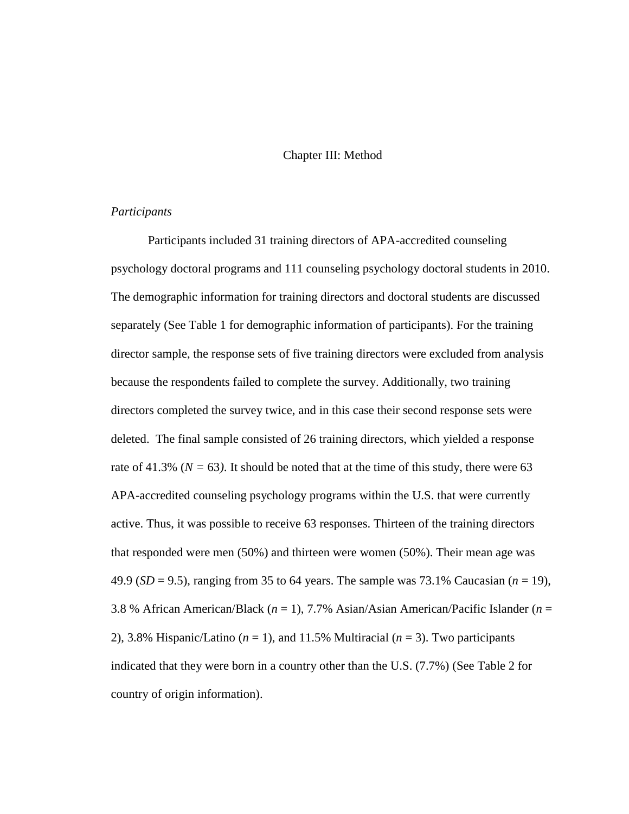# Chapter III: Method

# *Participants*

Participants included 31 training directors of APA-accredited counseling psychology doctoral programs and 111 counseling psychology doctoral students in 2010. The demographic information for training directors and doctoral students are discussed separately (See Table 1 for demographic information of participants). For the training director sample, the response sets of five training directors were excluded from analysis because the respondents failed to complete the survey. Additionally, two training directors completed the survey twice, and in this case their second response sets were deleted. The final sample consisted of 26 training directors, which yielded a response rate of 41.3% ( $N = 63$ ). It should be noted that at the time of this study, there were 63 APA-accredited counseling psychology programs within the U.S. that were currently active. Thus, it was possible to receive 63 responses. Thirteen of the training directors that responded were men (50%) and thirteen were women (50%). Their mean age was 49.9 (*SD* = 9.5), ranging from 35 to 64 years. The sample was 73.1% Caucasian (*n* = 19), 3.8 % African American/Black (*n* = 1), 7.7% Asian/Asian American/Pacific Islander (*n* = 2), 3.8% Hispanic/Latino (*n* = 1), and 11.5% Multiracial (*n* = 3). Two participants indicated that they were born in a country other than the U.S. (7.7%) (See Table 2 for country of origin information).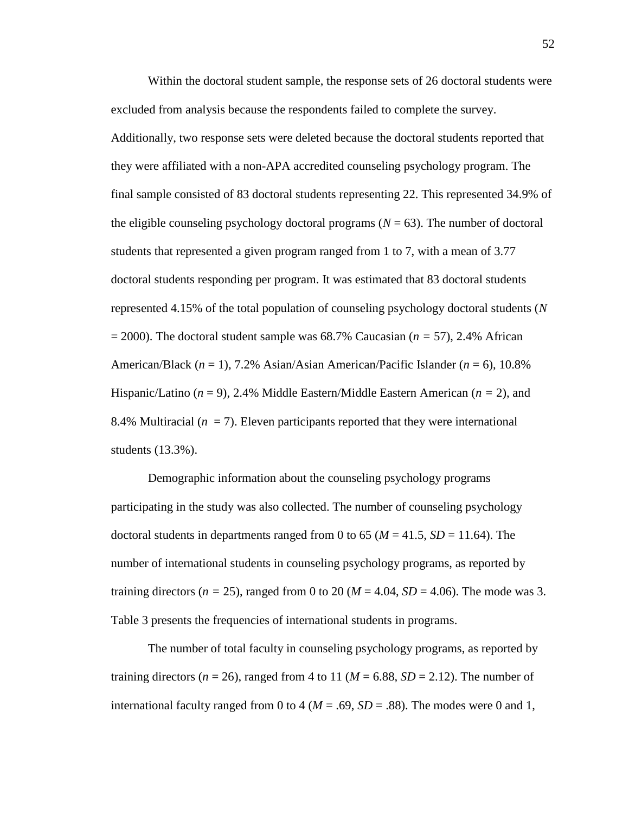Within the doctoral student sample, the response sets of 26 doctoral students were excluded from analysis because the respondents failed to complete the survey. Additionally, two response sets were deleted because the doctoral students reported that they were affiliated with a non-APA accredited counseling psychology program. The final sample consisted of 83 doctoral students representing 22. This represented 34.9% of the eligible counseling psychology doctoral programs  $(N = 63)$ . The number of doctoral students that represented a given program ranged from 1 to 7, with a mean of 3.77 doctoral students responding per program. It was estimated that 83 doctoral students represented 4.15% of the total population of counseling psychology doctoral students (*N*  = 2000). The doctoral student sample was 68.7% Caucasian (*n =* 57), 2.4% African American/Black (*n* = 1), 7.2% Asian/Asian American/Pacific Islander (*n* = 6), 10.8% Hispanic/Latino (*n* = 9), 2.4% Middle Eastern/Middle Eastern American (*n =* 2), and 8.4% Multiracial  $(n = 7)$ . Eleven participants reported that they were international students (13.3%).

Demographic information about the counseling psychology programs participating in the study was also collected. The number of counseling psychology doctoral students in departments ranged from 0 to 65 ( $M = 41.5$ ,  $SD = 11.64$ ). The number of international students in counseling psychology programs, as reported by training directors ( $n = 25$ ), ranged from 0 to 20 ( $M = 4.04$ ,  $SD = 4.06$ ). The mode was 3. Table 3 presents the frequencies of international students in programs.

The number of total faculty in counseling psychology programs, as reported by training directors ( $n = 26$ ), ranged from 4 to 11 ( $M = 6.88$ ,  $SD = 2.12$ ). The number of international faculty ranged from 0 to 4 ( $M = .69$ ,  $SD = .88$ ). The modes were 0 and 1,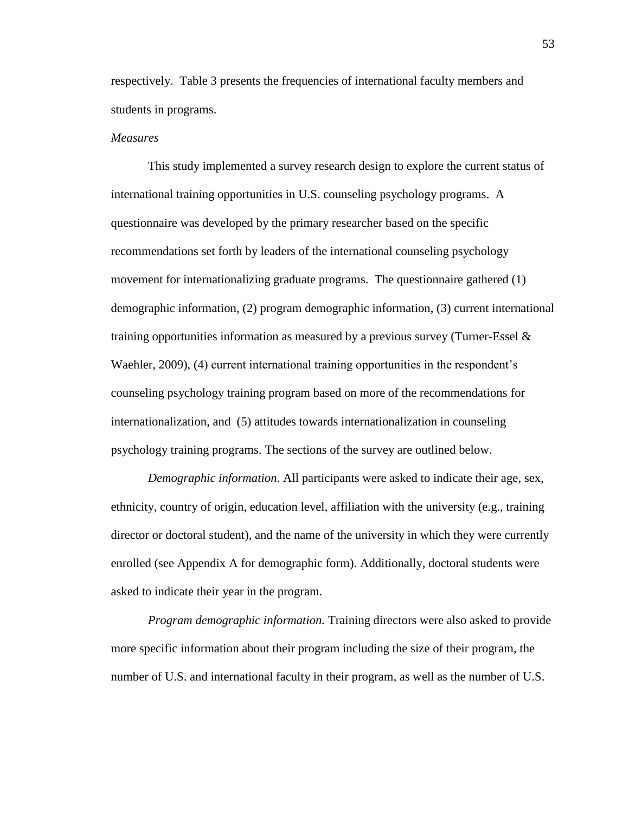respectively. Table 3 presents the frequencies of international faculty members and students in programs.

## *Measures*

This study implemented a survey research design to explore the current status of international training opportunities in U.S. counseling psychology programs. A questionnaire was developed by the primary researcher based on the specific recommendations set forth by leaders of the international counseling psychology movement for internationalizing graduate programs. The questionnaire gathered (1) demographic information, (2) program demographic information, (3) current international training opportunities information as measured by a previous survey (Turner-Essel  $\&$ Waehler, 2009), (4) current international training opportunities in the respondent's counseling psychology training program based on more of the recommendations for internationalization, and (5) attitudes towards internationalization in counseling psychology training programs. The sections of the survey are outlined below.

*Demographic information*. All participants were asked to indicate their age, sex, ethnicity, country of origin, education level, affiliation with the university (e.g., training director or doctoral student), and the name of the university in which they were currently enrolled (see Appendix A for demographic form). Additionally, doctoral students were asked to indicate their year in the program.

*Program demographic information.* Training directors were also asked to provide more specific information about their program including the size of their program, the number of U.S. and international faculty in their program, as well as the number of U.S.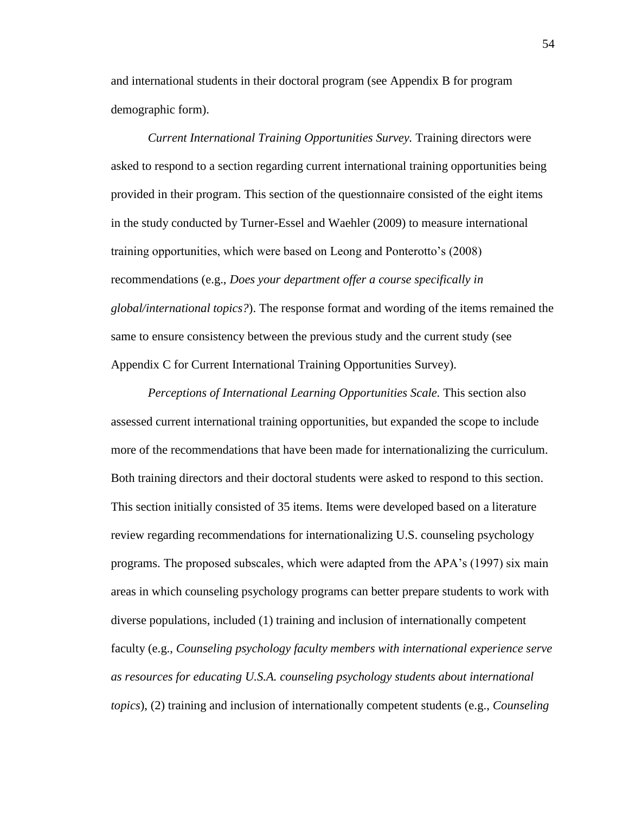and international students in their doctoral program (see Appendix B for program demographic form).

*Current International Training Opportunities Survey.* Training directors were asked to respond to a section regarding current international training opportunities being provided in their program. This section of the questionnaire consisted of the eight items in the study conducted by Turner-Essel and Waehler (2009) to measure international training opportunities, which were based on Leong and Ponterotto's (2008) recommendations (e.g., *Does your department offer a course specifically in global/international topics?*). The response format and wording of the items remained the same to ensure consistency between the previous study and the current study (see Appendix C for Current International Training Opportunities Survey).

*Perceptions of International Learning Opportunities Scale.* This section also assessed current international training opportunities, but expanded the scope to include more of the recommendations that have been made for internationalizing the curriculum. Both training directors and their doctoral students were asked to respond to this section. This section initially consisted of 35 items. Items were developed based on a literature review regarding recommendations for internationalizing U.S. counseling psychology programs. The proposed subscales, which were adapted from the APA's (1997) six main areas in which counseling psychology programs can better prepare students to work with diverse populations, included (1) training and inclusion of internationally competent faculty (e.g., *Counseling psychology faculty members with international experience serve as resources for educating U.S.A. counseling psychology students about international topics*), (2) training and inclusion of internationally competent students (e.g., *Counseling*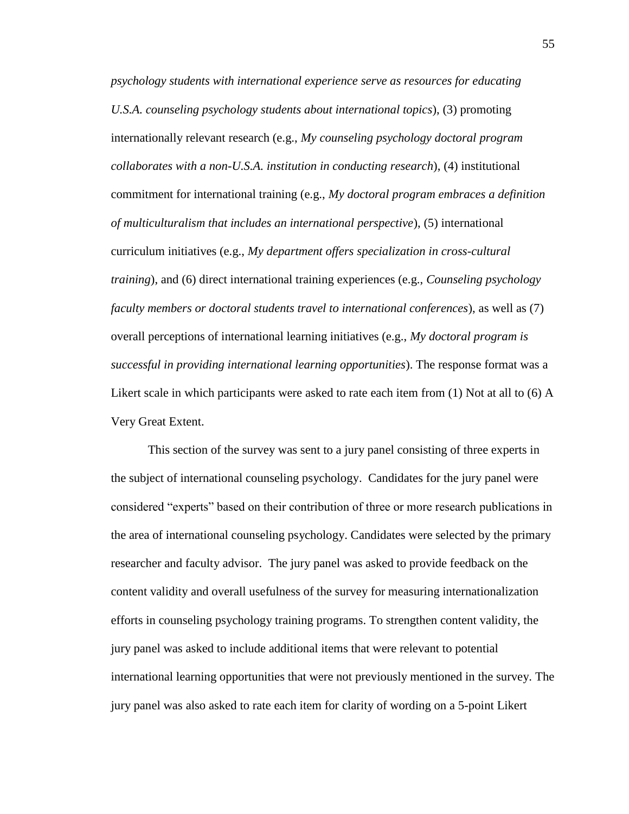*psychology students with international experience serve as resources for educating U.S.A. counseling psychology students about international topics*), (3) promoting internationally relevant research (e.g., *My counseling psychology doctoral program collaborates with a non-U.S.A. institution in conducting research*), (4) institutional commitment for international training (e.g., *My doctoral program embraces a definition of multiculturalism that includes an international perspective*), (5) international curriculum initiatives (e.g., *My department offers specialization in cross-cultural training*), and (6) direct international training experiences (e.g., *Counseling psychology faculty members or doctoral students travel to international conferences*), as well as (7) overall perceptions of international learning initiatives (e.g., *My doctoral program is successful in providing international learning opportunities*). The response format was a Likert scale in which participants were asked to rate each item from  $(1)$  Not at all to  $(6)$  A Very Great Extent.

This section of the survey was sent to a jury panel consisting of three experts in the subject of international counseling psychology. Candidates for the jury panel were considered "experts" based on their contribution of three or more research publications in the area of international counseling psychology. Candidates were selected by the primary researcher and faculty advisor. The jury panel was asked to provide feedback on the content validity and overall usefulness of the survey for measuring internationalization efforts in counseling psychology training programs. To strengthen content validity, the jury panel was asked to include additional items that were relevant to potential international learning opportunities that were not previously mentioned in the survey. The jury panel was also asked to rate each item for clarity of wording on a 5-point Likert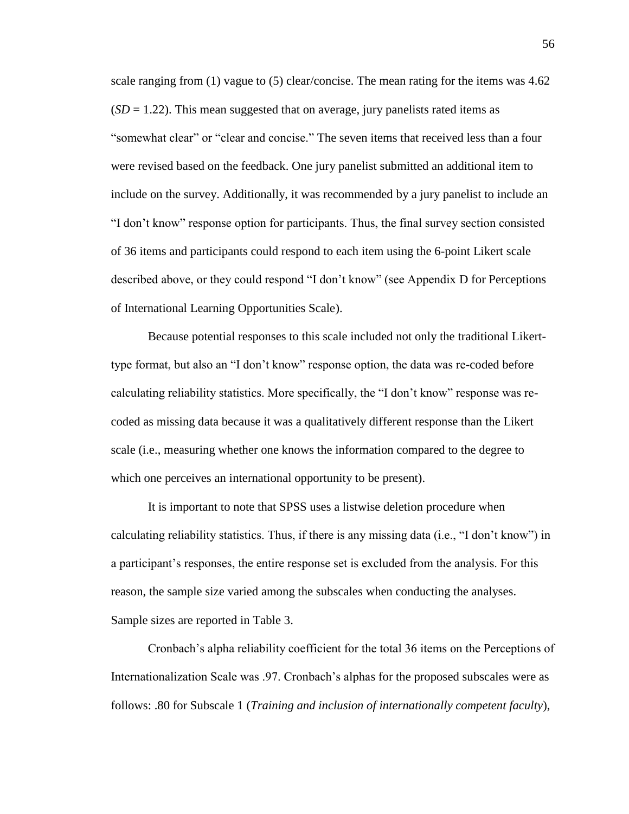scale ranging from  $(1)$  vague to  $(5)$  clear/concise. The mean rating for the items was 4.62  $(SD = 1.22)$ . This mean suggested that on average, jury panelists rated items as "somewhat clear" or "clear and concise." The seven items that received less than a four were revised based on the feedback. One jury panelist submitted an additional item to include on the survey. Additionally, it was recommended by a jury panelist to include an "I don't know" response option for participants. Thus, the final survey section consisted of 36 items and participants could respond to each item using the 6-point Likert scale described above, or they could respond "I don't know" (see Appendix D for Perceptions of International Learning Opportunities Scale).

Because potential responses to this scale included not only the traditional Likerttype format, but also an "I don't know" response option, the data was re-coded before calculating reliability statistics. More specifically, the "I don't know" response was recoded as missing data because it was a qualitatively different response than the Likert scale (i.e., measuring whether one knows the information compared to the degree to which one perceives an international opportunity to be present).

It is important to note that SPSS uses a listwise deletion procedure when calculating reliability statistics. Thus, if there is any missing data (i.e., "I don't know") in a participant's responses, the entire response set is excluded from the analysis. For this reason, the sample size varied among the subscales when conducting the analyses. Sample sizes are reported in Table 3.

Cronbach's alpha reliability coefficient for the total 36 items on the Perceptions of Internationalization Scale was .97. Cronbach's alphas for the proposed subscales were as follows: .80 for Subscale 1 (*Training and inclusion of internationally competent faculty*),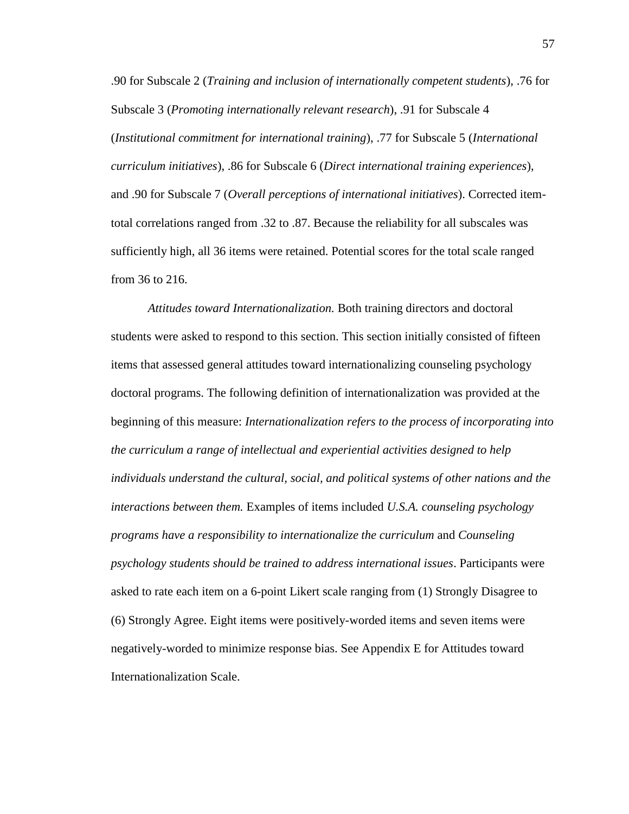.90 for Subscale 2 (*Training and inclusion of internationally competent students*), .76 for Subscale 3 (*Promoting internationally relevant research*), .91 for Subscale 4 (*Institutional commitment for international training*), .77 for Subscale 5 (*International curriculum initiatives*), .86 for Subscale 6 (*Direct international training experiences*), and .90 for Subscale 7 (*Overall perceptions of international initiatives*). Corrected itemtotal correlations ranged from .32 to .87. Because the reliability for all subscales was sufficiently high, all 36 items were retained. Potential scores for the total scale ranged from 36 to 216.

*Attitudes toward Internationalization.* Both training directors and doctoral students were asked to respond to this section. This section initially consisted of fifteen items that assessed general attitudes toward internationalizing counseling psychology doctoral programs. The following definition of internationalization was provided at the beginning of this measure: *Internationalization refers to the process of incorporating into the curriculum a range of intellectual and experiential activities designed to help individuals understand the cultural, social, and political systems of other nations and the interactions between them.* Examples of items included *U.S.A. counseling psychology programs have a responsibility to internationalize the curriculum* and *Counseling psychology students should be trained to address international issues*. Participants were asked to rate each item on a 6-point Likert scale ranging from (1) Strongly Disagree to (6) Strongly Agree. Eight items were positively-worded items and seven items were negatively-worded to minimize response bias. See Appendix E for Attitudes toward Internationalization Scale.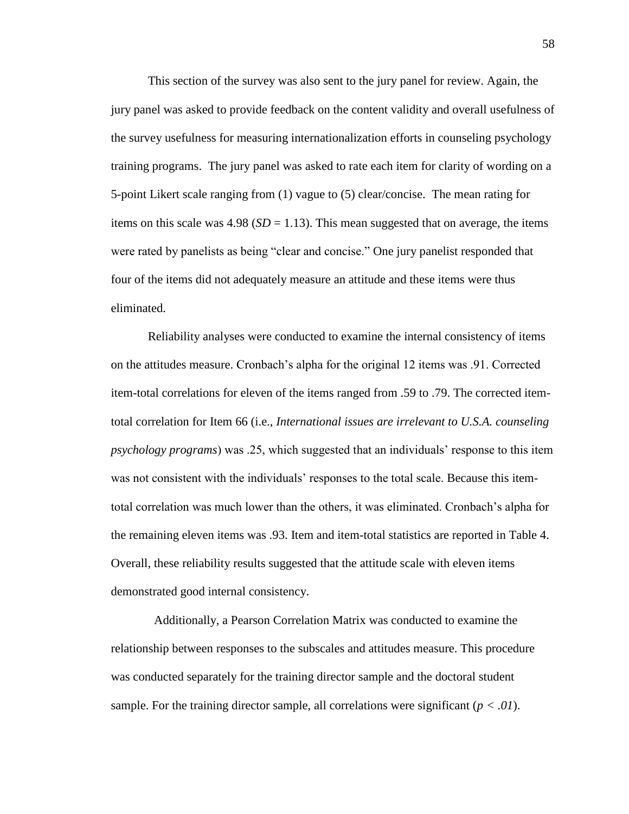This section of the survey was also sent to the jury panel for review. Again, the jury panel was asked to provide feedback on the content validity and overall usefulness of the survey usefulness for measuring internationalization efforts in counseling psychology training programs. The jury panel was asked to rate each item for clarity of wording on a 5-point Likert scale ranging from (1) vague to (5) clear/concise. The mean rating for items on this scale was  $4.98$  ( $SD = 1.13$ ). This mean suggested that on average, the items were rated by panelists as being "clear and concise." One jury panelist responded that four of the items did not adequately measure an attitude and these items were thus eliminated.

Reliability analyses were conducted to examine the internal consistency of items on the attitudes measure. Cronbach's alpha for the original 12 items was .91. Corrected item-total correlations for eleven of the items ranged from .59 to .79. The corrected itemtotal correlation for Item 66 (i.e., *International issues are irrelevant to U.S.A. counseling psychology programs*) was .25, which suggested that an individuals' response to this item was not consistent with the individuals' responses to the total scale. Because this itemtotal correlation was much lower than the others, it was eliminated. Cronbach's alpha for the remaining eleven items was .93. Item and item-total statistics are reported in Table 4. Overall, these reliability results suggested that the attitude scale with eleven items demonstrated good internal consistency.

 Additionally, a Pearson Correlation Matrix was conducted to examine the relationship between responses to the subscales and attitudes measure. This procedure was conducted separately for the training director sample and the doctoral student sample. For the training director sample, all correlations were significant  $(p < .01)$ .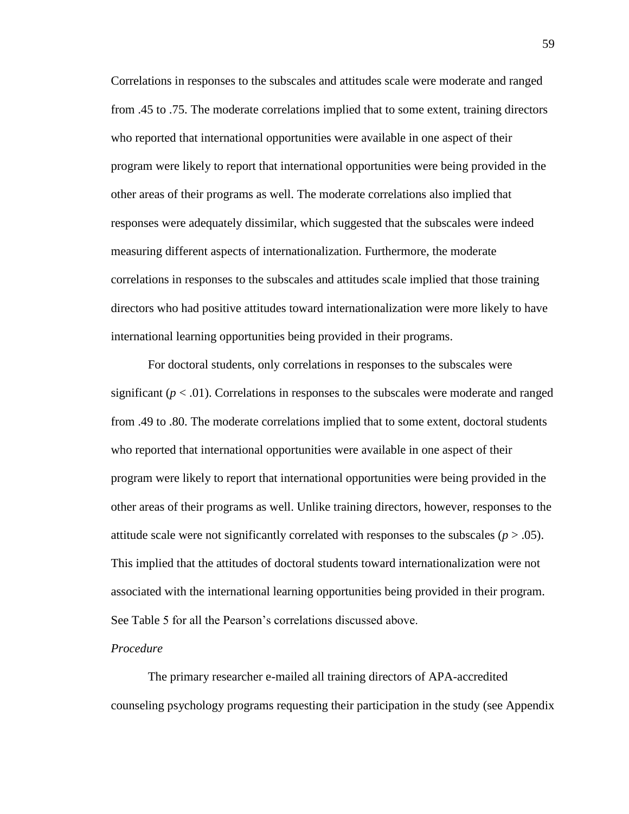Correlations in responses to the subscales and attitudes scale were moderate and ranged from .45 to .75. The moderate correlations implied that to some extent, training directors who reported that international opportunities were available in one aspect of their program were likely to report that international opportunities were being provided in the other areas of their programs as well. The moderate correlations also implied that responses were adequately dissimilar, which suggested that the subscales were indeed measuring different aspects of internationalization. Furthermore, the moderate correlations in responses to the subscales and attitudes scale implied that those training directors who had positive attitudes toward internationalization were more likely to have international learning opportunities being provided in their programs.

For doctoral students, only correlations in responses to the subscales were significant  $(p < .01)$ . Correlations in responses to the subscales were moderate and ranged from .49 to .80. The moderate correlations implied that to some extent, doctoral students who reported that international opportunities were available in one aspect of their program were likely to report that international opportunities were being provided in the other areas of their programs as well. Unlike training directors, however, responses to the attitude scale were not significantly correlated with responses to the subscales  $(p > .05)$ . This implied that the attitudes of doctoral students toward internationalization were not associated with the international learning opportunities being provided in their program. See Table 5 for all the Pearson's correlations discussed above.

#### *Procedure*

The primary researcher e-mailed all training directors of APA-accredited counseling psychology programs requesting their participation in the study (see Appendix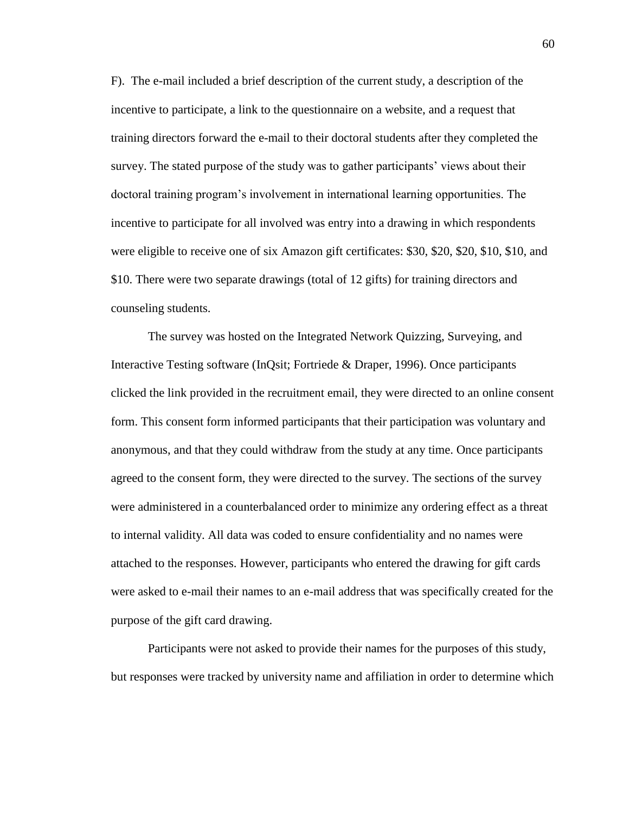F). The e-mail included a brief description of the current study, a description of the incentive to participate, a link to the questionnaire on a website, and a request that training directors forward the e-mail to their doctoral students after they completed the survey. The stated purpose of the study was to gather participants' views about their doctoral training program's involvement in international learning opportunities. The incentive to participate for all involved was entry into a drawing in which respondents were eligible to receive one of six Amazon gift certificates: \$30, \$20, \$20, \$10, \$10, and \$10. There were two separate drawings (total of 12 gifts) for training directors and counseling students.

The survey was hosted on the Integrated Network Quizzing, Surveying, and Interactive Testing software (InQsit; Fortriede & Draper, 1996). Once participants clicked the link provided in the recruitment email, they were directed to an online consent form. This consent form informed participants that their participation was voluntary and anonymous, and that they could withdraw from the study at any time. Once participants agreed to the consent form, they were directed to the survey. The sections of the survey were administered in a counterbalanced order to minimize any ordering effect as a threat to internal validity. All data was coded to ensure confidentiality and no names were attached to the responses. However, participants who entered the drawing for gift cards were asked to e-mail their names to an e-mail address that was specifically created for the purpose of the gift card drawing.

Participants were not asked to provide their names for the purposes of this study, but responses were tracked by university name and affiliation in order to determine which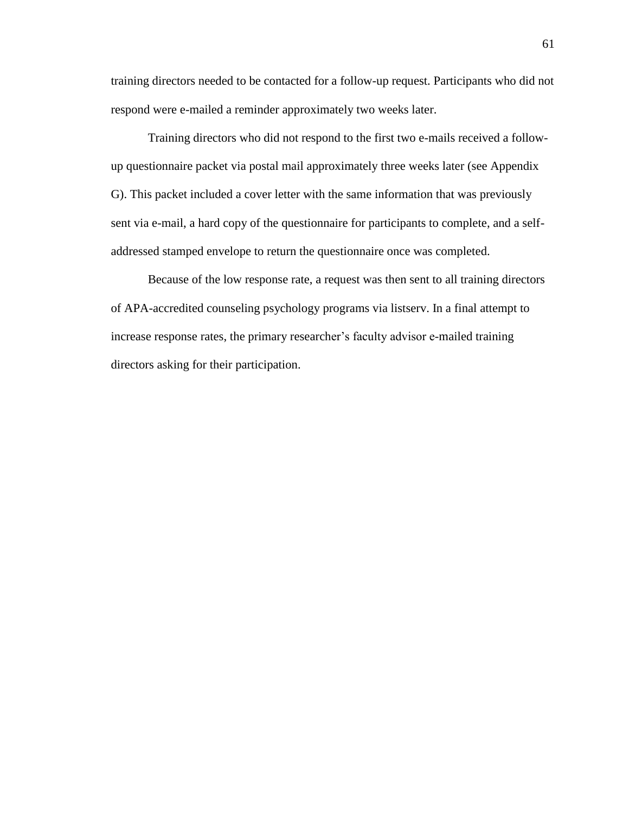training directors needed to be contacted for a follow-up request. Participants who did not respond were e-mailed a reminder approximately two weeks later.

Training directors who did not respond to the first two e-mails received a followup questionnaire packet via postal mail approximately three weeks later (see Appendix G). This packet included a cover letter with the same information that was previously sent via e-mail, a hard copy of the questionnaire for participants to complete, and a selfaddressed stamped envelope to return the questionnaire once was completed.

Because of the low response rate, a request was then sent to all training directors of APA-accredited counseling psychology programs via listserv. In a final attempt to increase response rates, the primary researcher's faculty advisor e-mailed training directors asking for their participation.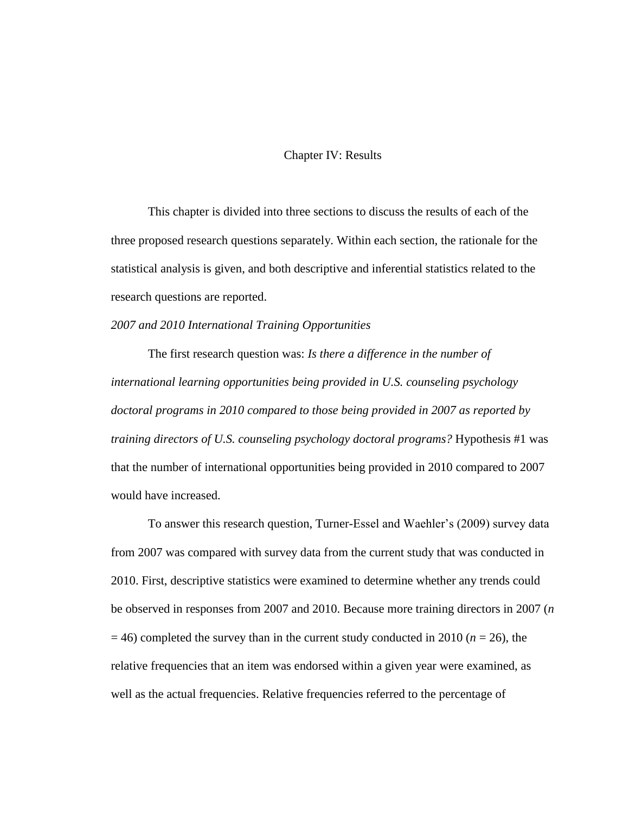# Chapter IV: Results

This chapter is divided into three sections to discuss the results of each of the three proposed research questions separately. Within each section, the rationale for the statistical analysis is given, and both descriptive and inferential statistics related to the research questions are reported.

#### *2007 and 2010 International Training Opportunities*

The first research question was: *Is there a difference in the number of international learning opportunities being provided in U.S. counseling psychology doctoral programs in 2010 compared to those being provided in 2007 as reported by training directors of U.S. counseling psychology doctoral programs?* Hypothesis #1 was that the number of international opportunities being provided in 2010 compared to 2007 would have increased.

To answer this research question, Turner-Essel and Waehler's (2009) survey data from 2007 was compared with survey data from the current study that was conducted in 2010. First, descriptive statistics were examined to determine whether any trends could be observed in responses from 2007 and 2010. Because more training directors in 2007 (*n*  $=$  46) completed the survey than in the current study conducted in 2010 ( $n = 26$ ), the relative frequencies that an item was endorsed within a given year were examined, as well as the actual frequencies. Relative frequencies referred to the percentage of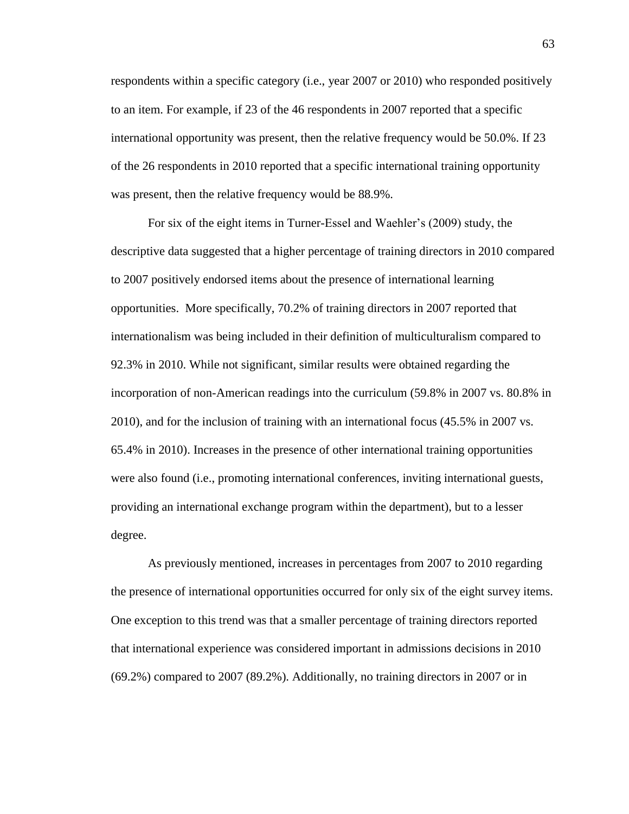respondents within a specific category (i.e., year 2007 or 2010) who responded positively to an item. For example, if 23 of the 46 respondents in 2007 reported that a specific international opportunity was present, then the relative frequency would be 50.0%. If 23 of the 26 respondents in 2010 reported that a specific international training opportunity was present, then the relative frequency would be 88.9%.

For six of the eight items in Turner-Essel and Waehler's (2009) study, the descriptive data suggested that a higher percentage of training directors in 2010 compared to 2007 positively endorsed items about the presence of international learning opportunities. More specifically, 70.2% of training directors in 2007 reported that internationalism was being included in their definition of multiculturalism compared to 92.3% in 2010. While not significant, similar results were obtained regarding the incorporation of non-American readings into the curriculum (59.8% in 2007 vs. 80.8% in 2010), and for the inclusion of training with an international focus (45.5% in 2007 vs. 65.4% in 2010). Increases in the presence of other international training opportunities were also found (i.e., promoting international conferences, inviting international guests, providing an international exchange program within the department), but to a lesser degree.

As previously mentioned, increases in percentages from 2007 to 2010 regarding the presence of international opportunities occurred for only six of the eight survey items. One exception to this trend was that a smaller percentage of training directors reported that international experience was considered important in admissions decisions in 2010 (69.2%) compared to 2007 (89.2%). Additionally, no training directors in 2007 or in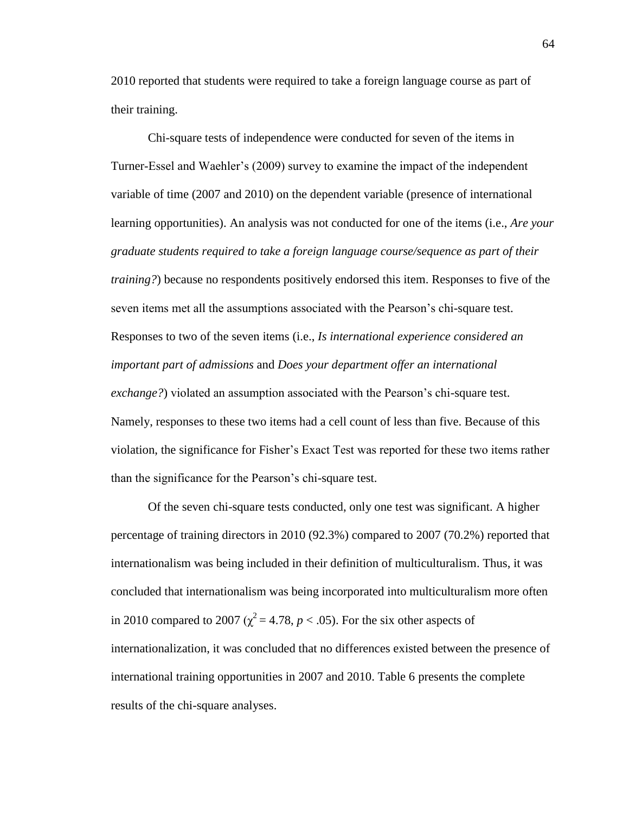2010 reported that students were required to take a foreign language course as part of their training.

Chi-square tests of independence were conducted for seven of the items in Turner-Essel and Waehler's (2009) survey to examine the impact of the independent variable of time (2007 and 2010) on the dependent variable (presence of international learning opportunities). An analysis was not conducted for one of the items (i.e., *Are your graduate students required to take a foreign language course/sequence as part of their training?*) because no respondents positively endorsed this item. Responses to five of the seven items met all the assumptions associated with the Pearson's chi-square test. Responses to two of the seven items (i.e., *Is international experience considered an important part of admissions* and *Does your department offer an international exchange?*) violated an assumption associated with the Pearson's chi-square test. Namely, responses to these two items had a cell count of less than five. Because of this violation, the significance for Fisher's Exact Test was reported for these two items rather than the significance for the Pearson's chi-square test.

Of the seven chi-square tests conducted, only one test was significant. A higher percentage of training directors in 2010 (92.3%) compared to 2007 (70.2%) reported that internationalism was being included in their definition of multiculturalism. Thus, it was concluded that internationalism was being incorporated into multiculturalism more often in 2010 compared to 2007 ( $\chi^2$  = 4.78, *p* < .05). For the six other aspects of internationalization, it was concluded that no differences existed between the presence of international training opportunities in 2007 and 2010. Table 6 presents the complete results of the chi-square analyses.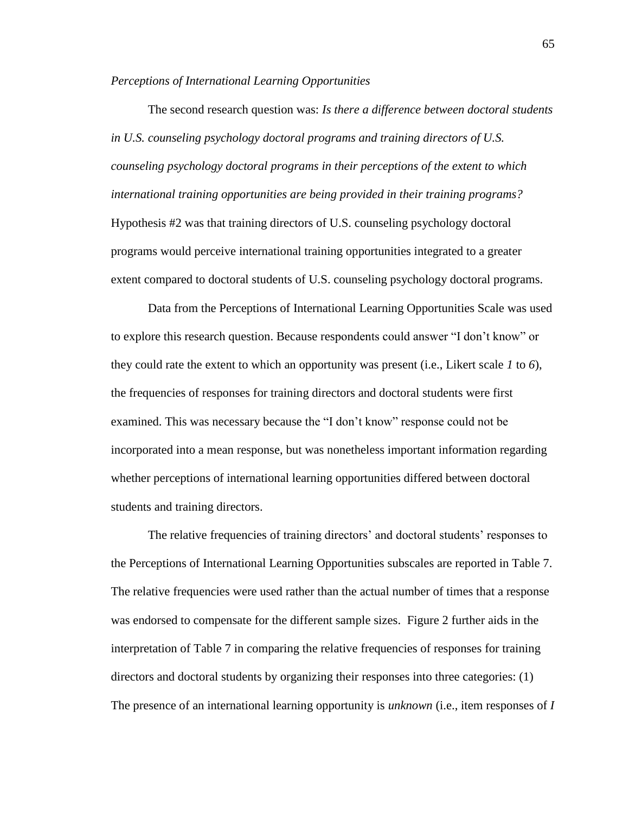*Perceptions of International Learning Opportunities*

The second research question was: *Is there a difference between doctoral students in U.S. counseling psychology doctoral programs and training directors of U.S. counseling psychology doctoral programs in their perceptions of the extent to which international training opportunities are being provided in their training programs?* Hypothesis #2 was that training directors of U.S. counseling psychology doctoral programs would perceive international training opportunities integrated to a greater extent compared to doctoral students of U.S. counseling psychology doctoral programs*.*

Data from the Perceptions of International Learning Opportunities Scale was used to explore this research question. Because respondents could answer "I don't know" or they could rate the extent to which an opportunity was present (i.e., Likert scale *1* to *6*), the frequencies of responses for training directors and doctoral students were first examined. This was necessary because the "I don't know" response could not be incorporated into a mean response, but was nonetheless important information regarding whether perceptions of international learning opportunities differed between doctoral students and training directors.

The relative frequencies of training directors' and doctoral students' responses to the Perceptions of International Learning Opportunities subscales are reported in Table 7. The relative frequencies were used rather than the actual number of times that a response was endorsed to compensate for the different sample sizes. Figure 2 further aids in the interpretation of Table 7 in comparing the relative frequencies of responses for training directors and doctoral students by organizing their responses into three categories: (1) The presence of an international learning opportunity is *unknown* (i.e., item responses of *I*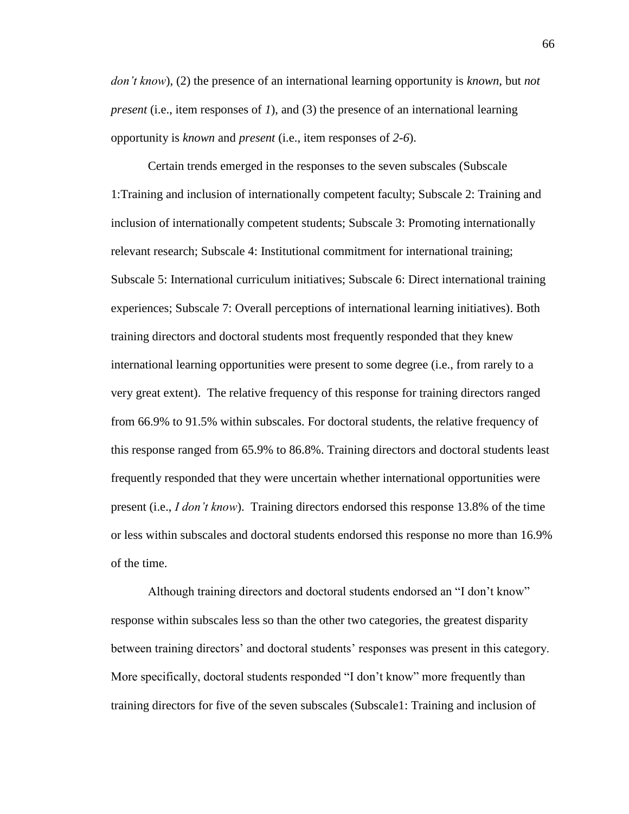*don't know*)*,* (2) the presence of an international learning opportunity is *known,* but *not present* (i.e., item responses of *1*), and (3) the presence of an international learning opportunity is *known* and *present* (i.e., item responses of *2-6*).

Certain trends emerged in the responses to the seven subscales (Subscale 1:Training and inclusion of internationally competent faculty; Subscale 2: Training and inclusion of internationally competent students; Subscale 3: Promoting internationally relevant research; Subscale 4: Institutional commitment for international training; Subscale 5: International curriculum initiatives; Subscale 6: Direct international training experiences; Subscale 7: Overall perceptions of international learning initiatives). Both training directors and doctoral students most frequently responded that they knew international learning opportunities were present to some degree (i.e., from rarely to a very great extent). The relative frequency of this response for training directors ranged from 66.9% to 91.5% within subscales. For doctoral students, the relative frequency of this response ranged from 65.9% to 86.8%. Training directors and doctoral students least frequently responded that they were uncertain whether international opportunities were present (i.e., *I don't know*). Training directors endorsed this response 13.8% of the time or less within subscales and doctoral students endorsed this response no more than 16.9% of the time.

Although training directors and doctoral students endorsed an "I don't know" response within subscales less so than the other two categories, the greatest disparity between training directors' and doctoral students' responses was present in this category. More specifically, doctoral students responded "I don't know" more frequently than training directors for five of the seven subscales (Subscale1: Training and inclusion of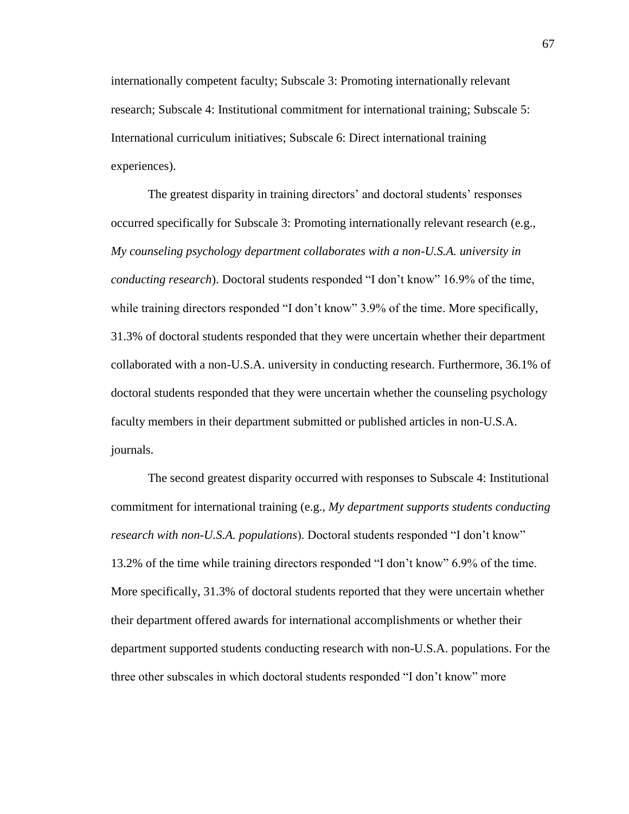internationally competent faculty; Subscale 3: Promoting internationally relevant research; Subscale 4: Institutional commitment for international training; Subscale 5: International curriculum initiatives; Subscale 6: Direct international training experiences).

The greatest disparity in training directors' and doctoral students' responses occurred specifically for Subscale 3: Promoting internationally relevant research (e.g., *My counseling psychology department collaborates with a non-U.S.A. university in conducting research*). Doctoral students responded "I don't know" 16.9% of the time, while training directors responded "I don't know" 3.9% of the time. More specifically, 31.3% of doctoral students responded that they were uncertain whether their department collaborated with a non-U.S.A. university in conducting research. Furthermore, 36.1% of doctoral students responded that they were uncertain whether the counseling psychology faculty members in their department submitted or published articles in non-U.S.A. journals.

The second greatest disparity occurred with responses to Subscale 4: Institutional commitment for international training (e.g., *My department supports students conducting research with non-U.S.A. populations*). Doctoral students responded "I don't know" 13.2% of the time while training directors responded "I don't know" 6.9% of the time. More specifically, 31.3% of doctoral students reported that they were uncertain whether their department offered awards for international accomplishments or whether their department supported students conducting research with non-U.S.A. populations. For the three other subscales in which doctoral students responded "I don't know" more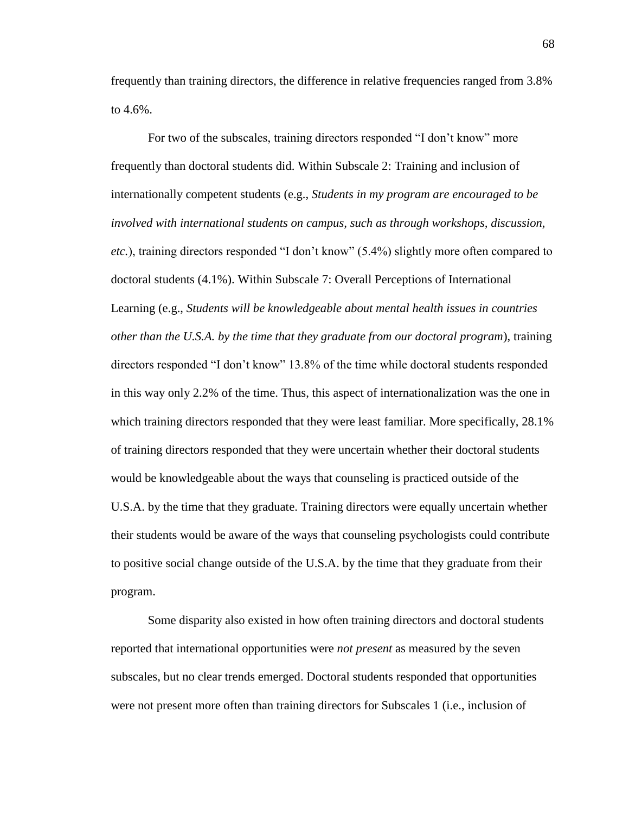frequently than training directors, the difference in relative frequencies ranged from 3.8% to 4.6%.

For two of the subscales, training directors responded "I don't know" more frequently than doctoral students did. Within Subscale 2: Training and inclusion of internationally competent students (e.g., *Students in my program are encouraged to be involved with international students on campus, such as through workshops, discussion, etc.*), training directors responded "I don't know" (5.4%) slightly more often compared to doctoral students (4.1%). Within Subscale 7: Overall Perceptions of International Learning (e.g., *Students will be knowledgeable about mental health issues in countries other than the U.S.A. by the time that they graduate from our doctoral program*), training directors responded "I don't know" 13.8% of the time while doctoral students responded in this way only 2.2% of the time. Thus, this aspect of internationalization was the one in which training directors responded that they were least familiar. More specifically, 28.1% of training directors responded that they were uncertain whether their doctoral students would be knowledgeable about the ways that counseling is practiced outside of the U.S.A. by the time that they graduate. Training directors were equally uncertain whether their students would be aware of the ways that counseling psychologists could contribute to positive social change outside of the U.S.A. by the time that they graduate from their program.

Some disparity also existed in how often training directors and doctoral students reported that international opportunities were *not present* as measured by the seven subscales, but no clear trends emerged. Doctoral students responded that opportunities were not present more often than training directors for Subscales 1 (i.e., inclusion of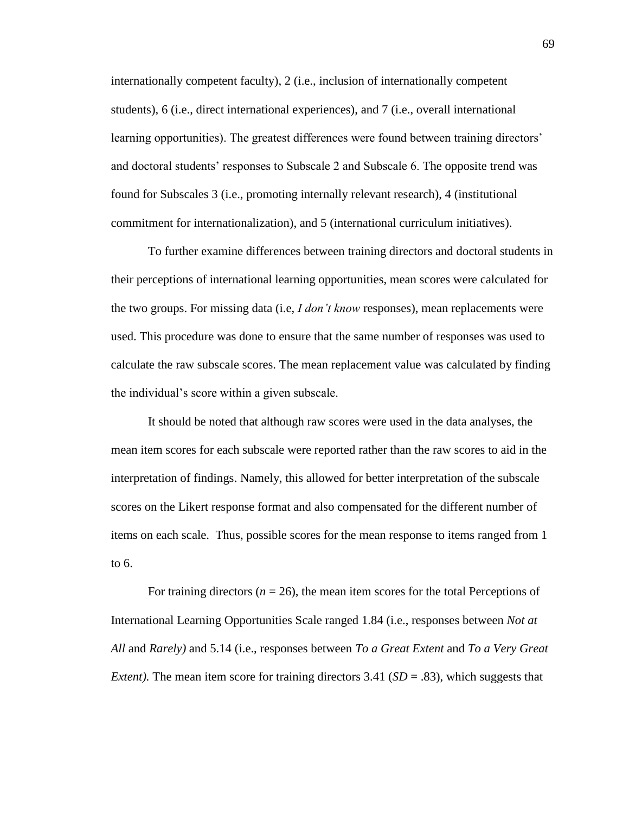internationally competent faculty), 2 (i.e., inclusion of internationally competent students), 6 (i.e., direct international experiences), and 7 (i.e., overall international learning opportunities). The greatest differences were found between training directors' and doctoral students' responses to Subscale 2 and Subscale 6. The opposite trend was found for Subscales 3 (i.e., promoting internally relevant research), 4 (institutional commitment for internationalization), and 5 (international curriculum initiatives).

To further examine differences between training directors and doctoral students in their perceptions of international learning opportunities, mean scores were calculated for the two groups. For missing data (i.e, *I don't know* responses), mean replacements were used. This procedure was done to ensure that the same number of responses was used to calculate the raw subscale scores. The mean replacement value was calculated by finding the individual's score within a given subscale.

It should be noted that although raw scores were used in the data analyses, the mean item scores for each subscale were reported rather than the raw scores to aid in the interpretation of findings. Namely, this allowed for better interpretation of the subscale scores on the Likert response format and also compensated for the different number of items on each scale. Thus, possible scores for the mean response to items ranged from 1 to 6.

For training directors  $(n = 26)$ , the mean item scores for the total Perceptions of International Learning Opportunities Scale ranged 1.84 (i.e., responses between *Not at All* and *Rarely)* and 5.14 (i.e., responses between *To a Great Extent* and *To a Very Great Extent*). The mean item score for training directors 3.41 (*SD* = .83), which suggests that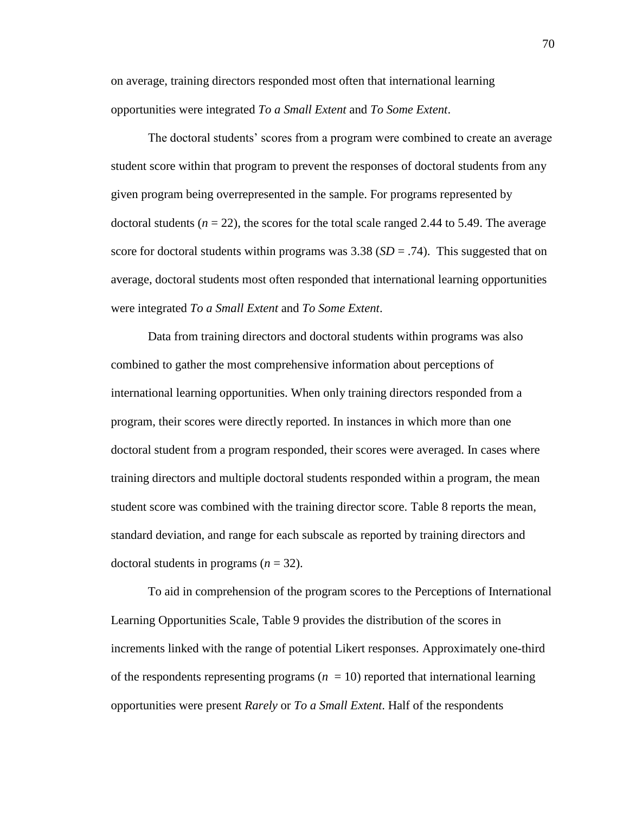on average, training directors responded most often that international learning opportunities were integrated *To a Small Extent* and *To Some Extent*.

The doctoral students' scores from a program were combined to create an average student score within that program to prevent the responses of doctoral students from any given program being overrepresented in the sample. For programs represented by doctoral students  $(n = 22)$ , the scores for the total scale ranged 2.44 to 5.49. The average score for doctoral students within programs was  $3.38$  (*SD* = .74). This suggested that on average, doctoral students most often responded that international learning opportunities were integrated *To a Small Extent* and *To Some Extent*.

Data from training directors and doctoral students within programs was also combined to gather the most comprehensive information about perceptions of international learning opportunities. When only training directors responded from a program, their scores were directly reported. In instances in which more than one doctoral student from a program responded, their scores were averaged. In cases where training directors and multiple doctoral students responded within a program, the mean student score was combined with the training director score. Table 8 reports the mean, standard deviation, and range for each subscale as reported by training directors and doctoral students in programs (*n* = 32).

To aid in comprehension of the program scores to the Perceptions of International Learning Opportunities Scale, Table 9 provides the distribution of the scores in increments linked with the range of potential Likert responses. Approximately one-third of the respondents representing programs  $(n = 10)$  reported that international learning opportunities were present *Rarely* or *To a Small Extent*. Half of the respondents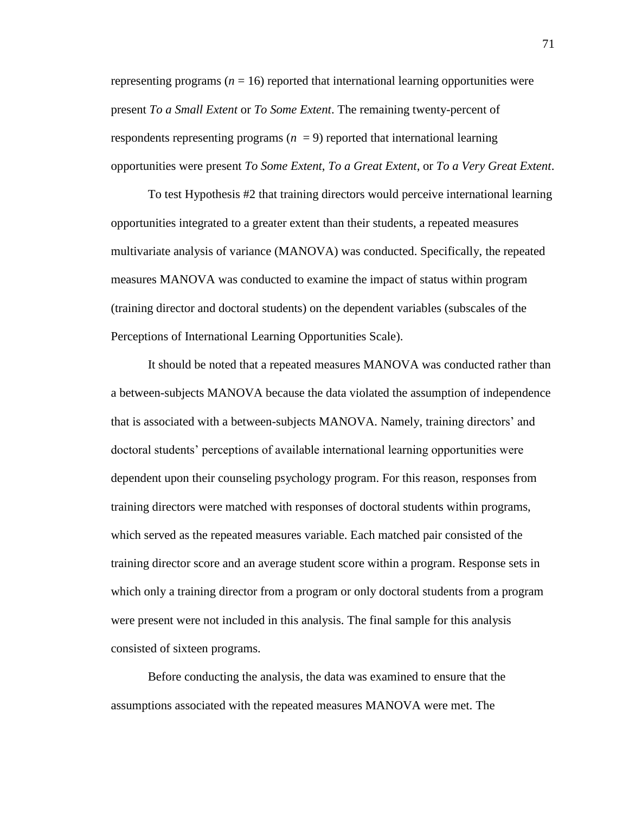representing programs  $(n = 16)$  reported that international learning opportunities were present *To a Small Extent* or *To Some Extent*. The remaining twenty-percent of respondents representing programs  $(n = 9)$  reported that international learning opportunities were present *To Some Extent*, *To a Great Extent*, or *To a Very Great Extent*.

To test Hypothesis #2 that training directors would perceive international learning opportunities integrated to a greater extent than their students, a repeated measures multivariate analysis of variance (MANOVA) was conducted. Specifically, the repeated measures MANOVA was conducted to examine the impact of status within program (training director and doctoral students) on the dependent variables (subscales of the Perceptions of International Learning Opportunities Scale).

It should be noted that a repeated measures MANOVA was conducted rather than a between-subjects MANOVA because the data violated the assumption of independence that is associated with a between-subjects MANOVA. Namely, training directors' and doctoral students' perceptions of available international learning opportunities were dependent upon their counseling psychology program. For this reason, responses from training directors were matched with responses of doctoral students within programs, which served as the repeated measures variable. Each matched pair consisted of the training director score and an average student score within a program. Response sets in which only a training director from a program or only doctoral students from a program were present were not included in this analysis. The final sample for this analysis consisted of sixteen programs.

Before conducting the analysis, the data was examined to ensure that the assumptions associated with the repeated measures MANOVA were met. The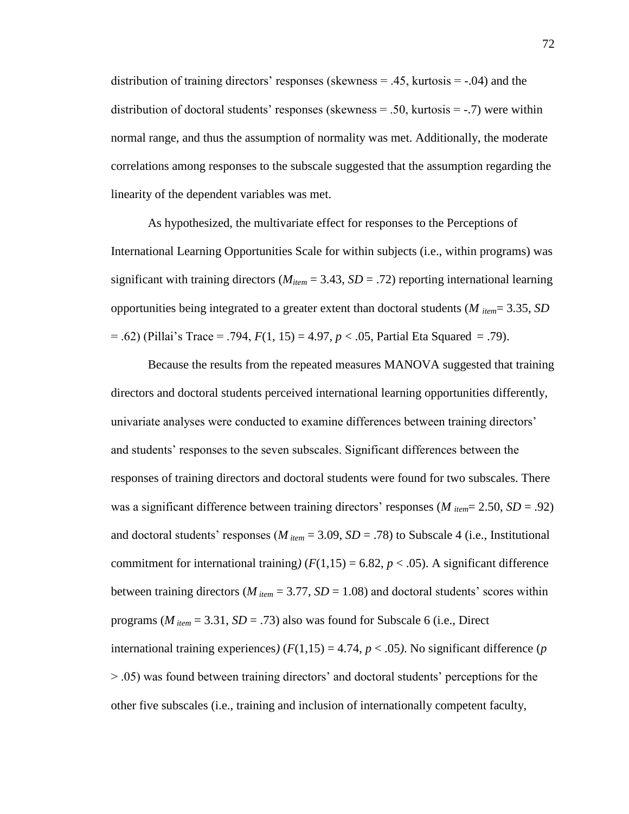distribution of training directors' responses (skewness = .45, kurtosis = -.04) and the distribution of doctoral students' responses (skewness  $= .50$ , kurtosis  $= -.7$ ) were within normal range, and thus the assumption of normality was met. Additionally, the moderate correlations among responses to the subscale suggested that the assumption regarding the linearity of the dependent variables was met.

As hypothesized, the multivariate effect for responses to the Perceptions of International Learning Opportunities Scale for within subjects (i.e., within programs) was significant with training directors ( $M_{item} = 3.43$ ,  $SD = .72$ ) reporting international learning opportunities being integrated to a greater extent than doctoral students (*M item*= 3.35, *SD* = .62) (Pillai's Trace = .794, *F*(1, 15) = 4.97, *p* < .05, Partial Eta Squared = .79).

Because the results from the repeated measures MANOVA suggested that training directors and doctoral students perceived international learning opportunities differently, univariate analyses were conducted to examine differences between training directors' and students' responses to the seven subscales. Significant differences between the responses of training directors and doctoral students were found for two subscales. There was a significant difference between training directors' responses (*M item*= 2.50, *SD* = .92) and doctoral students' responses ( $M_{item} = 3.09$ ,  $SD = .78$ ) to Subscale 4 (i.e., Institutional commitment for international training)  $(F(1,15) = 6.82, p < .05)$ . A significant difference between training directors ( $M_{item} = 3.77$ ,  $SD = 1.08$ ) and doctoral students' scores within programs ( $M_{item} = 3.31$ ,  $SD = .73$ ) also was found for Subscale 6 (i.e., Direct international training experiences)  $(F(1,15) = 4.74, p < .05)$ . No significant difference (*p* > .05) was found between training directors' and doctoral students' perceptions for the other five subscales (i.e., training and inclusion of internationally competent faculty,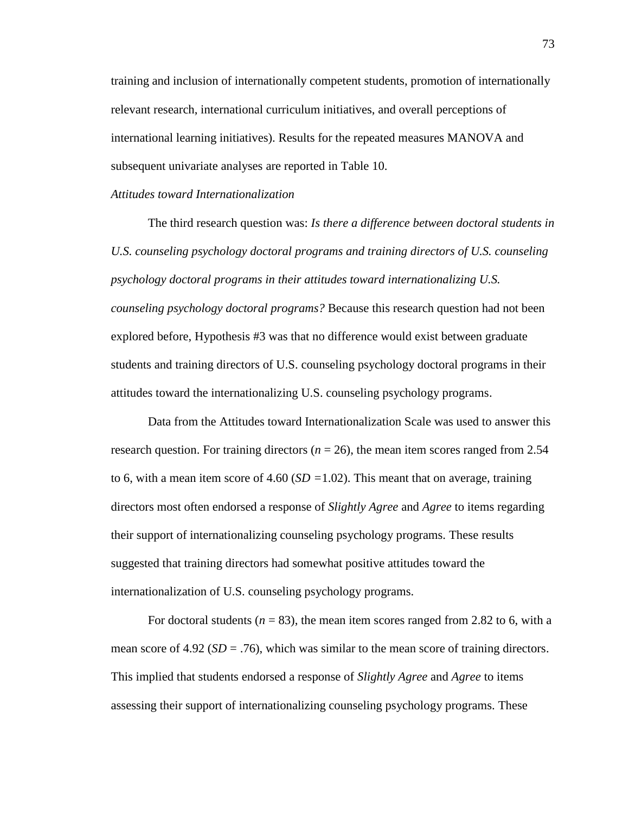training and inclusion of internationally competent students, promotion of internationally relevant research, international curriculum initiatives, and overall perceptions of international learning initiatives). Results for the repeated measures MANOVA and subsequent univariate analyses are reported in Table 10.

#### *Attitudes toward Internationalization*

The third research question was: *Is there a difference between doctoral students in U.S. counseling psychology doctoral programs and training directors of U.S. counseling psychology doctoral programs in their attitudes toward internationalizing U.S. counseling psychology doctoral programs?* Because this research question had not been explored before, Hypothesis #3 was that no difference would exist between graduate students and training directors of U.S. counseling psychology doctoral programs in their attitudes toward the internationalizing U.S. counseling psychology programs.

Data from the Attitudes toward Internationalization Scale was used to answer this research question. For training directors ( $n = 26$ ), the mean item scores ranged from 2.54 to 6, with a mean item score of 4.60 (*SD =*1.02). This meant that on average, training directors most often endorsed a response of *Slightly Agree* and *Agree* to items regarding their support of internationalizing counseling psychology programs. These results suggested that training directors had somewhat positive attitudes toward the internationalization of U.S. counseling psychology programs.

For doctoral students  $(n = 83)$ , the mean item scores ranged from 2.82 to 6, with a mean score of  $4.92$  ( $SD = .76$ ), which was similar to the mean score of training directors. This implied that students endorsed a response of *Slightly Agree* and *Agree* to items assessing their support of internationalizing counseling psychology programs. These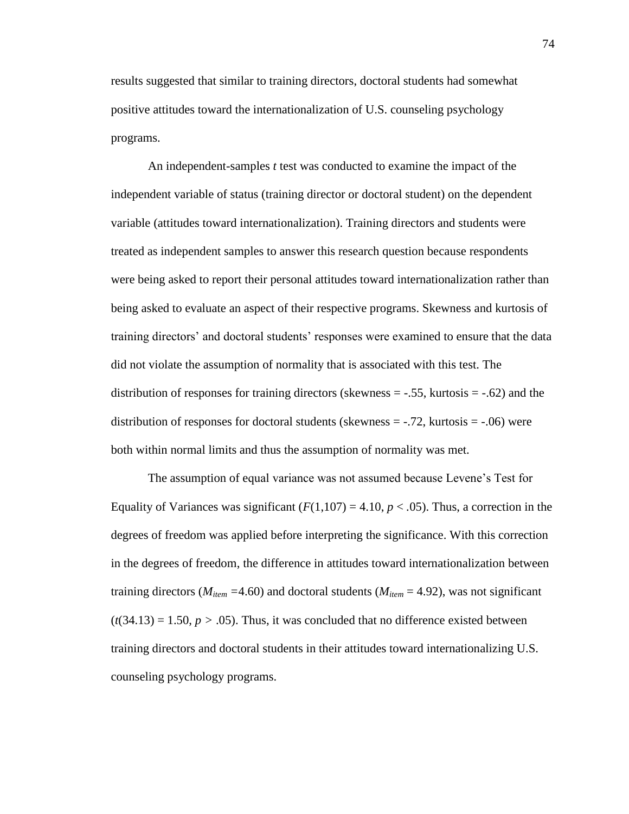results suggested that similar to training directors, doctoral students had somewhat positive attitudes toward the internationalization of U.S. counseling psychology programs.

An independent-samples *t* test was conducted to examine the impact of the independent variable of status (training director or doctoral student) on the dependent variable (attitudes toward internationalization). Training directors and students were treated as independent samples to answer this research question because respondents were being asked to report their personal attitudes toward internationalization rather than being asked to evaluate an aspect of their respective programs. Skewness and kurtosis of training directors' and doctoral students' responses were examined to ensure that the data did not violate the assumption of normality that is associated with this test. The distribution of responses for training directors (skewness  $= -.55$ , kurtosis  $= -.62$ ) and the distribution of responses for doctoral students (skewness  $=$  -.72, kurtosis  $=$  -.06) were both within normal limits and thus the assumption of normality was met.

The assumption of equal variance was not assumed because Levene's Test for Equality of Variances was significant  $(F(1,107) = 4.10, p < .05)$ . Thus, a correction in the degrees of freedom was applied before interpreting the significance. With this correction in the degrees of freedom, the difference in attitudes toward internationalization between training directors ( $M_{item}$  =4.60) and doctoral students ( $M_{item}$  = 4.92), was not significant  $(t(34.13) = 1.50, p > .05)$ . Thus, it was concluded that no difference existed between training directors and doctoral students in their attitudes toward internationalizing U.S. counseling psychology programs.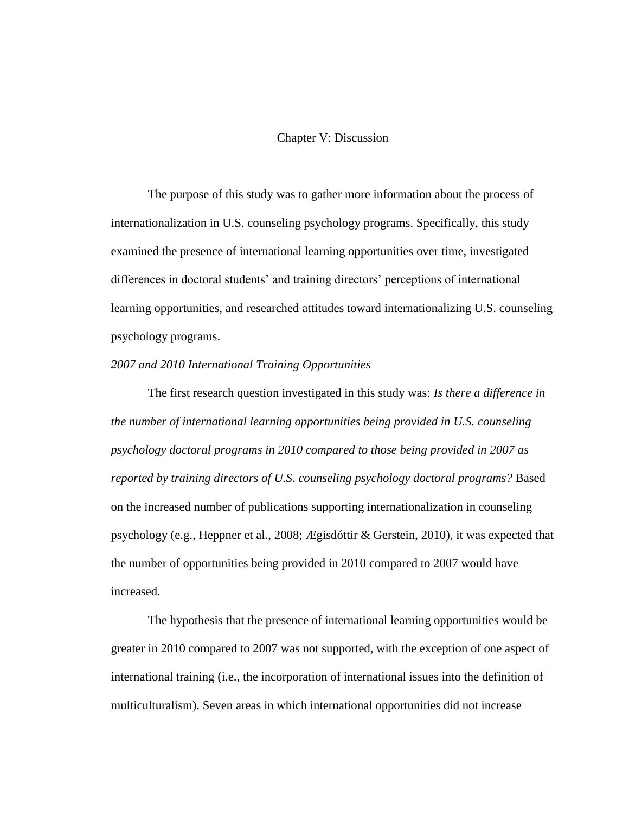# Chapter V: Discussion

The purpose of this study was to gather more information about the process of internationalization in U.S. counseling psychology programs. Specifically, this study examined the presence of international learning opportunities over time, investigated differences in doctoral students' and training directors' perceptions of international learning opportunities, and researched attitudes toward internationalizing U.S. counseling psychology programs.

# *2007 and 2010 International Training Opportunities*

The first research question investigated in this study was: *Is there a difference in the number of international learning opportunities being provided in U.S. counseling psychology doctoral programs in 2010 compared to those being provided in 2007 as reported by training directors of U.S. counseling psychology doctoral programs?* Based on the increased number of publications supporting internationalization in counseling psychology (e.g., Heppner et al., 2008; Ægisdóttir & Gerstein, 2010), it was expected that the number of opportunities being provided in 2010 compared to 2007 would have increased.

The hypothesis that the presence of international learning opportunities would be greater in 2010 compared to 2007 was not supported, with the exception of one aspect of international training (i.e., the incorporation of international issues into the definition of multiculturalism). Seven areas in which international opportunities did not increase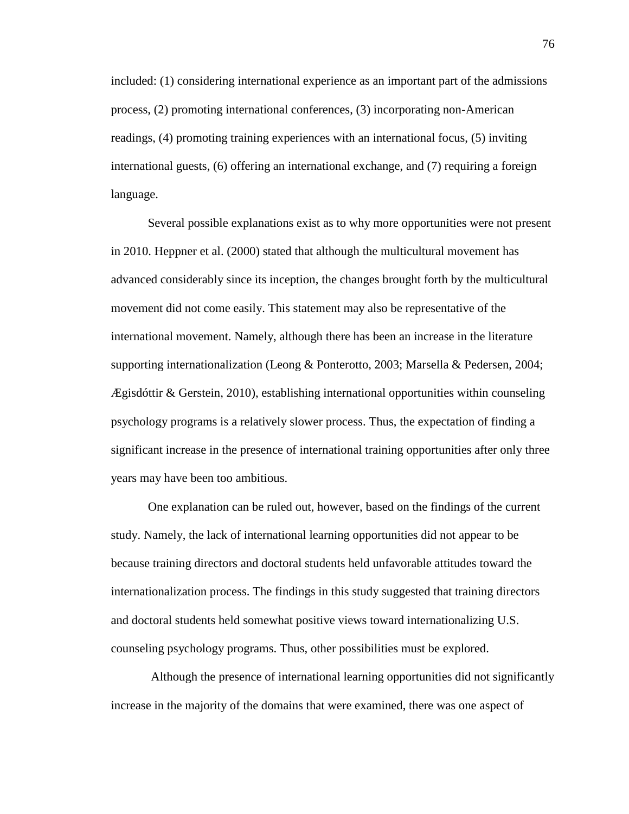included: (1) considering international experience as an important part of the admissions process, (2) promoting international conferences, (3) incorporating non-American readings, (4) promoting training experiences with an international focus, (5) inviting international guests, (6) offering an international exchange, and (7) requiring a foreign language.

Several possible explanations exist as to why more opportunities were not present in 2010. Heppner et al. (2000) stated that although the multicultural movement has advanced considerably since its inception, the changes brought forth by the multicultural movement did not come easily. This statement may also be representative of the international movement. Namely, although there has been an increase in the literature supporting internationalization (Leong & Ponterotto, 2003; Marsella & Pedersen, 2004;  $E$ gisdóttir & Gerstein, 2010), establishing international opportunities within counseling psychology programs is a relatively slower process. Thus, the expectation of finding a significant increase in the presence of international training opportunities after only three years may have been too ambitious.

One explanation can be ruled out, however, based on the findings of the current study. Namely, the lack of international learning opportunities did not appear to be because training directors and doctoral students held unfavorable attitudes toward the internationalization process. The findings in this study suggested that training directors and doctoral students held somewhat positive views toward internationalizing U.S. counseling psychology programs. Thus, other possibilities must be explored.

Although the presence of international learning opportunities did not significantly increase in the majority of the domains that were examined, there was one aspect of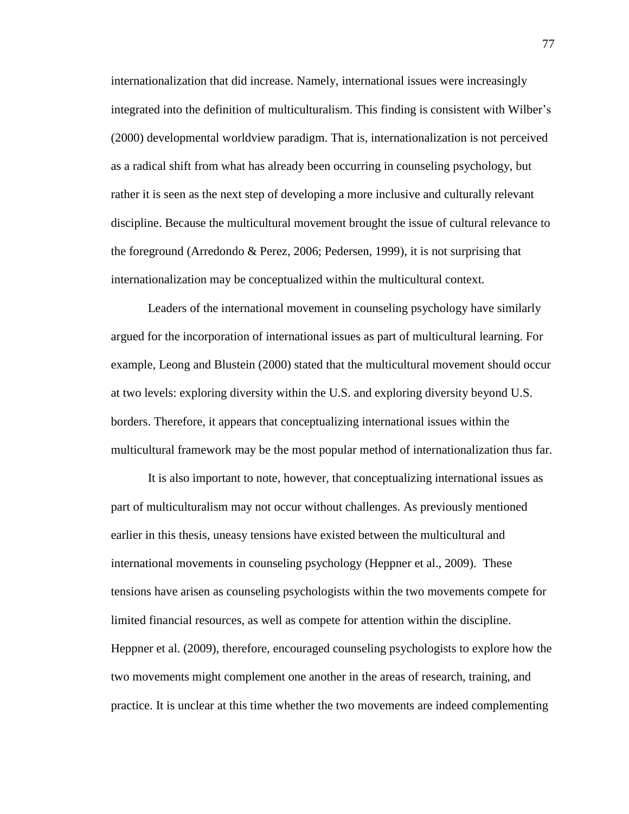internationalization that did increase. Namely, international issues were increasingly integrated into the definition of multiculturalism. This finding is consistent with Wilber's (2000) developmental worldview paradigm. That is, internationalization is not perceived as a radical shift from what has already been occurring in counseling psychology, but rather it is seen as the next step of developing a more inclusive and culturally relevant discipline. Because the multicultural movement brought the issue of cultural relevance to the foreground (Arredondo & Perez, 2006; Pedersen, 1999), it is not surprising that internationalization may be conceptualized within the multicultural context.

Leaders of the international movement in counseling psychology have similarly argued for the incorporation of international issues as part of multicultural learning. For example, Leong and Blustein (2000) stated that the multicultural movement should occur at two levels: exploring diversity within the U.S. and exploring diversity beyond U.S. borders. Therefore, it appears that conceptualizing international issues within the multicultural framework may be the most popular method of internationalization thus far.

It is also important to note, however, that conceptualizing international issues as part of multiculturalism may not occur without challenges. As previously mentioned earlier in this thesis, uneasy tensions have existed between the multicultural and international movements in counseling psychology (Heppner et al., 2009). These tensions have arisen as counseling psychologists within the two movements compete for limited financial resources, as well as compete for attention within the discipline. Heppner et al. (2009), therefore, encouraged counseling psychologists to explore how the two movements might complement one another in the areas of research, training, and practice. It is unclear at this time whether the two movements are indeed complementing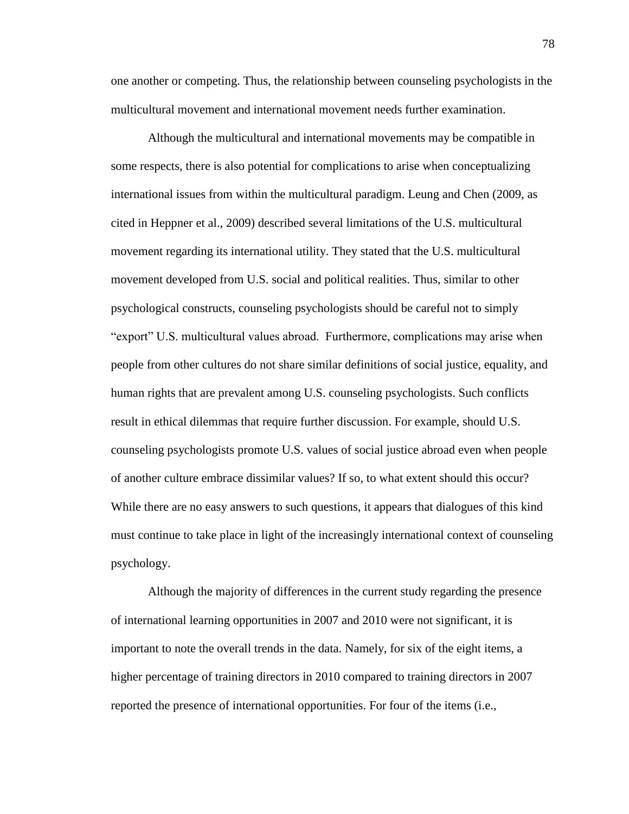one another or competing. Thus, the relationship between counseling psychologists in the multicultural movement and international movement needs further examination.

Although the multicultural and international movements may be compatible in some respects, there is also potential for complications to arise when conceptualizing international issues from within the multicultural paradigm. Leung and Chen (2009, as cited in Heppner et al., 2009) described several limitations of the U.S. multicultural movement regarding its international utility. They stated that the U.S. multicultural movement developed from U.S. social and political realities. Thus, similar to other psychological constructs, counseling psychologists should be careful not to simply "export" U.S. multicultural values abroad. Furthermore, complications may arise when people from other cultures do not share similar definitions of social justice, equality, and human rights that are prevalent among U.S. counseling psychologists. Such conflicts result in ethical dilemmas that require further discussion. For example, should U.S. counseling psychologists promote U.S. values of social justice abroad even when people of another culture embrace dissimilar values? If so, to what extent should this occur? While there are no easy answers to such questions, it appears that dialogues of this kind must continue to take place in light of the increasingly international context of counseling psychology.

Although the majority of differences in the current study regarding the presence of international learning opportunities in 2007 and 2010 were not significant, it is important to note the overall trends in the data. Namely, for six of the eight items, a higher percentage of training directors in 2010 compared to training directors in 2007 reported the presence of international opportunities. For four of the items (i.e.,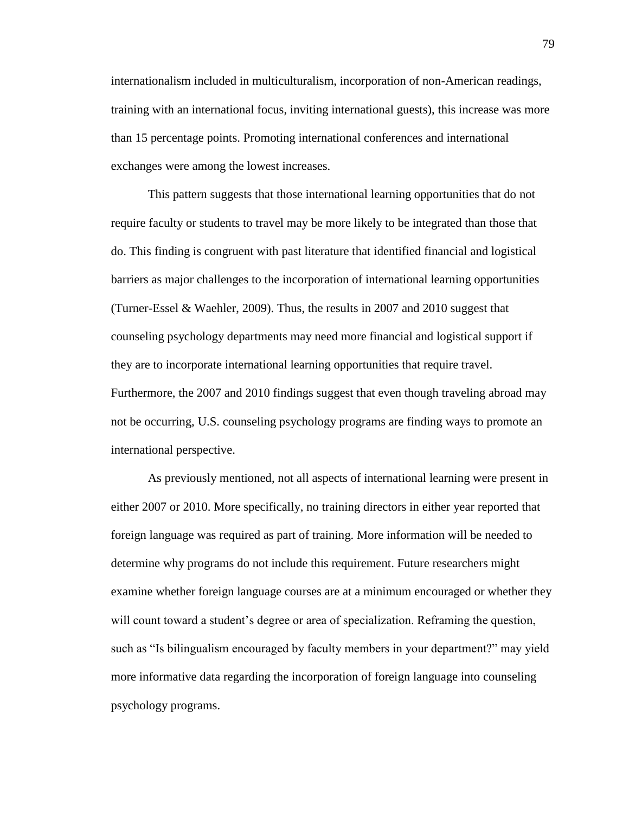internationalism included in multiculturalism, incorporation of non-American readings, training with an international focus, inviting international guests), this increase was more than 15 percentage points. Promoting international conferences and international exchanges were among the lowest increases.

This pattern suggests that those international learning opportunities that do not require faculty or students to travel may be more likely to be integrated than those that do. This finding is congruent with past literature that identified financial and logistical barriers as major challenges to the incorporation of international learning opportunities (Turner-Essel & Waehler, 2009). Thus, the results in 2007 and 2010 suggest that counseling psychology departments may need more financial and logistical support if they are to incorporate international learning opportunities that require travel. Furthermore, the 2007 and 2010 findings suggest that even though traveling abroad may not be occurring, U.S. counseling psychology programs are finding ways to promote an international perspective.

As previously mentioned, not all aspects of international learning were present in either 2007 or 2010. More specifically, no training directors in either year reported that foreign language was required as part of training. More information will be needed to determine why programs do not include this requirement. Future researchers might examine whether foreign language courses are at a minimum encouraged or whether they will count toward a student's degree or area of specialization. Reframing the question, such as "Is bilingualism encouraged by faculty members in your department?" may yield more informative data regarding the incorporation of foreign language into counseling psychology programs.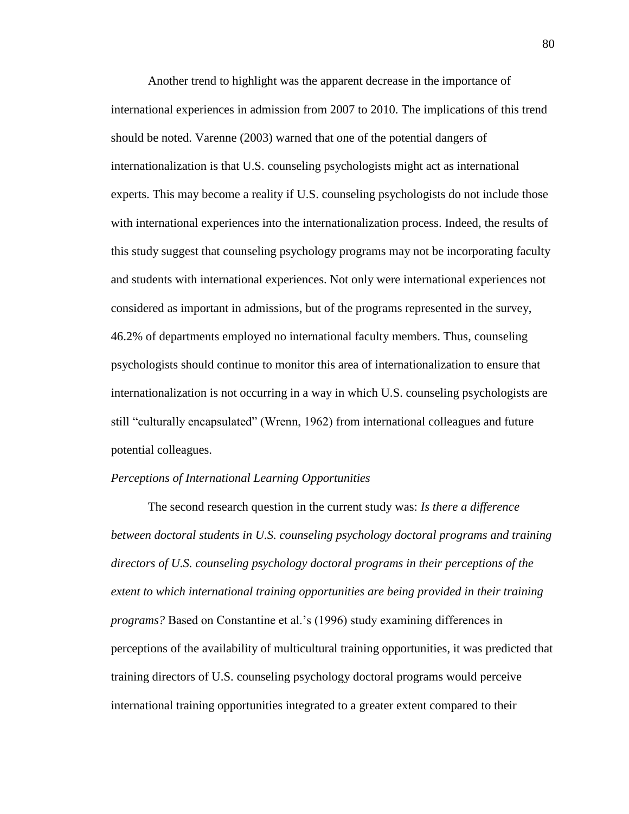Another trend to highlight was the apparent decrease in the importance of international experiences in admission from 2007 to 2010. The implications of this trend should be noted. Varenne (2003) warned that one of the potential dangers of internationalization is that U.S. counseling psychologists might act as international experts. This may become a reality if U.S. counseling psychologists do not include those with international experiences into the internationalization process. Indeed, the results of this study suggest that counseling psychology programs may not be incorporating faculty and students with international experiences. Not only were international experiences not considered as important in admissions, but of the programs represented in the survey, 46.2% of departments employed no international faculty members. Thus, counseling psychologists should continue to monitor this area of internationalization to ensure that internationalization is not occurring in a way in which U.S. counseling psychologists are still "culturally encapsulated" (Wrenn, 1962) from international colleagues and future potential colleagues.

### *Perceptions of International Learning Opportunities*

The second research question in the current study was: *Is there a difference between doctoral students in U.S. counseling psychology doctoral programs and training directors of U.S. counseling psychology doctoral programs in their perceptions of the extent to which international training opportunities are being provided in their training programs?* Based on Constantine et al.'s (1996) study examining differences in perceptions of the availability of multicultural training opportunities, it was predicted that training directors of U.S. counseling psychology doctoral programs would perceive international training opportunities integrated to a greater extent compared to their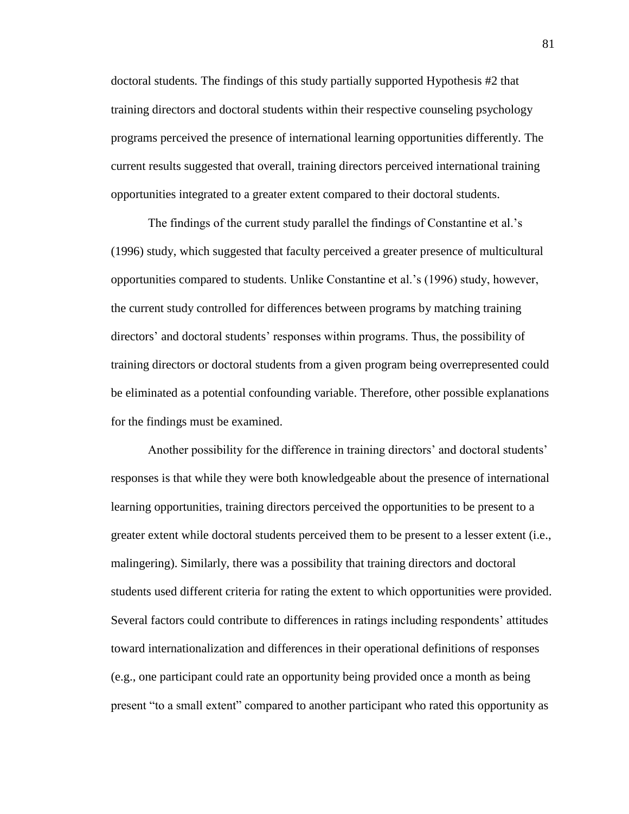doctoral students*.* The findings of this study partially supported Hypothesis #2 that training directors and doctoral students within their respective counseling psychology programs perceived the presence of international learning opportunities differently. The current results suggested that overall, training directors perceived international training opportunities integrated to a greater extent compared to their doctoral students.

The findings of the current study parallel the findings of Constantine et al.'s (1996) study, which suggested that faculty perceived a greater presence of multicultural opportunities compared to students. Unlike Constantine et al.'s (1996) study, however, the current study controlled for differences between programs by matching training directors' and doctoral students' responses within programs. Thus, the possibility of training directors or doctoral students from a given program being overrepresented could be eliminated as a potential confounding variable. Therefore, other possible explanations for the findings must be examined.

Another possibility for the difference in training directors' and doctoral students' responses is that while they were both knowledgeable about the presence of international learning opportunities, training directors perceived the opportunities to be present to a greater extent while doctoral students perceived them to be present to a lesser extent (i.e., malingering). Similarly, there was a possibility that training directors and doctoral students used different criteria for rating the extent to which opportunities were provided. Several factors could contribute to differences in ratings including respondents' attitudes toward internationalization and differences in their operational definitions of responses (e.g., one participant could rate an opportunity being provided once a month as being present "to a small extent" compared to another participant who rated this opportunity as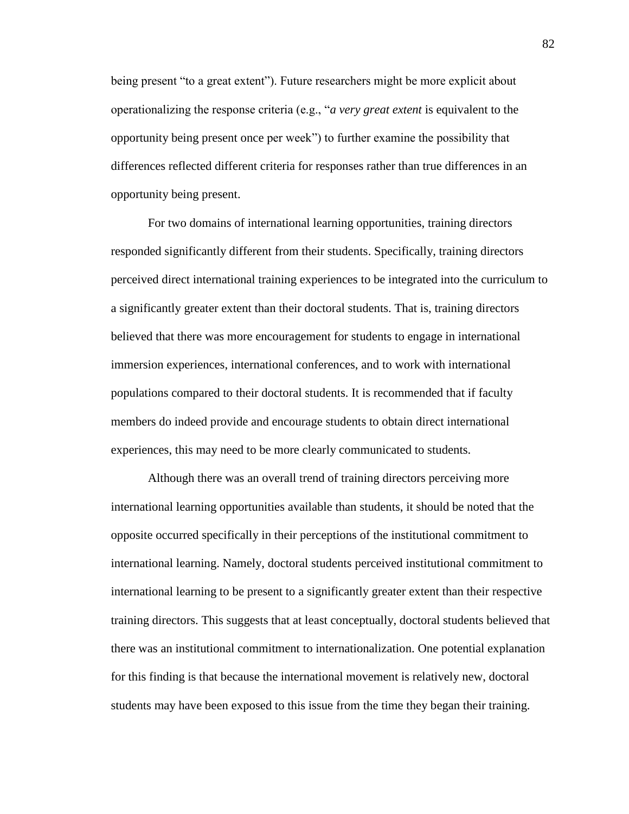being present "to a great extent"). Future researchers might be more explicit about operationalizing the response criteria (e.g., "*a very great extent* is equivalent to the opportunity being present once per week") to further examine the possibility that differences reflected different criteria for responses rather than true differences in an opportunity being present.

For two domains of international learning opportunities, training directors responded significantly different from their students. Specifically, training directors perceived direct international training experiences to be integrated into the curriculum to a significantly greater extent than their doctoral students. That is, training directors believed that there was more encouragement for students to engage in international immersion experiences, international conferences, and to work with international populations compared to their doctoral students. It is recommended that if faculty members do indeed provide and encourage students to obtain direct international experiences, this may need to be more clearly communicated to students.

Although there was an overall trend of training directors perceiving more international learning opportunities available than students, it should be noted that the opposite occurred specifically in their perceptions of the institutional commitment to international learning. Namely, doctoral students perceived institutional commitment to international learning to be present to a significantly greater extent than their respective training directors. This suggests that at least conceptually, doctoral students believed that there was an institutional commitment to internationalization. One potential explanation for this finding is that because the international movement is relatively new, doctoral students may have been exposed to this issue from the time they began their training.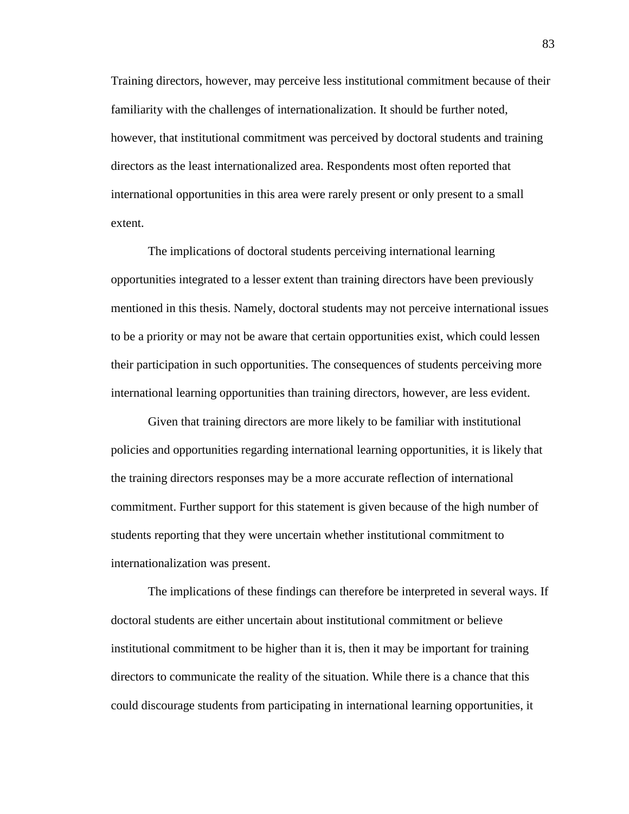Training directors, however, may perceive less institutional commitment because of their familiarity with the challenges of internationalization. It should be further noted, however, that institutional commitment was perceived by doctoral students and training directors as the least internationalized area. Respondents most often reported that international opportunities in this area were rarely present or only present to a small extent.

The implications of doctoral students perceiving international learning opportunities integrated to a lesser extent than training directors have been previously mentioned in this thesis. Namely, doctoral students may not perceive international issues to be a priority or may not be aware that certain opportunities exist, which could lessen their participation in such opportunities. The consequences of students perceiving more international learning opportunities than training directors, however, are less evident.

Given that training directors are more likely to be familiar with institutional policies and opportunities regarding international learning opportunities, it is likely that the training directors responses may be a more accurate reflection of international commitment. Further support for this statement is given because of the high number of students reporting that they were uncertain whether institutional commitment to internationalization was present.

The implications of these findings can therefore be interpreted in several ways. If doctoral students are either uncertain about institutional commitment or believe institutional commitment to be higher than it is, then it may be important for training directors to communicate the reality of the situation. While there is a chance that this could discourage students from participating in international learning opportunities, it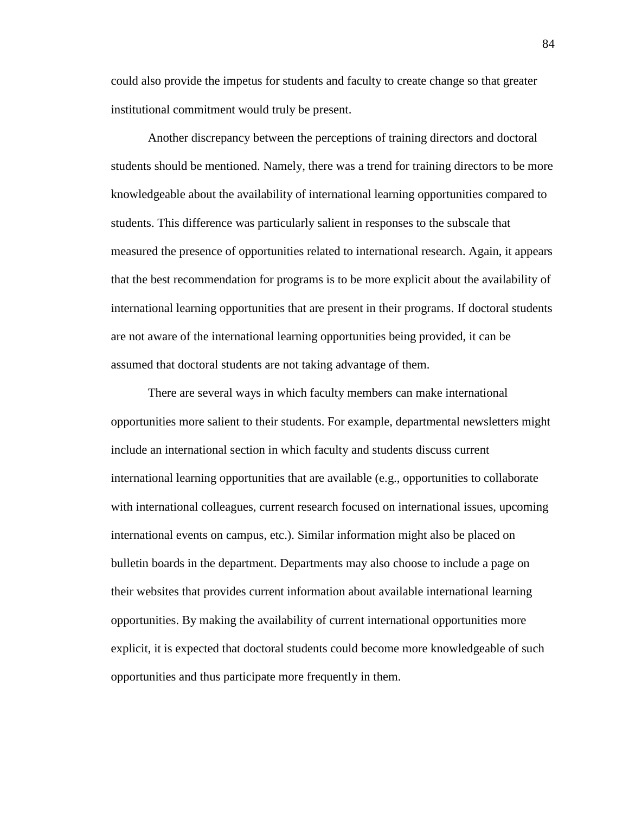could also provide the impetus for students and faculty to create change so that greater institutional commitment would truly be present.

Another discrepancy between the perceptions of training directors and doctoral students should be mentioned. Namely, there was a trend for training directors to be more knowledgeable about the availability of international learning opportunities compared to students. This difference was particularly salient in responses to the subscale that measured the presence of opportunities related to international research. Again, it appears that the best recommendation for programs is to be more explicit about the availability of international learning opportunities that are present in their programs. If doctoral students are not aware of the international learning opportunities being provided, it can be assumed that doctoral students are not taking advantage of them.

There are several ways in which faculty members can make international opportunities more salient to their students. For example, departmental newsletters might include an international section in which faculty and students discuss current international learning opportunities that are available (e.g., opportunities to collaborate with international colleagues, current research focused on international issues, upcoming international events on campus, etc.). Similar information might also be placed on bulletin boards in the department. Departments may also choose to include a page on their websites that provides current information about available international learning opportunities. By making the availability of current international opportunities more explicit, it is expected that doctoral students could become more knowledgeable of such opportunities and thus participate more frequently in them.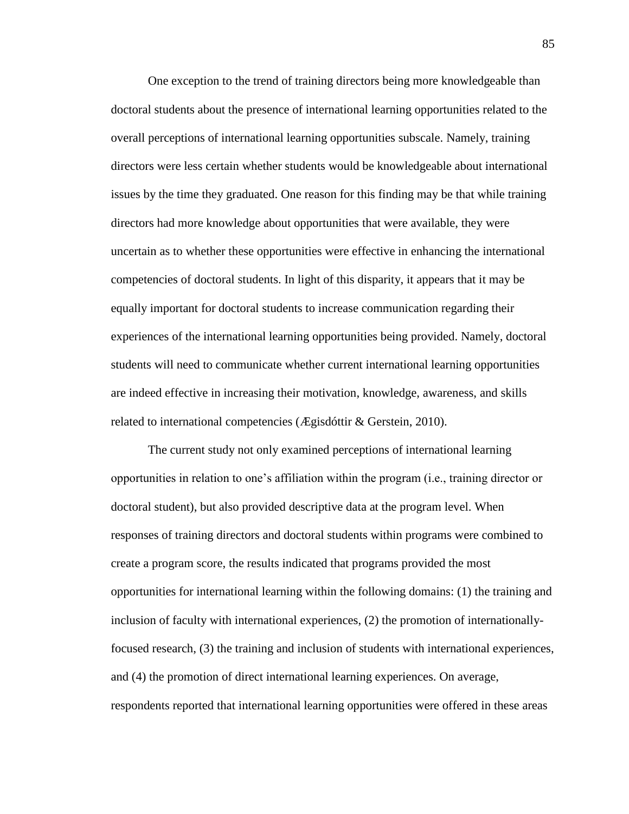One exception to the trend of training directors being more knowledgeable than doctoral students about the presence of international learning opportunities related to the overall perceptions of international learning opportunities subscale. Namely, training directors were less certain whether students would be knowledgeable about international issues by the time they graduated. One reason for this finding may be that while training directors had more knowledge about opportunities that were available, they were uncertain as to whether these opportunities were effective in enhancing the international competencies of doctoral students. In light of this disparity, it appears that it may be equally important for doctoral students to increase communication regarding their experiences of the international learning opportunities being provided. Namely, doctoral students will need to communicate whether current international learning opportunities are indeed effective in increasing their motivation, knowledge, awareness, and skills related to international competencies (Ægisdóttir & Gerstein, 2010).

The current study not only examined perceptions of international learning opportunities in relation to one's affiliation within the program (i.e., training director or doctoral student), but also provided descriptive data at the program level. When responses of training directors and doctoral students within programs were combined to create a program score, the results indicated that programs provided the most opportunities for international learning within the following domains: (1) the training and inclusion of faculty with international experiences, (2) the promotion of internationallyfocused research, (3) the training and inclusion of students with international experiences, and (4) the promotion of direct international learning experiences. On average, respondents reported that international learning opportunities were offered in these areas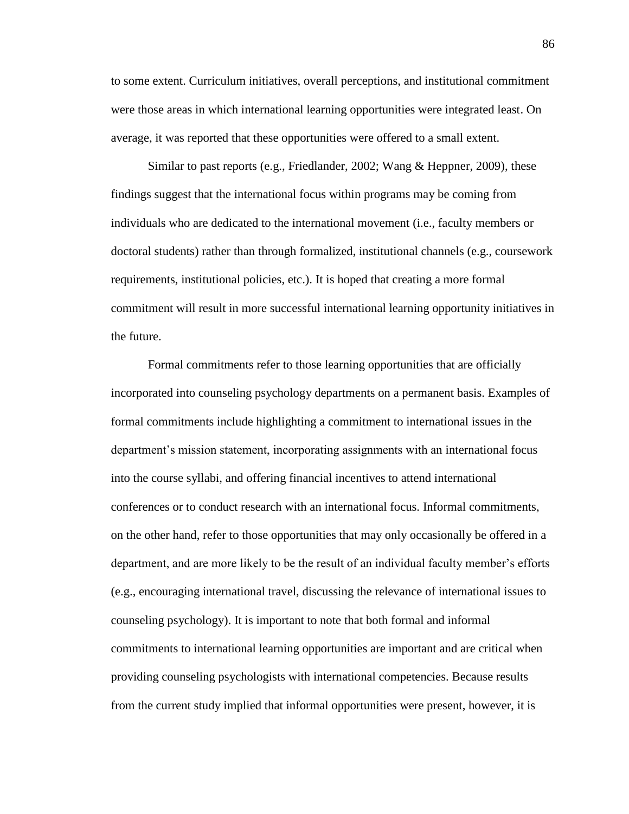to some extent. Curriculum initiatives, overall perceptions, and institutional commitment were those areas in which international learning opportunities were integrated least. On average, it was reported that these opportunities were offered to a small extent.

Similar to past reports (e.g., Friedlander, 2002; Wang & Heppner, 2009), these findings suggest that the international focus within programs may be coming from individuals who are dedicated to the international movement (i.e., faculty members or doctoral students) rather than through formalized, institutional channels (e.g., coursework requirements, institutional policies, etc.). It is hoped that creating a more formal commitment will result in more successful international learning opportunity initiatives in the future.

Formal commitments refer to those learning opportunities that are officially incorporated into counseling psychology departments on a permanent basis. Examples of formal commitments include highlighting a commitment to international issues in the department's mission statement, incorporating assignments with an international focus into the course syllabi, and offering financial incentives to attend international conferences or to conduct research with an international focus. Informal commitments, on the other hand, refer to those opportunities that may only occasionally be offered in a department, and are more likely to be the result of an individual faculty member's efforts (e.g., encouraging international travel, discussing the relevance of international issues to counseling psychology). It is important to note that both formal and informal commitments to international learning opportunities are important and are critical when providing counseling psychologists with international competencies. Because results from the current study implied that informal opportunities were present, however, it is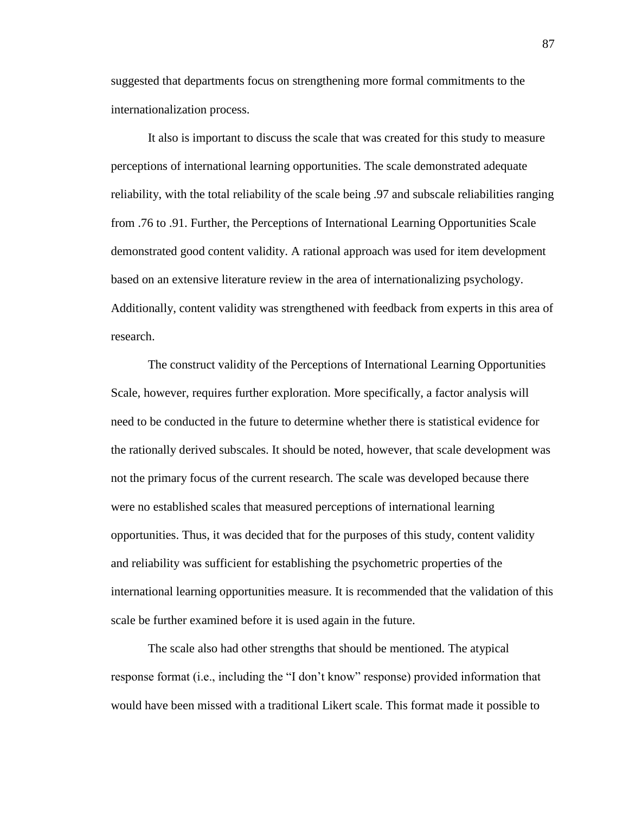suggested that departments focus on strengthening more formal commitments to the internationalization process.

It also is important to discuss the scale that was created for this study to measure perceptions of international learning opportunities. The scale demonstrated adequate reliability, with the total reliability of the scale being .97 and subscale reliabilities ranging from .76 to .91. Further, the Perceptions of International Learning Opportunities Scale demonstrated good content validity. A rational approach was used for item development based on an extensive literature review in the area of internationalizing psychology. Additionally, content validity was strengthened with feedback from experts in this area of research.

The construct validity of the Perceptions of International Learning Opportunities Scale, however, requires further exploration. More specifically, a factor analysis will need to be conducted in the future to determine whether there is statistical evidence for the rationally derived subscales. It should be noted, however, that scale development was not the primary focus of the current research. The scale was developed because there were no established scales that measured perceptions of international learning opportunities. Thus, it was decided that for the purposes of this study, content validity and reliability was sufficient for establishing the psychometric properties of the international learning opportunities measure. It is recommended that the validation of this scale be further examined before it is used again in the future.

The scale also had other strengths that should be mentioned. The atypical response format (i.e., including the "I don't know" response) provided information that would have been missed with a traditional Likert scale. This format made it possible to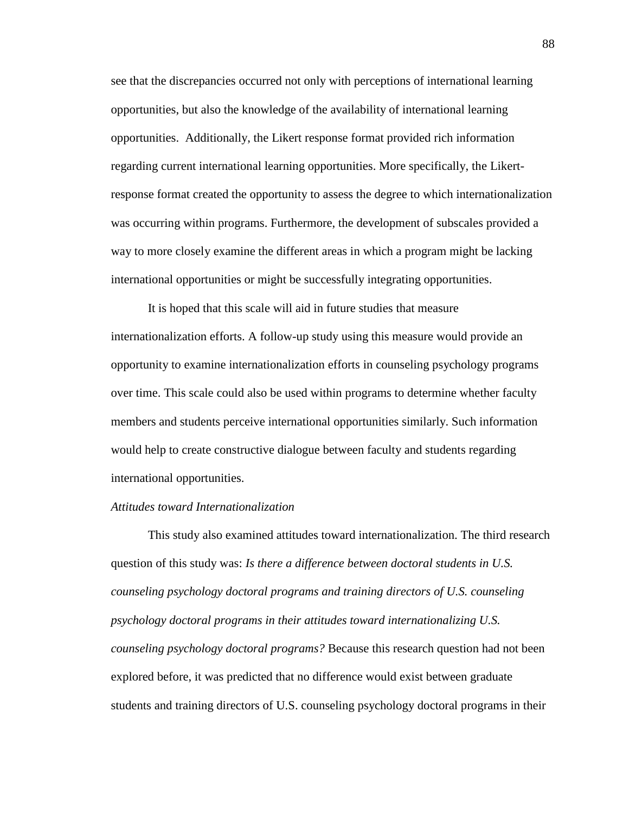see that the discrepancies occurred not only with perceptions of international learning opportunities, but also the knowledge of the availability of international learning opportunities. Additionally, the Likert response format provided rich information regarding current international learning opportunities. More specifically, the Likertresponse format created the opportunity to assess the degree to which internationalization was occurring within programs. Furthermore, the development of subscales provided a way to more closely examine the different areas in which a program might be lacking international opportunities or might be successfully integrating opportunities.

It is hoped that this scale will aid in future studies that measure internationalization efforts. A follow-up study using this measure would provide an opportunity to examine internationalization efforts in counseling psychology programs over time. This scale could also be used within programs to determine whether faculty members and students perceive international opportunities similarly. Such information would help to create constructive dialogue between faculty and students regarding international opportunities.

### *Attitudes toward Internationalization*

This study also examined attitudes toward internationalization. The third research question of this study was: *Is there a difference between doctoral students in U.S. counseling psychology doctoral programs and training directors of U.S. counseling psychology doctoral programs in their attitudes toward internationalizing U.S. counseling psychology doctoral programs?* Because this research question had not been explored before, it was predicted that no difference would exist between graduate students and training directors of U.S. counseling psychology doctoral programs in their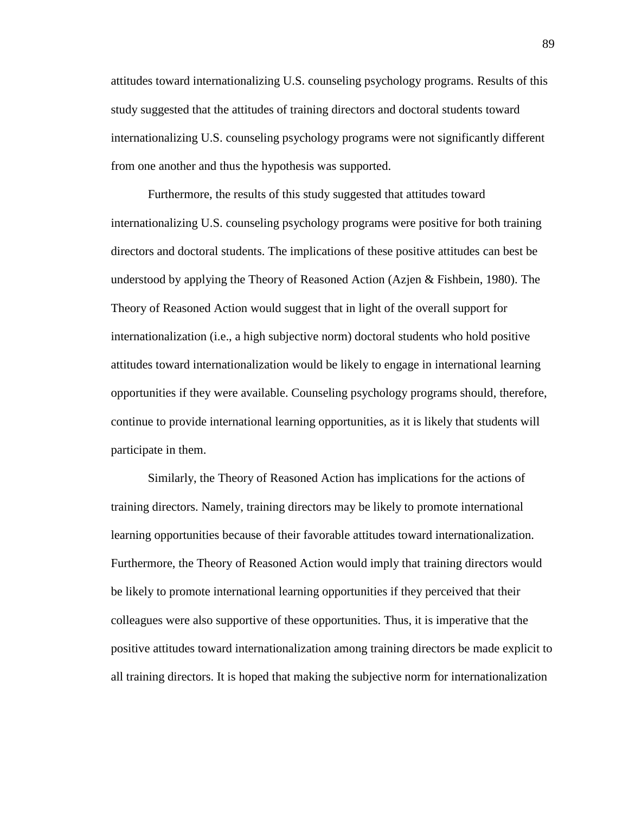attitudes toward internationalizing U.S. counseling psychology programs. Results of this study suggested that the attitudes of training directors and doctoral students toward internationalizing U.S. counseling psychology programs were not significantly different from one another and thus the hypothesis was supported.

Furthermore, the results of this study suggested that attitudes toward internationalizing U.S. counseling psychology programs were positive for both training directors and doctoral students. The implications of these positive attitudes can best be understood by applying the Theory of Reasoned Action (Azjen & Fishbein, 1980). The Theory of Reasoned Action would suggest that in light of the overall support for internationalization (i.e., a high subjective norm) doctoral students who hold positive attitudes toward internationalization would be likely to engage in international learning opportunities if they were available. Counseling psychology programs should, therefore, continue to provide international learning opportunities, as it is likely that students will participate in them.

Similarly, the Theory of Reasoned Action has implications for the actions of training directors. Namely, training directors may be likely to promote international learning opportunities because of their favorable attitudes toward internationalization. Furthermore, the Theory of Reasoned Action would imply that training directors would be likely to promote international learning opportunities if they perceived that their colleagues were also supportive of these opportunities. Thus, it is imperative that the positive attitudes toward internationalization among training directors be made explicit to all training directors. It is hoped that making the subjective norm for internationalization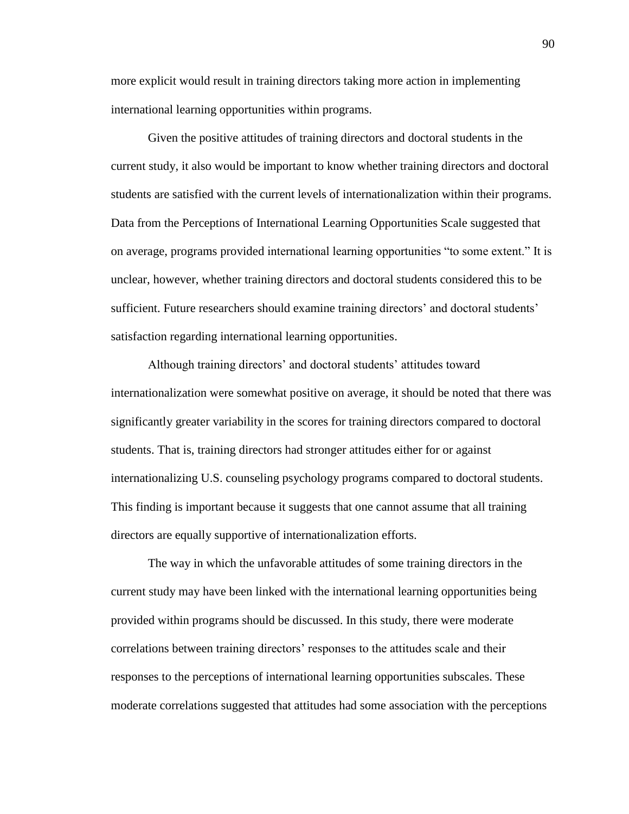more explicit would result in training directors taking more action in implementing international learning opportunities within programs.

Given the positive attitudes of training directors and doctoral students in the current study, it also would be important to know whether training directors and doctoral students are satisfied with the current levels of internationalization within their programs. Data from the Perceptions of International Learning Opportunities Scale suggested that on average, programs provided international learning opportunities "to some extent." It is unclear, however, whether training directors and doctoral students considered this to be sufficient. Future researchers should examine training directors' and doctoral students' satisfaction regarding international learning opportunities.

Although training directors' and doctoral students' attitudes toward internationalization were somewhat positive on average, it should be noted that there was significantly greater variability in the scores for training directors compared to doctoral students. That is, training directors had stronger attitudes either for or against internationalizing U.S. counseling psychology programs compared to doctoral students. This finding is important because it suggests that one cannot assume that all training directors are equally supportive of internationalization efforts.

The way in which the unfavorable attitudes of some training directors in the current study may have been linked with the international learning opportunities being provided within programs should be discussed. In this study, there were moderate correlations between training directors' responses to the attitudes scale and their responses to the perceptions of international learning opportunities subscales. These moderate correlations suggested that attitudes had some association with the perceptions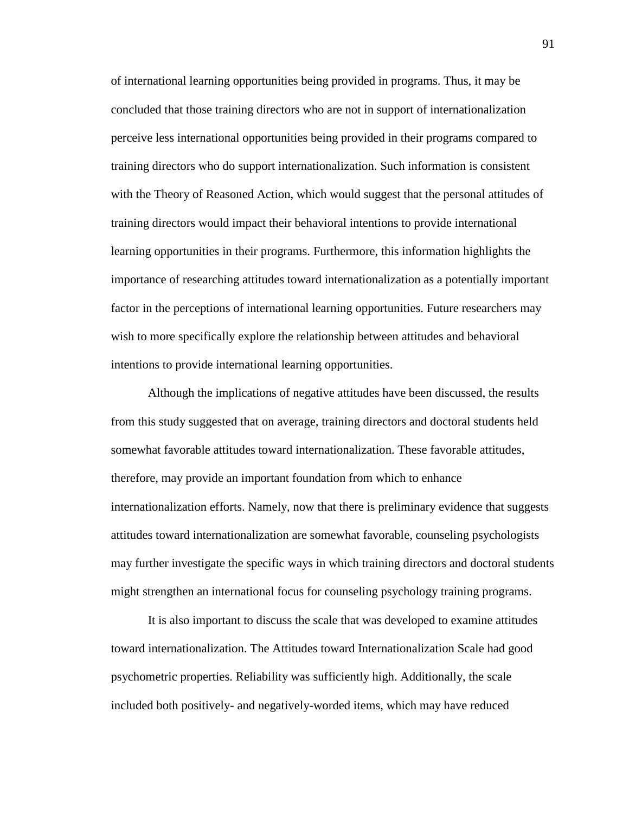of international learning opportunities being provided in programs. Thus, it may be concluded that those training directors who are not in support of internationalization perceive less international opportunities being provided in their programs compared to training directors who do support internationalization. Such information is consistent with the Theory of Reasoned Action, which would suggest that the personal attitudes of training directors would impact their behavioral intentions to provide international learning opportunities in their programs. Furthermore, this information highlights the importance of researching attitudes toward internationalization as a potentially important factor in the perceptions of international learning opportunities. Future researchers may wish to more specifically explore the relationship between attitudes and behavioral intentions to provide international learning opportunities.

Although the implications of negative attitudes have been discussed, the results from this study suggested that on average, training directors and doctoral students held somewhat favorable attitudes toward internationalization. These favorable attitudes, therefore, may provide an important foundation from which to enhance internationalization efforts. Namely, now that there is preliminary evidence that suggests attitudes toward internationalization are somewhat favorable, counseling psychologists may further investigate the specific ways in which training directors and doctoral students might strengthen an international focus for counseling psychology training programs.

It is also important to discuss the scale that was developed to examine attitudes toward internationalization. The Attitudes toward Internationalization Scale had good psychometric properties. Reliability was sufficiently high. Additionally, the scale included both positively- and negatively-worded items, which may have reduced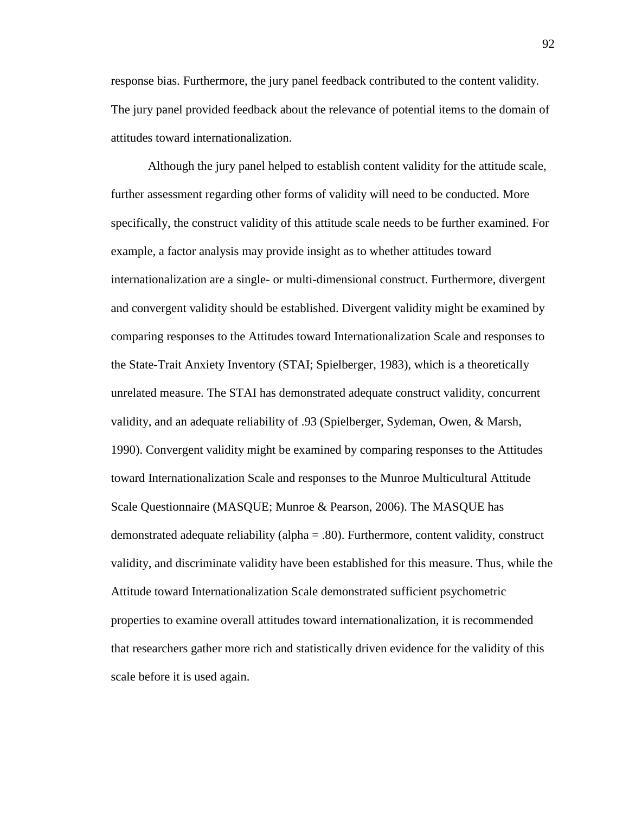response bias. Furthermore, the jury panel feedback contributed to the content validity. The jury panel provided feedback about the relevance of potential items to the domain of attitudes toward internationalization.

Although the jury panel helped to establish content validity for the attitude scale, further assessment regarding other forms of validity will need to be conducted. More specifically, the construct validity of this attitude scale needs to be further examined. For example, a factor analysis may provide insight as to whether attitudes toward internationalization are a single- or multi-dimensional construct. Furthermore, divergent and convergent validity should be established. Divergent validity might be examined by comparing responses to the Attitudes toward Internationalization Scale and responses to the State-Trait Anxiety Inventory (STAI; Spielberger, 1983), which is a theoretically unrelated measure. The STAI has demonstrated adequate construct validity, concurrent validity, and an adequate reliability of .93 (Spielberger, Sydeman, Owen, & Marsh, 1990). Convergent validity might be examined by comparing responses to the Attitudes toward Internationalization Scale and responses to the Munroe Multicultural Attitude Scale Questionnaire (MASQUE; Munroe & Pearson, 2006). The MASQUE has demonstrated adequate reliability (alpha = .80). Furthermore, content validity, construct validity, and discriminate validity have been established for this measure. Thus, while the Attitude toward Internationalization Scale demonstrated sufficient psychometric properties to examine overall attitudes toward internationalization, it is recommended that researchers gather more rich and statistically driven evidence for the validity of this scale before it is used again.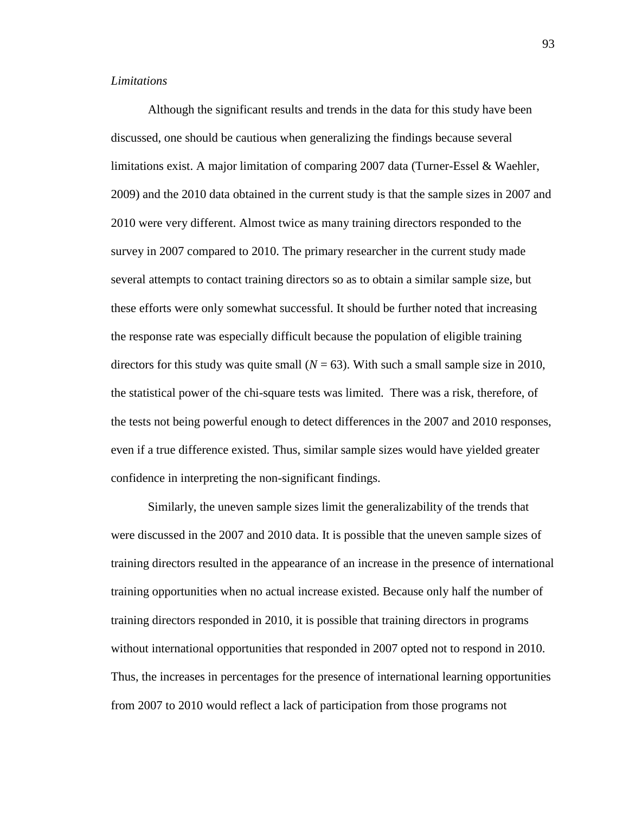### *Limitations*

Although the significant results and trends in the data for this study have been discussed, one should be cautious when generalizing the findings because several limitations exist. A major limitation of comparing 2007 data (Turner-Essel & Waehler, 2009) and the 2010 data obtained in the current study is that the sample sizes in 2007 and 2010 were very different. Almost twice as many training directors responded to the survey in 2007 compared to 2010. The primary researcher in the current study made several attempts to contact training directors so as to obtain a similar sample size, but these efforts were only somewhat successful. It should be further noted that increasing the response rate was especially difficult because the population of eligible training directors for this study was quite small  $(N = 63)$ . With such a small sample size in 2010, the statistical power of the chi-square tests was limited. There was a risk, therefore, of the tests not being powerful enough to detect differences in the 2007 and 2010 responses, even if a true difference existed. Thus, similar sample sizes would have yielded greater confidence in interpreting the non-significant findings.

Similarly, the uneven sample sizes limit the generalizability of the trends that were discussed in the 2007 and 2010 data. It is possible that the uneven sample sizes of training directors resulted in the appearance of an increase in the presence of international training opportunities when no actual increase existed. Because only half the number of training directors responded in 2010, it is possible that training directors in programs without international opportunities that responded in 2007 opted not to respond in 2010. Thus, the increases in percentages for the presence of international learning opportunities from 2007 to 2010 would reflect a lack of participation from those programs not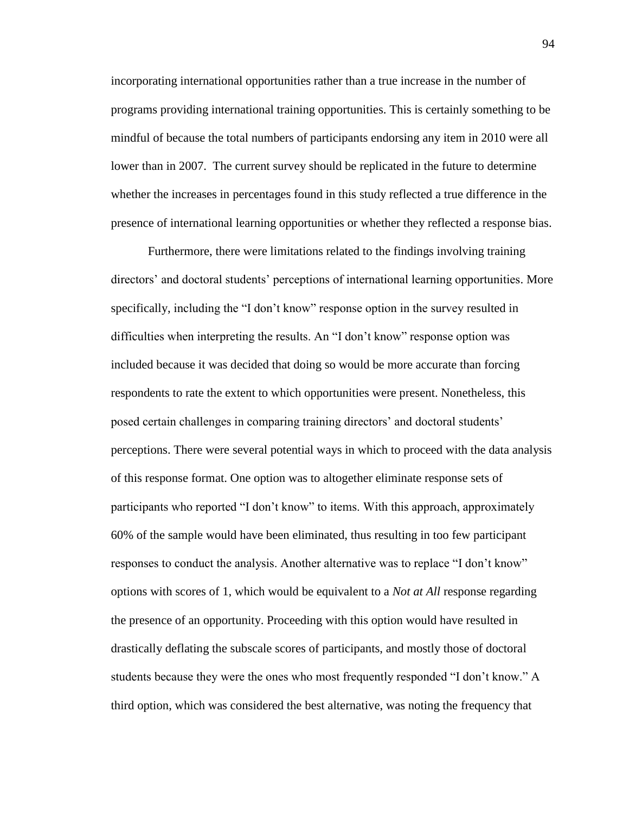incorporating international opportunities rather than a true increase in the number of programs providing international training opportunities. This is certainly something to be mindful of because the total numbers of participants endorsing any item in 2010 were all lower than in 2007. The current survey should be replicated in the future to determine whether the increases in percentages found in this study reflected a true difference in the presence of international learning opportunities or whether they reflected a response bias.

Furthermore, there were limitations related to the findings involving training directors' and doctoral students' perceptions of international learning opportunities. More specifically, including the "I don't know" response option in the survey resulted in difficulties when interpreting the results. An "I don't know" response option was included because it was decided that doing so would be more accurate than forcing respondents to rate the extent to which opportunities were present. Nonetheless, this posed certain challenges in comparing training directors' and doctoral students' perceptions. There were several potential ways in which to proceed with the data analysis of this response format. One option was to altogether eliminate response sets of participants who reported "I don't know" to items. With this approach, approximately 60% of the sample would have been eliminated, thus resulting in too few participant responses to conduct the analysis. Another alternative was to replace "I don't know" options with scores of 1, which would be equivalent to a *Not at All* response regarding the presence of an opportunity. Proceeding with this option would have resulted in drastically deflating the subscale scores of participants, and mostly those of doctoral students because they were the ones who most frequently responded "I don't know." A third option, which was considered the best alternative, was noting the frequency that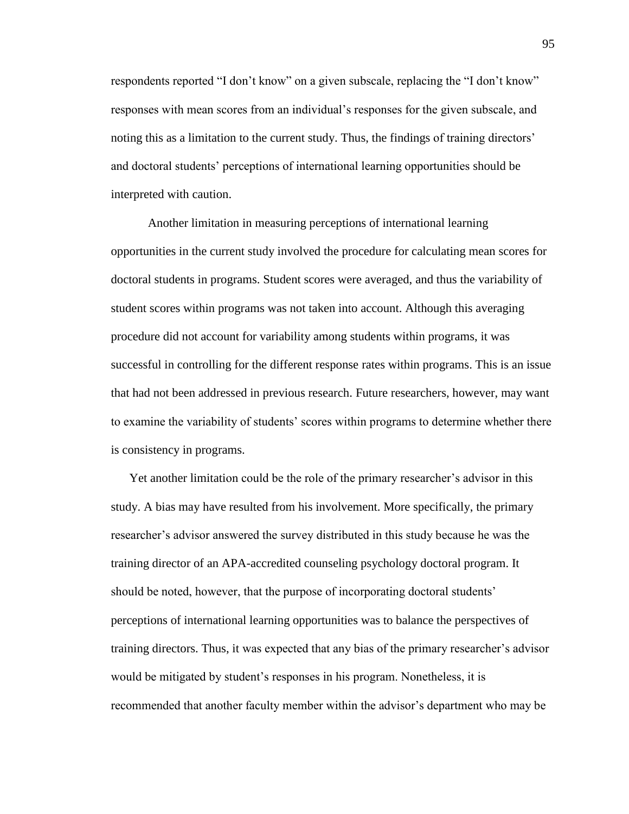respondents reported "I don't know" on a given subscale, replacing the "I don't know" responses with mean scores from an individual's responses for the given subscale, and noting this as a limitation to the current study. Thus, the findings of training directors' and doctoral students' perceptions of international learning opportunities should be interpreted with caution.

Another limitation in measuring perceptions of international learning opportunities in the current study involved the procedure for calculating mean scores for doctoral students in programs. Student scores were averaged, and thus the variability of student scores within programs was not taken into account. Although this averaging procedure did not account for variability among students within programs, it was successful in controlling for the different response rates within programs. This is an issue that had not been addressed in previous research. Future researchers, however, may want to examine the variability of students' scores within programs to determine whether there is consistency in programs.

Yet another limitation could be the role of the primary researcher's advisor in this study. A bias may have resulted from his involvement. More specifically, the primary researcher's advisor answered the survey distributed in this study because he was the training director of an APA-accredited counseling psychology doctoral program. It should be noted, however, that the purpose of incorporating doctoral students' perceptions of international learning opportunities was to balance the perspectives of training directors. Thus, it was expected that any bias of the primary researcher's advisor would be mitigated by student's responses in his program. Nonetheless, it is recommended that another faculty member within the advisor's department who may be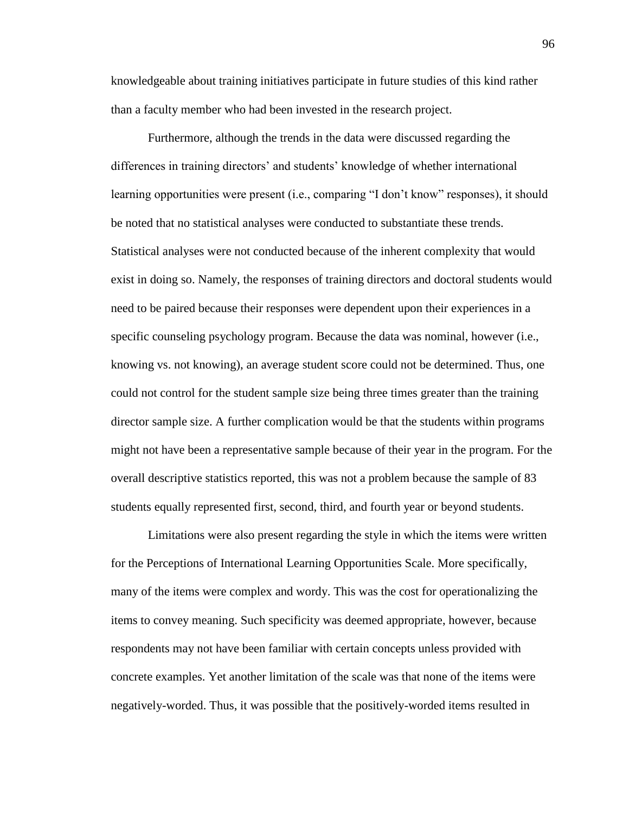knowledgeable about training initiatives participate in future studies of this kind rather than a faculty member who had been invested in the research project.

Furthermore, although the trends in the data were discussed regarding the differences in training directors' and students' knowledge of whether international learning opportunities were present (i.e., comparing "I don't know" responses), it should be noted that no statistical analyses were conducted to substantiate these trends. Statistical analyses were not conducted because of the inherent complexity that would exist in doing so. Namely, the responses of training directors and doctoral students would need to be paired because their responses were dependent upon their experiences in a specific counseling psychology program. Because the data was nominal, however (i.e., knowing vs. not knowing), an average student score could not be determined. Thus, one could not control for the student sample size being three times greater than the training director sample size. A further complication would be that the students within programs might not have been a representative sample because of their year in the program. For the overall descriptive statistics reported, this was not a problem because the sample of 83 students equally represented first, second, third, and fourth year or beyond students.

Limitations were also present regarding the style in which the items were written for the Perceptions of International Learning Opportunities Scale. More specifically, many of the items were complex and wordy. This was the cost for operationalizing the items to convey meaning. Such specificity was deemed appropriate, however, because respondents may not have been familiar with certain concepts unless provided with concrete examples. Yet another limitation of the scale was that none of the items were negatively-worded. Thus, it was possible that the positively-worded items resulted in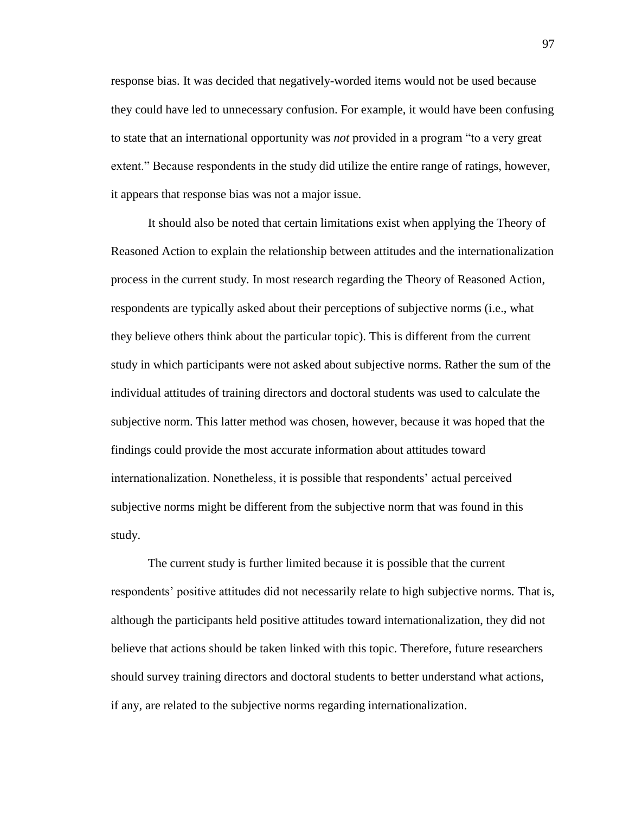response bias. It was decided that negatively-worded items would not be used because they could have led to unnecessary confusion. For example, it would have been confusing to state that an international opportunity was *not* provided in a program "to a very great extent." Because respondents in the study did utilize the entire range of ratings, however, it appears that response bias was not a major issue.

It should also be noted that certain limitations exist when applying the Theory of Reasoned Action to explain the relationship between attitudes and the internationalization process in the current study. In most research regarding the Theory of Reasoned Action, respondents are typically asked about their perceptions of subjective norms (i.e., what they believe others think about the particular topic). This is different from the current study in which participants were not asked about subjective norms. Rather the sum of the individual attitudes of training directors and doctoral students was used to calculate the subjective norm. This latter method was chosen, however, because it was hoped that the findings could provide the most accurate information about attitudes toward internationalization. Nonetheless, it is possible that respondents' actual perceived subjective norms might be different from the subjective norm that was found in this study.

The current study is further limited because it is possible that the current respondents' positive attitudes did not necessarily relate to high subjective norms. That is, although the participants held positive attitudes toward internationalization, they did not believe that actions should be taken linked with this topic. Therefore, future researchers should survey training directors and doctoral students to better understand what actions, if any, are related to the subjective norms regarding internationalization.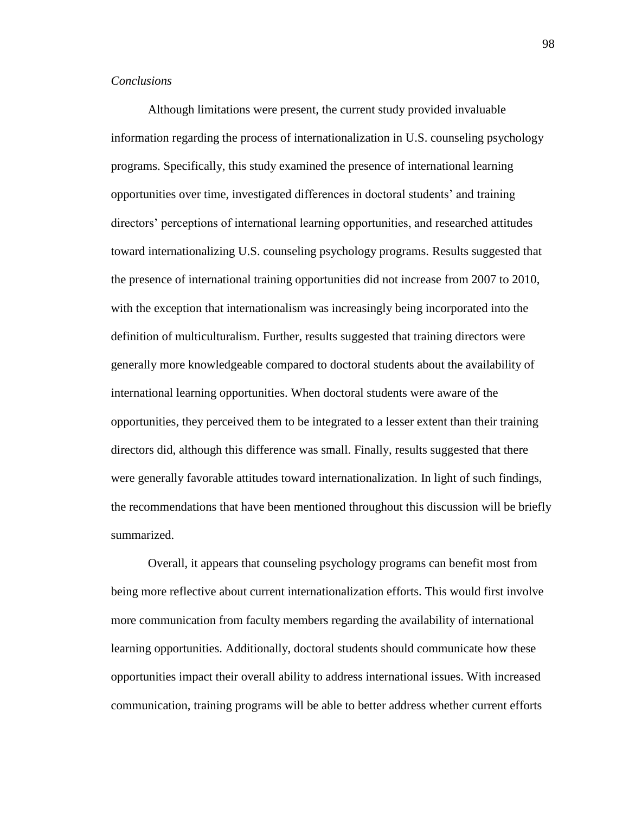# *Conclusions*

Although limitations were present, the current study provided invaluable information regarding the process of internationalization in U.S. counseling psychology programs. Specifically, this study examined the presence of international learning opportunities over time, investigated differences in doctoral students' and training directors' perceptions of international learning opportunities, and researched attitudes toward internationalizing U.S. counseling psychology programs. Results suggested that the presence of international training opportunities did not increase from 2007 to 2010, with the exception that internationalism was increasingly being incorporated into the definition of multiculturalism. Further, results suggested that training directors were generally more knowledgeable compared to doctoral students about the availability of international learning opportunities. When doctoral students were aware of the opportunities, they perceived them to be integrated to a lesser extent than their training directors did, although this difference was small. Finally, results suggested that there were generally favorable attitudes toward internationalization. In light of such findings, the recommendations that have been mentioned throughout this discussion will be briefly summarized.

Overall, it appears that counseling psychology programs can benefit most from being more reflective about current internationalization efforts. This would first involve more communication from faculty members regarding the availability of international learning opportunities. Additionally, doctoral students should communicate how these opportunities impact their overall ability to address international issues. With increased communication, training programs will be able to better address whether current efforts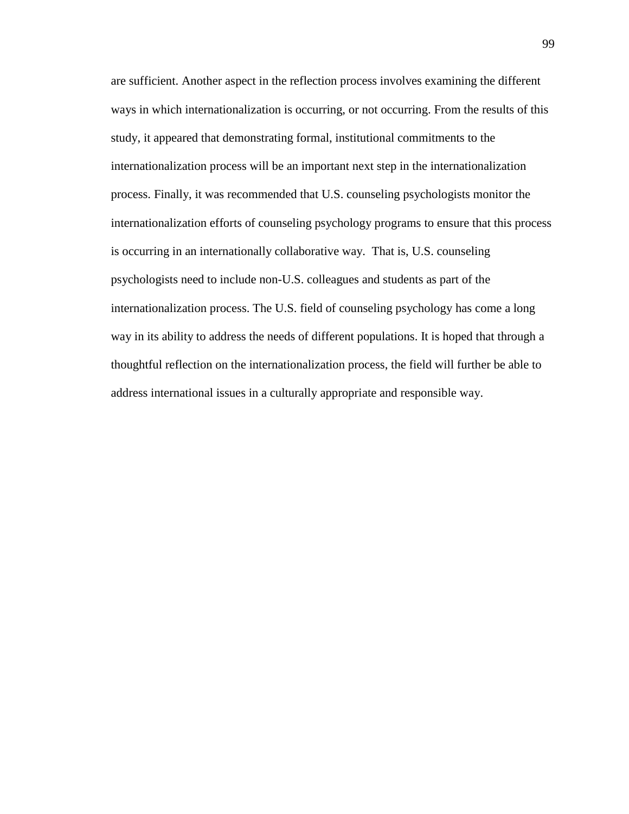are sufficient. Another aspect in the reflection process involves examining the different ways in which internationalization is occurring, or not occurring. From the results of this study, it appeared that demonstrating formal, institutional commitments to the internationalization process will be an important next step in the internationalization process. Finally, it was recommended that U.S. counseling psychologists monitor the internationalization efforts of counseling psychology programs to ensure that this process is occurring in an internationally collaborative way. That is, U.S. counseling psychologists need to include non-U.S. colleagues and students as part of the internationalization process. The U.S. field of counseling psychology has come a long way in its ability to address the needs of different populations. It is hoped that through a thoughtful reflection on the internationalization process, the field will further be able to address international issues in a culturally appropriate and responsible way.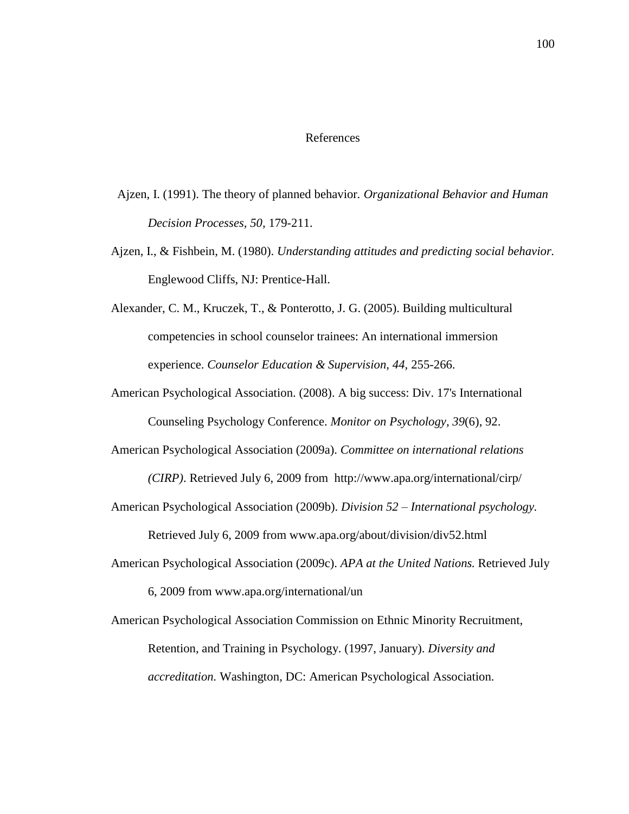#### References

- Ajzen, I. (1991). The theory of planned behavior*. Organizational Behavior and Human Decision Processes, 50,* 179-211.
- Ajzen, I., & Fishbein, M. (1980). *Understanding attitudes and predicting social behavior.*  Englewood Cliffs, NJ: Prentice-Hall.
- Alexander, C. M., Kruczek, T., & Ponterotto, J. G. (2005). Building multicultural competencies in school counselor trainees: An international immersion experience. *Counselor Education & Supervision, 44,* 255-266.
- American Psychological Association. (2008). A big success: Div. 17's International Counseling Psychology Conference. *Monitor on Psychology, 39*(6), 92.
- American Psychological Association (2009a). *Committee on international relations (CIRP)*. Retrieved July 6, 2009 from http://www.apa.org/international/cirp/
- American Psychological Association (2009b). *Division 52 – International psychology.*

Retrieved July 6, 2009 from www.apa.org/about/division/div52.html

American Psychological Association (2009c). *APA at the United Nations.* Retrieved July

6, 2009 from www.apa.org/international/un

American Psychological Association Commission on Ethnic Minority Recruitment, Retention, and Training in Psychology. (1997, January). *Diversity and accreditation.* Washington, DC: American Psychological Association.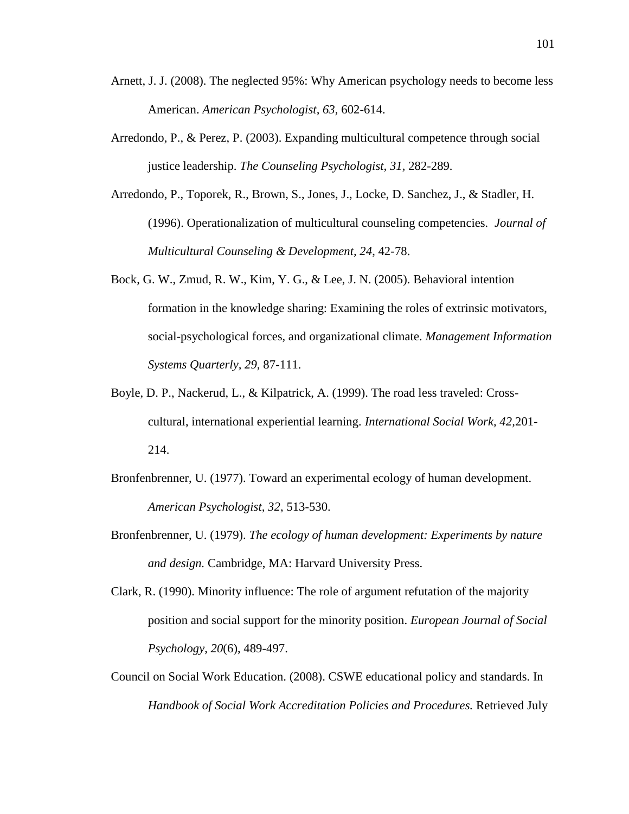- Arnett, J. J. (2008). The neglected 95%: Why American psychology needs to become less American. *American Psychologist, 63,* 602-614.
- Arredondo, P., & Perez, P. (2003). Expanding multicultural competence through social justice leadership. *The Counseling Psychologist, 31,* 282-289.
- Arredondo, P., Toporek, R., Brown, S., Jones, J., Locke, D. Sanchez, J., & Stadler, H. (1996). Operationalization of multicultural counseling competencies*. Journal of Multicultural Counseling & Development, 24*, 42-78.
- Bock, G. W., Zmud, R. W., Kim, Y. G., & Lee, J. N. (2005). Behavioral intention formation in the knowledge sharing: Examining the roles of extrinsic motivators, social-psychological forces, and organizational climate. *Management Information Systems Quarterly, 29,* 87-111.
- Boyle, D. P., Nackerud, L., & Kilpatrick, A. (1999). The road less traveled: Crosscultural, international experiential learning. *International Social Work, 42,*201- 214.
- Bronfenbrenner, U. (1977). Toward an experimental ecology of human development. *American Psychologist, 32*, 513-530.
- Bronfenbrenner, U. (1979). *The ecology of human development: Experiments by nature and design.* Cambridge, MA: Harvard University Press.
- Clark, R. (1990). Minority influence: The role of argument refutation of the majority position and social support for the minority position. *European Journal of Social Psychology*, *20*(6), 489-497.
- Council on Social Work Education. (2008). CSWE educational policy and standards. In *Handbook of Social Work Accreditation Policies and Procedures.* Retrieved July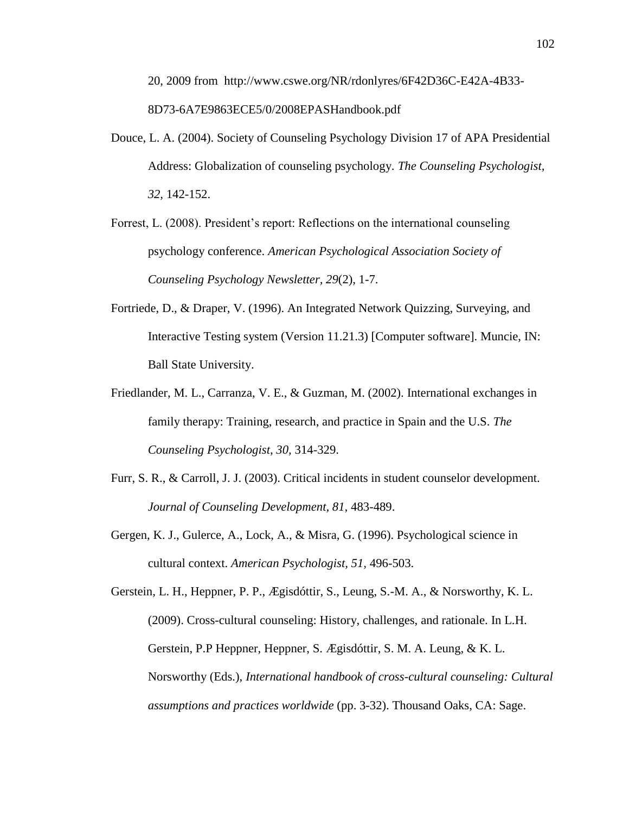20, 2009 from http://www.cswe.org/NR/rdonlyres/6F42D36C-E42A-4B33- 8D73-6A7E9863ECE5/0/2008EPASHandbook.pdf

- Douce, L. A. (2004). Society of Counseling Psychology Division 17 of APA Presidential Address: Globalization of counseling psychology. *The Counseling Psychologist, 32,* 142-152.
- Forrest, L. (2008). President's report: Reflections on the international counseling psychology conference. *American Psychological Association Society of Counseling Psychology Newsletter, 29*(2), 1-7.
- Fortriede, D., & Draper, V. (1996). An Integrated Network Quizzing, Surveying, and Interactive Testing system (Version 11.21.3) [Computer software]. Muncie, IN: Ball State University.
- Friedlander, M. L., Carranza, V. E., & Guzman, M. (2002). International exchanges in family therapy: Training, research, and practice in Spain and the U.S. *The Counseling Psychologist, 30,* 314-329.
- Furr, S. R., & Carroll, J. J. (2003). Critical incidents in student counselor development. *Journal of Counseling Development, 81,* 483-489.
- Gergen, K. J., Gulerce, A., Lock, A., & Misra, G. (1996). Psychological science in cultural context. *American Psychologist, 51,* 496-503.

Gerstein, L. H., Heppner, P. P., Ægisdóttir, S., Leung, S.-M. A., & Norsworthy, K. L. (2009). Cross-cultural counseling: History, challenges, and rationale. In L.H. Gerstein, P.P Heppner, Heppner, S. Ægisdóttir, S. M. A. Leung, & K. L. Norsworthy (Eds.), *International handbook of cross-cultural counseling: Cultural assumptions and practices worldwide* (pp. 3-32). Thousand Oaks, CA: Sage.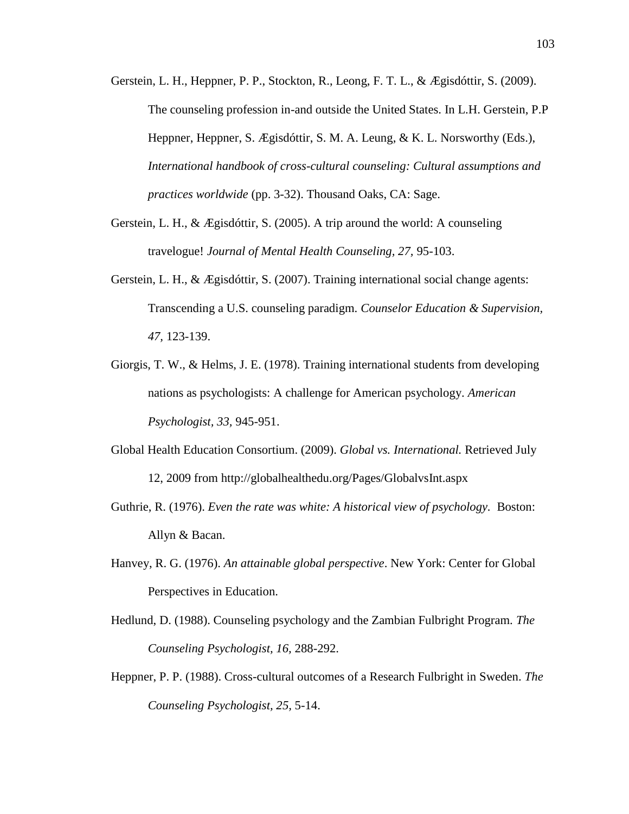- Gerstein, L. H., Heppner, P. P., Stockton, R., Leong, F. T. L., & Ægisdóttir, S. (2009). The counseling profession in-and outside the United States. In L.H. Gerstein, P.P Heppner, Heppner, S. Ægisdóttir, S. M. A. Leung, & K. L. Norsworthy (Eds.), *International handbook of cross-cultural counseling: Cultural assumptions and practices worldwide* (pp. 3-32). Thousand Oaks, CA: Sage.
- Gerstein, L. H., & Ægisdóttir, S. (2005). A trip around the world: A counseling travelogue! *Journal of Mental Health Counseling, 27,* 95-103.
- Gerstein, L. H., & Ægisdóttir, S. (2007). Training international social change agents: Transcending a U.S. counseling paradigm. *Counselor Education & Supervision, 47,* 123-139.
- Giorgis, T. W., & Helms, J. E. (1978). Training international students from developing nations as psychologists: A challenge for American psychology. *American Psychologist, 33,* 945-951.
- Global Health Education Consortium. (2009). *Global vs. International.* Retrieved July 12, 2009 from http://globalhealthedu.org/Pages/GlobalvsInt.aspx
- Guthrie, R. (1976). *Even the rate was white: A historical view of psychology.* Boston: Allyn & Bacan.
- Hanvey, R. G. (1976). *An attainable global perspective*. New York: Center for Global Perspectives in Education.
- Hedlund, D. (1988). Counseling psychology and the Zambian Fulbright Program. *The Counseling Psychologist, 16,* 288-292.
- Heppner, P. P. (1988). Cross-cultural outcomes of a Research Fulbright in Sweden. *The Counseling Psychologist, 25,* 5-14.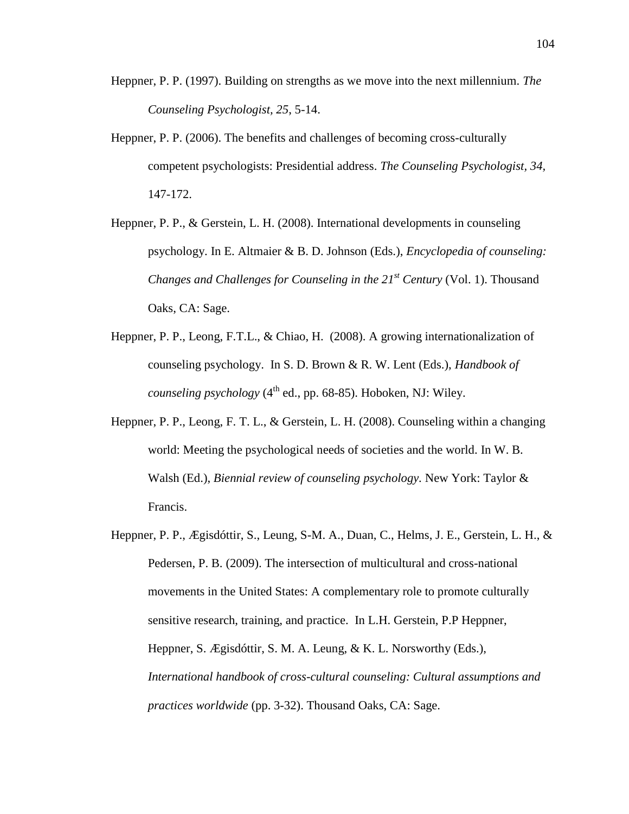- Heppner, P. P. (1997). Building on strengths as we move into the next millennium. *The Counseling Psychologist, 25*, 5-14.
- Heppner, P. P. (2006). The benefits and challenges of becoming cross-culturally competent psychologists: Presidential address. *The Counseling Psychologist, 34,*  147-172.
- Heppner, P. P., & Gerstein, L. H. (2008). International developments in counseling psychology. In E. Altmaier & B. D. Johnson (Eds.), *Encyclopedia of counseling: Changes and Challenges for Counseling in the 21st Century* (Vol. 1). Thousand Oaks, CA: Sage.
- Heppner, P. P., Leong, F.T.L., & Chiao, H. (2008). A growing internationalization of counseling psychology. In S. D. Brown & R. W. Lent (Eds.), *Handbook of counseling psychology*  $(4^{\text{th}}$  ed., pp. 68-85). Hoboken, NJ: Wiley.
- Heppner, P. P., Leong, F. T. L., & Gerstein, L. H. (2008). Counseling within a changing world: Meeting the psychological needs of societies and the world. In W. B. Walsh (Ed.), *Biennial review of counseling psychology.* New York: Taylor & Francis.
- Heppner, P. P., Ægisdóttir, S., Leung, S-M. A., Duan, C., Helms, J. E., Gerstein, L. H., & Pedersen, P. B. (2009). The intersection of multicultural and cross-national movements in the United States: A complementary role to promote culturally sensitive research, training, and practice. In L.H. Gerstein, P.P Heppner, Heppner, S. Ægisdóttir, S. M. A. Leung, & K. L. Norsworthy (Eds.), *International handbook of cross-cultural counseling: Cultural assumptions and practices worldwide* (pp. 3-32). Thousand Oaks, CA: Sage.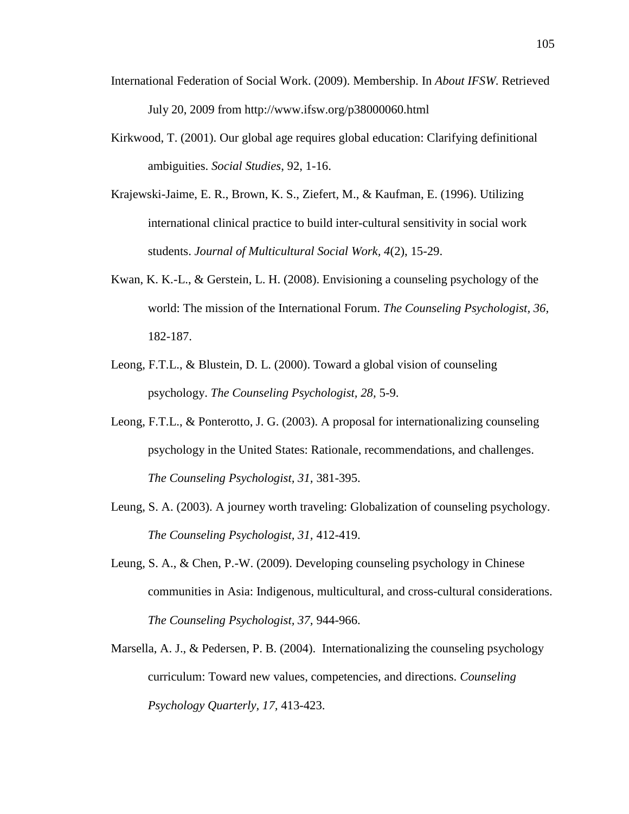- International Federation of Social Work. (2009). Membership. In *About IFSW*. Retrieved July 20, 2009 from http://www.ifsw.org/p38000060.html
- Kirkwood, T. (2001). Our global age requires global education: Clarifying definitional ambiguities. *Social Studies*, 92, 1-16.
- Krajewski-Jaime, E. R., Brown, K. S., Ziefert, M., & Kaufman, E. (1996). Utilizing international clinical practice to build inter-cultural sensitivity in social work students. *Journal of Multicultural Social Work, 4*(2), 15-29.
- Kwan, K. K.-L., & Gerstein, L. H. (2008). Envisioning a counseling psychology of the world: The mission of the International Forum. *The Counseling Psychologist, 36,*  182-187.
- Leong, F.T.L., & Blustein, D. L. (2000). Toward a global vision of counseling psychology. *The Counseling Psychologist, 28,* 5-9.
- Leong, F.T.L., & Ponterotto, J. G. (2003). A proposal for internationalizing counseling psychology in the United States: Rationale, recommendations, and challenges. *The Counseling Psychologist, 31,* 381-395.
- Leung, S. A. (2003). A journey worth traveling: Globalization of counseling psychology. *The Counseling Psychologist, 31,* 412-419.
- Leung, S. A., & Chen, P.-W. (2009). Developing counseling psychology in Chinese communities in Asia: Indigenous, multicultural, and cross-cultural considerations. *The Counseling Psychologist, 37,* 944-966.
- Marsella, A. J., & Pedersen, P. B. (2004). Internationalizing the counseling psychology curriculum: Toward new values, competencies, and directions. *Counseling Psychology Quarterly, 17,* 413-423.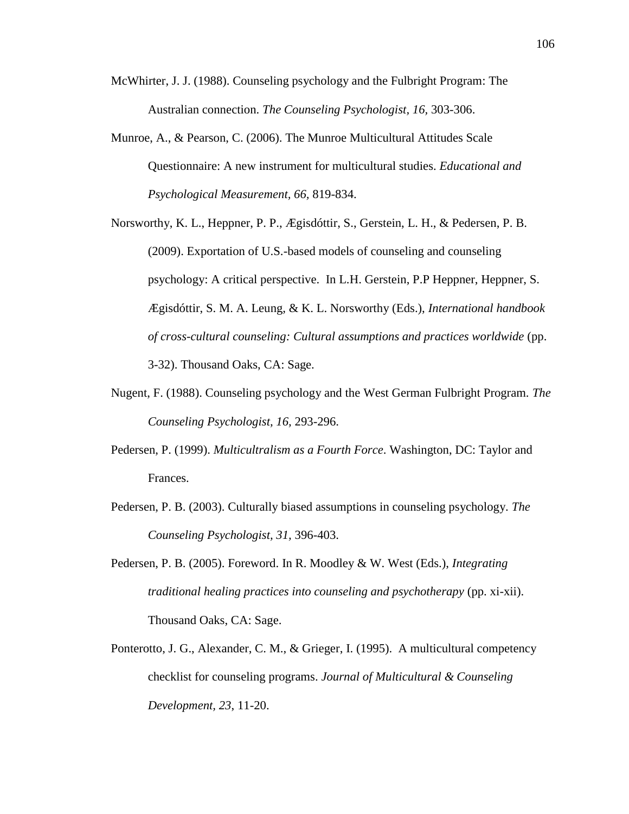- McWhirter, J. J. (1988). Counseling psychology and the Fulbright Program: The Australian connection. *The Counseling Psychologist, 16,* 303-306.
- Munroe, A., & Pearson, C. (2006). The Munroe Multicultural Attitudes Scale Questionnaire: A new instrument for multicultural studies. *Educational and Psychological Measurement, 66,* 819-834.

Norsworthy, K. L., Heppner, P. P., Ægisdóttir, S., Gerstein, L. H., & Pedersen, P. B. (2009). Exportation of U.S.-based models of counseling and counseling psychology: A critical perspective. In L.H. Gerstein, P.P Heppner, Heppner, S. Ægisdóttir, S. M. A. Leung, & K. L. Norsworthy (Eds.), *International handbook of cross-cultural counseling: Cultural assumptions and practices worldwide* (pp. 3-32). Thousand Oaks, CA: Sage.

- Nugent, F. (1988). Counseling psychology and the West German Fulbright Program. *The Counseling Psychologist, 16,* 293-296.
- Pedersen, P. (1999). *Multicultralism as a Fourth Force*. Washington, DC: Taylor and Frances.
- Pedersen, P. B. (2003). Culturally biased assumptions in counseling psychology. *The Counseling Psychologist, 31,* 396-403.
- Pedersen, P. B. (2005). Foreword. In R. Moodley & W. West (Eds.), *Integrating traditional healing practices into counseling and psychotherapy* (pp. xi-xii). Thousand Oaks, CA: Sage.
- Ponterotto, J. G., Alexander, C. M., & Grieger, I. (1995). A multicultural competency checklist for counseling programs. *Journal of Multicultural & Counseling Development, 23*, 11-20.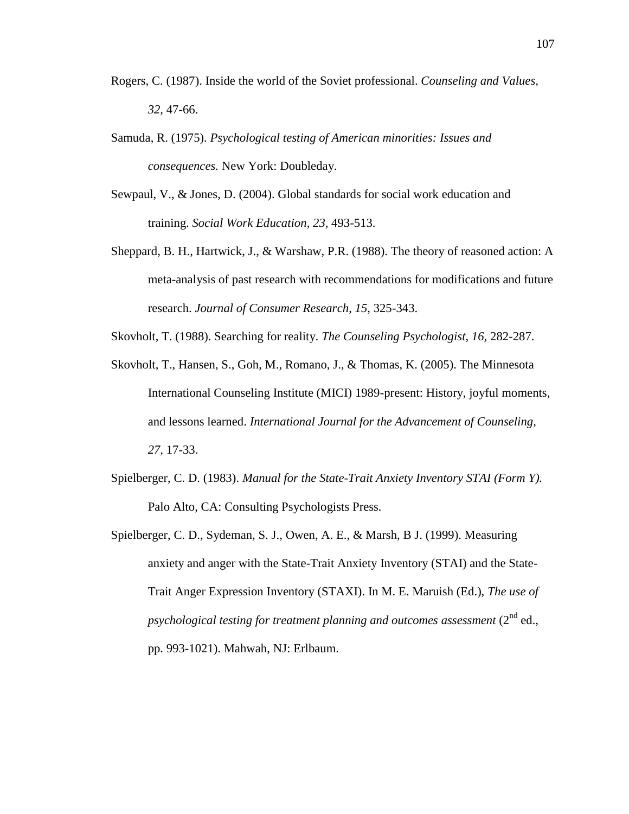- Rogers, C. (1987). Inside the world of the Soviet professional. *Counseling and Values, 32,* 47-66.
- Samuda, R. (1975). *Psychological testing of American minorities: Issues and consequences.* New York: Doubleday.
- Sewpaul, V., & Jones, D. (2004). Global standards for social work education and training. *Social Work Education*, *23*, 493-513.
- Sheppard, B. H., Hartwick, J., & Warshaw, P.R. (1988). The theory of reasoned action: A meta-analysis of past research with recommendations for modifications and future research. *Journal of Consumer Research*, *15*, 325-343.

Skovholt, T. (1988). Searching for reality. *The Counseling Psychologist, 16,* 282-287.

- Skovholt, T., Hansen, S., Goh, M., Romano, J., & Thomas, K. (2005). The Minnesota International Counseling Institute (MICI) 1989-present: History, joyful moments, and lessons learned. *International Journal for the Advancement of Counseling, 27,* 17-33.
- Spielberger, C. D. (1983). *Manual for the State-Trait Anxiety Inventory STAI (Form Y).* Palo Alto, CA: Consulting Psychologists Press.
- Spielberger, C. D., Sydeman, S. J., Owen, A. E., & Marsh, B J. (1999). Measuring anxiety and anger with the State-Trait Anxiety Inventory (STAI) and the State-Trait Anger Expression Inventory (STAXI). In M. E. Maruish (Ed.), *The use of psychological testing for treatment planning and outcomes assessment* (2<sup>nd</sup> ed., pp. 993-1021). Mahwah, NJ: Erlbaum.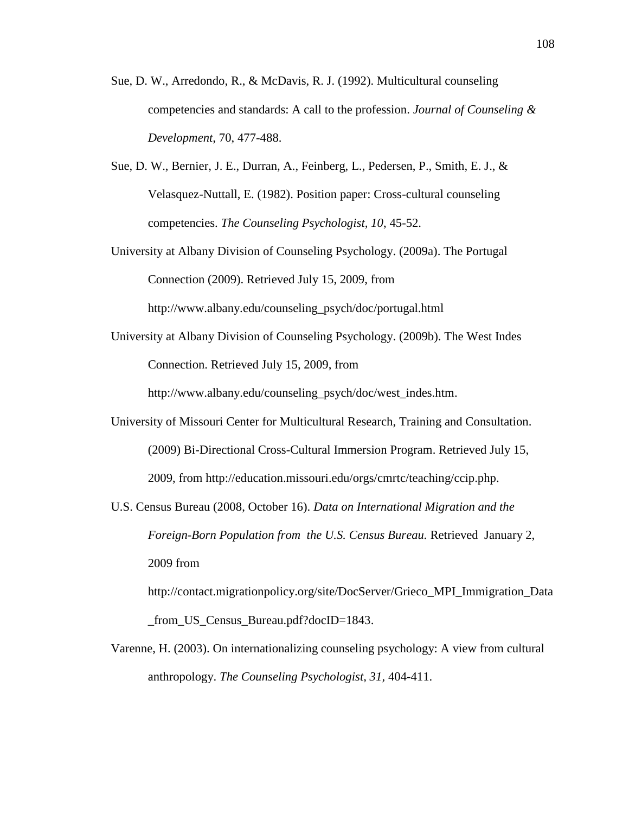- Sue, D. W., Arredondo, R., & McDavis, R. J. (1992). Multicultural counseling competencies and standards: A call to the profession. *Journal of Counseling & Development,* 70, 477-488.
- Sue, D. W., Bernier, J. E., Durran, A., Feinberg, L., Pedersen, P., Smith, E. J., & Velasquez-Nuttall, E. (1982). Position paper: Cross-cultural counseling competencies. *The Counseling Psychologist, 10*, 45-52.
- University at Albany Division of Counseling Psychology. (2009a). The Portugal Connection (2009). Retrieved July 15, 2009, from http://www.albany.edu/counseling\_psych/doc/portugal.html
- University at Albany Division of Counseling Psychology. (2009b). The West Indes Connection. Retrieved July 15, 2009, from

http://www.albany.edu/counseling\_psych/doc/west\_indes.htm.

- University of Missouri Center for Multicultural Research, Training and Consultation. (2009) Bi-Directional Cross-Cultural Immersion Program. Retrieved July 15, 2009, from http://education.missouri.edu/orgs/cmrtc/teaching/ccip.php.
- U.S. Census Bureau (2008, October 16). *Data on International Migration and the Foreign-Born Population from the U.S. Census Bureau.* Retrieved January 2, 2009 from

http://contact.migrationpolicy.org/site/DocServer/Grieco\_MPI\_Immigration\_Data \_from\_US\_Census\_Bureau.pdf?docID=1843.

Varenne, H. (2003). On internationalizing counseling psychology: A view from cultural anthropology. *The Counseling Psychologist, 31,* 404-411.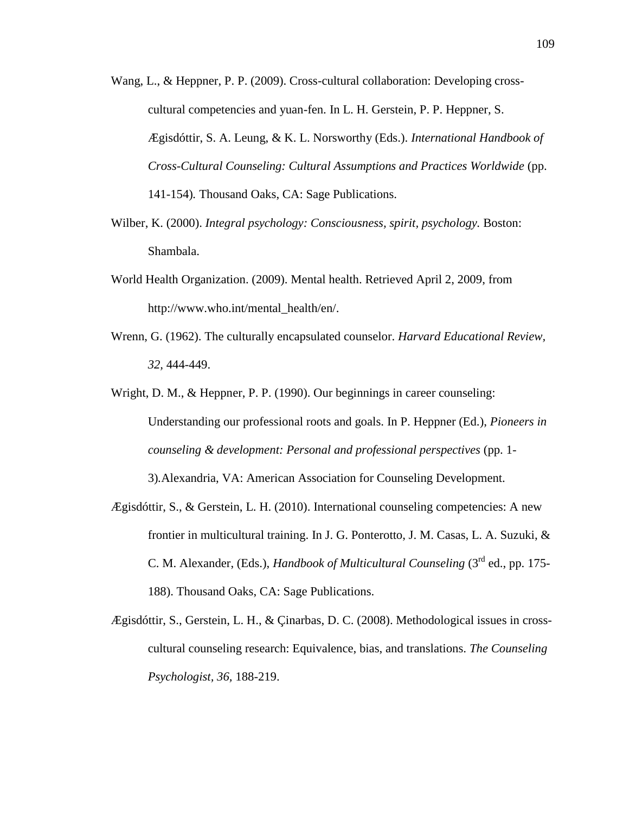- Wang, L., & Heppner, P. P. (2009). Cross-cultural collaboration: Developing crosscultural competencies and yuan-fen. In L. H. Gerstein, P. P. Heppner, S. Ægisdóttir, S. A. Leung, & K. L. Norsworthy (Eds.). *International Handbook of Cross-Cultural Counseling: Cultural Assumptions and Practices Worldwide* (pp. 141-154)*.* Thousand Oaks, CA: Sage Publications.
- Wilber, K. (2000). *Integral psychology: Consciousness, spirit, psychology.* Boston: Shambala.
- World Health Organization. (2009). Mental health. Retrieved April 2, 2009, from http://www.who.int/mental\_health/en/.
- Wrenn, G. (1962). The culturally encapsulated counselor. *Harvard Educational Review, 32,* 444-449.
- Wright, D. M., & Heppner, P. P. (1990). Our beginnings in career counseling: Understanding our professional roots and goals. In P. Heppner (Ed.), *Pioneers in counseling & development: Personal and professional perspectives* (pp. 1- 3)*.*Alexandria, VA: American Association for Counseling Development.
- Ægisdóttir, S., & Gerstein, L. H. (2010). International counseling competencies: A new frontier in multicultural training. In J. G. Ponterotto, J. M. Casas, L. A. Suzuki, & C. M. Alexander, (Eds.), *Handbook of Multicultural Counseling* (3rd ed., pp. 175- 188). Thousand Oaks, CA: Sage Publications.
- Ægisdóttir, S., Gerstein, L. H., & Çinarbas, D. C. (2008). Methodological issues in crosscultural counseling research: Equivalence, bias, and translations. *The Counseling Psychologist, 36,* 188-219.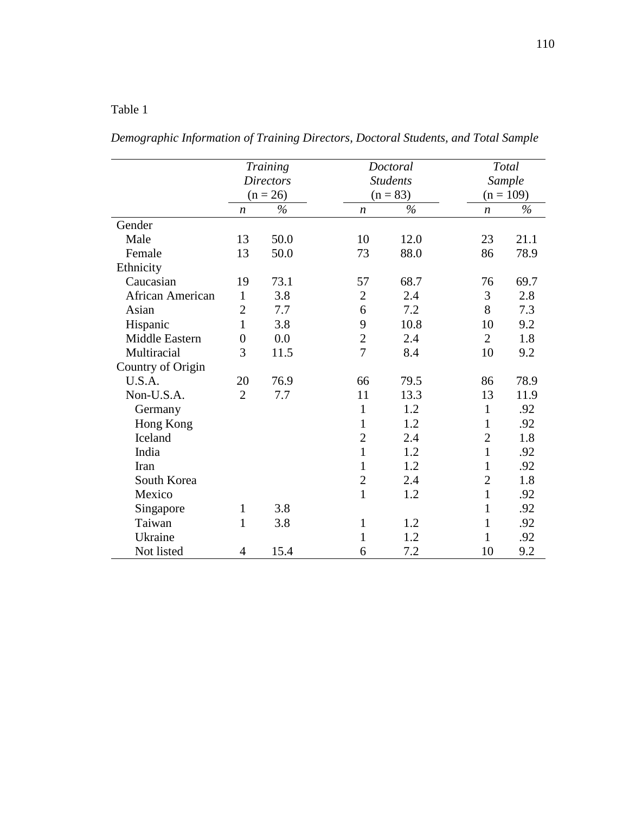*Demographic Information of Training Directors, Doctoral Students, and Total Sample*

|                       |                  | <b>Training</b>  |                | Doctoral        |                  | Total         |
|-----------------------|------------------|------------------|----------------|-----------------|------------------|---------------|
|                       |                  | <b>Directors</b> |                | <b>Students</b> |                  | <b>Sample</b> |
|                       |                  | $(n = 26)$       |                | $(n = 83)$      |                  | $(n = 109)$   |
|                       | $\boldsymbol{n}$ | $\%$             | n              | $\%$            | $\boldsymbol{n}$ | $\frac{0}{0}$ |
| Gender                |                  |                  |                |                 |                  |               |
| Male                  | 13               | 50.0             | 10             | 12.0            | 23               | 21.1          |
| Female                | 13               | 50.0             | 73             | 88.0            | 86               | 78.9          |
| Ethnicity             |                  |                  |                |                 |                  |               |
| Caucasian             | 19               | 73.1             | 57             | 68.7            | 76               | 69.7          |
| African American      | $\mathbf{1}$     | 3.8              | $\overline{2}$ | 2.4             | 3                | 2.8           |
| Asian                 | $\overline{2}$   | 7.7              | 6              | 7.2             | 8                | 7.3           |
| Hispanic              | $\mathbf{1}$     | 3.8              | 9              | 10.8            | 10               | 9.2           |
| <b>Middle Eastern</b> | $\boldsymbol{0}$ | 0.0              | $\overline{2}$ | 2.4             | $\overline{2}$   | 1.8           |
| Multiracial           | 3                | 11.5             | $\overline{7}$ | 8.4             | 10               | 9.2           |
| Country of Origin     |                  |                  |                |                 |                  |               |
| U.S.A.                | 20               | 76.9             | 66             | 79.5            | 86               | 78.9          |
| Non-U.S.A.            | $\overline{2}$   | 7.7              | 11             | 13.3            | 13               | 11.9          |
| Germany               |                  |                  | $\mathbf{1}$   | 1.2             | $\mathbf{1}$     | .92           |
| Hong Kong             |                  |                  | $\mathbf{1}$   | 1.2             | $\mathbf{1}$     | .92           |
| Iceland               |                  |                  | $\overline{2}$ | 2.4             | $\mathfrak{2}$   | 1.8           |
| India                 |                  |                  | 1              | 1.2             | $\mathbf{1}$     | .92           |
| Iran                  |                  |                  | $\mathbf{1}$   | 1.2             | 1                | .92           |
| South Korea           |                  |                  | $\overline{2}$ | 2.4             | $\overline{2}$   | 1.8           |
| Mexico                |                  |                  | $\mathbf{1}$   | 1.2             | $\mathbf{1}$     | .92           |
| Singapore             | 1                | 3.8              |                |                 | $\mathbf{1}$     | .92           |
| Taiwan                | $\mathbf{1}$     | 3.8              | 1              | 1.2             | $\mathbf{1}$     | .92           |
| Ukraine               |                  |                  | 1              | 1.2             | 1                | .92           |
| Not listed            | 4                | 15.4             | 6              | 7.2             | 10               | 9.2           |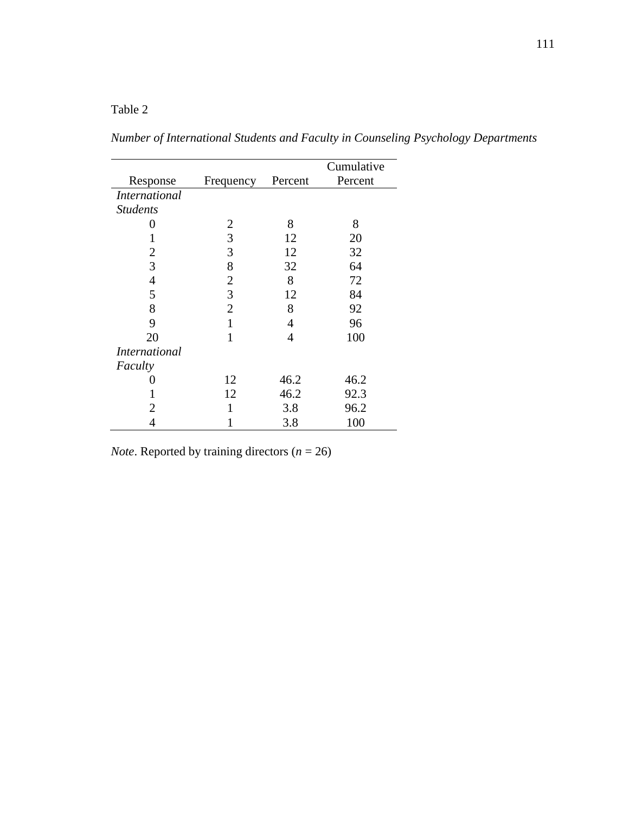*Number of International Students and Faculty in Counseling Psychology Departments*

|                      |                |         | Cumulative |
|----------------------|----------------|---------|------------|
| Response             | Frequency      | Percent | Percent    |
| <i>International</i> |                |         |            |
| <b>Students</b>      |                |         |            |
| 0                    | $\overline{2}$ | 8       | 8          |
|                      | 3              | 12      | 20         |
| 2                    | 3              | 12      | 32         |
| 3                    | 8              | 32      | 64         |
| $\overline{4}$       | $\overline{2}$ | 8       | 72         |
| 5                    | 3              | 12      | 84         |
| 8                    | $\overline{2}$ | 8       | 92         |
| 9                    | 1              | 4       | 96         |
| 20                   | 1              | 4       | 100        |
| <i>International</i> |                |         |            |
| Faculty              |                |         |            |
|                      | 12             | 46.2    | 46.2       |
|                      | 12             | 46.2    | 92.3       |
| 2                    | 1              | 3.8     | 96.2       |
| 4                    |                | 3.8     | 100        |

*Note*. Reported by training directors (*n* = 26)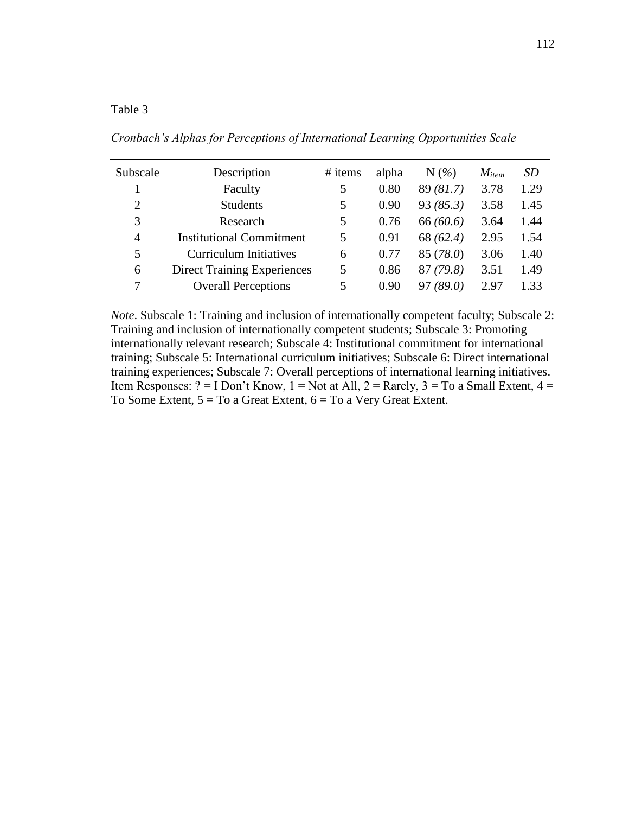*Cronbach's Alphas for Perceptions of International Learning Opportunities Scale*

| Subscale       | Description                        | # items | alpha | $N(\%)$      | $M_{item}$ | <i>SD</i> |
|----------------|------------------------------------|---------|-------|--------------|------------|-----------|
|                | Faculty                            | 5       | 0.80  | 89(81.7)     | 3.78       | 1.29      |
| $\overline{2}$ | <b>Students</b>                    | 5       | 0.90  | 93(85.3)     | 3.58       | 1.45      |
| 3              | Research                           | 5       | 0.76  | 66(60.6)     | 3.64       | 1.44      |
| 4              | <b>Institutional Commitment</b>    | 5       | 0.91  | 68 (62.4)    | 2.95       | 1.54      |
| 5              | <b>Curriculum Initiatives</b>      | 6       | 0.77  | 85 (78.0)    | 3.06       | 1.40      |
| 6              | <b>Direct Training Experiences</b> | 5       | 0.86  | 87(79.8)     | 3.51       | 1.49      |
|                | <b>Overall Perceptions</b>         | 5       | 0.90  | (89.0)<br>97 | 2.97       | 1.33      |

*Note*. Subscale 1: Training and inclusion of internationally competent faculty; Subscale 2: Training and inclusion of internationally competent students; Subscale 3: Promoting internationally relevant research; Subscale 4: Institutional commitment for international training; Subscale 5: International curriculum initiatives; Subscale 6: Direct international training experiences; Subscale 7: Overall perceptions of international learning initiatives. Item Responses: ? = I Don't Know, 1 = Not at All, 2 = Rarely, 3 = To a Small Extent, 4 = To Some Extent,  $5 = To$  a Great Extent,  $6 = To$  a Very Great Extent.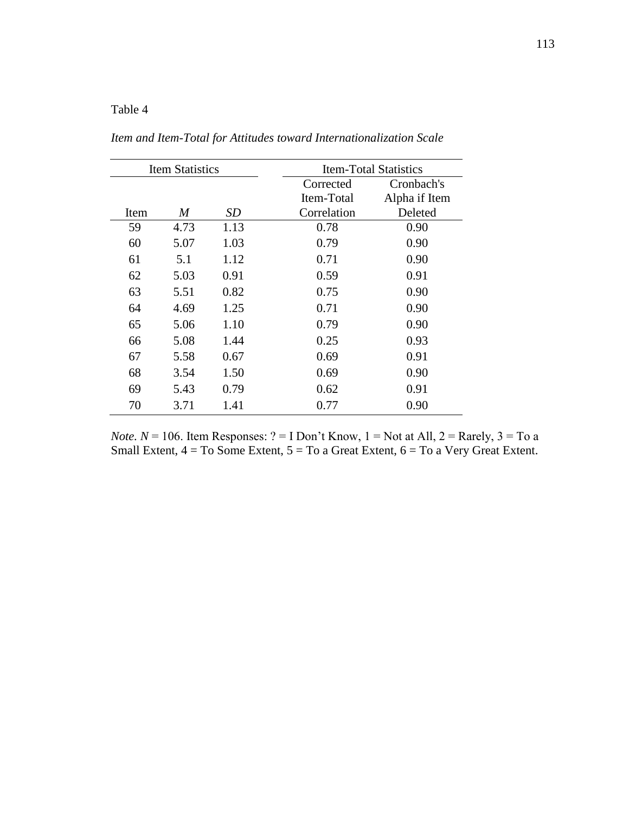*Item and Item-Total for Attitudes toward Internationalization Scale*

|      | <b>Item Statistics</b> |      |             | <b>Item-Total Statistics</b> |
|------|------------------------|------|-------------|------------------------------|
|      |                        |      | Corrected   | Cronbach's                   |
|      |                        |      | Item-Total  | Alpha if Item                |
| Item | M                      | SD   | Correlation | Deleted                      |
| 59   | 4.73                   | 1.13 | 0.78        | 0.90                         |
| 60   | 5.07                   | 1.03 | 0.79        | 0.90                         |
| 61   | 5.1                    | 1.12 | 0.71        | 0.90                         |
| 62   | 5.03                   | 0.91 | 0.59        | 0.91                         |
| 63   | 5.51                   | 0.82 | 0.75        | 0.90                         |
| 64   | 4.69                   | 1.25 | 0.71        | 0.90                         |
| 65   | 5.06                   | 1.10 | 0.79        | 0.90                         |
| 66   | 5.08                   | 1.44 | 0.25        | 0.93                         |
| 67   | 5.58                   | 0.67 | 0.69        | 0.91                         |
| 68   | 3.54                   | 1.50 | 0.69        | 0.90                         |
| 69   | 5.43                   | 0.79 | 0.62        | 0.91                         |
| 70   | 3.71                   | 1.41 | 0.77        | 0.90                         |

*Note.*  $N = 106$ . Item Responses:  $? = I$  Don't Know,  $1 = Not$  at All,  $2 =$  Rarely,  $3 = To$  a Small Extent, 4 = To Some Extent, 5 = To a Great Extent, 6 = To a Very Great Extent.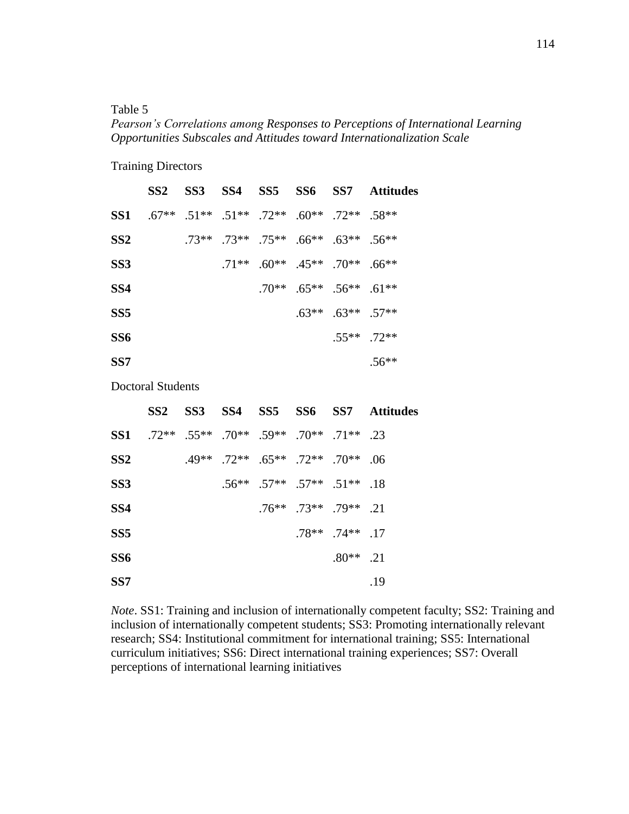*Pearson's Correlations among Responses to Perceptions of International Learning Opportunities Subscales and Attitudes toward Internationalization Scale*

Training Directors

|                 | SS <sub>2</sub> | SS3 SS4 |                                                                                  | SS5 SS6 | SS7                                           | Attitudes |
|-----------------|-----------------|---------|----------------------------------------------------------------------------------|---------|-----------------------------------------------|-----------|
| SS1             | $.67**$         |         | $.51^{***}$ $.51^{**}$ $.72^{**}$ $.60^{**}$ $.72^{**}$ $.58^{**}$               |         |                                               |           |
| SS <sub>2</sub> |                 |         | $.73***$ $.73***$ $.75***$ $.66***$ $.63***$ $.56***$                            |         |                                               |           |
| SS <sub>3</sub> |                 |         | $.71***$ .60 <sup>**</sup> .45 <sup>**</sup> .70 <sup>**</sup> .66 <sup>**</sup> |         |                                               |           |
| SS4             |                 |         |                                                                                  |         | $.70^{***}$ $.65^{***}$ $.56^{**}$ $.61^{**}$ |           |
| SS5             |                 |         |                                                                                  | $.63**$ | $.63**$ .57**                                 |           |
| SS <sub>6</sub> |                 |         |                                                                                  |         | $55***$ 72**                                  |           |
| SS7             |                 |         |                                                                                  |         |                                               | $.56**$   |

Doctoral Students

|                 | SS <sub>2</sub>                               |                                               |                                                   |                                   |                         | SS3 SS4 SS5 SS6 SS7 Attitudes |
|-----------------|-----------------------------------------------|-----------------------------------------------|---------------------------------------------------|-----------------------------------|-------------------------|-------------------------------|
| SS1             | $.72^{***}$ .55** .70** .59** .70** .71** .23 |                                               |                                                   |                                   |                         |                               |
| SS <sub>2</sub> |                                               | $.49^{***}$ .72** $.65^{***}$ .72** .70** .06 |                                                   |                                   |                         |                               |
| SS <sub>3</sub> |                                               |                                               | $.56^{**}$ $.57^{**}$ $.57^{**}$ $.51^{**}$ $.18$ |                                   |                         |                               |
| SS4             |                                               |                                               |                                                   | $.76***$ . $73***$ . $79***$ . 21 |                         |                               |
| SS <sub>5</sub> |                                               |                                               |                                                   |                                   | $.78***$ . $74***$ . 17 |                               |
| SS6             |                                               |                                               |                                                   |                                   | $.80**$ .21             |                               |
| SS <sub>7</sub> |                                               |                                               |                                                   |                                   |                         | .19                           |

*Note*. SS1: Training and inclusion of internationally competent faculty; SS2: Training and inclusion of internationally competent students; SS3: Promoting internationally relevant research; SS4: Institutional commitment for international training; SS5: International curriculum initiatives; SS6: Direct international training experiences; SS7: Overall perceptions of international learning initiatives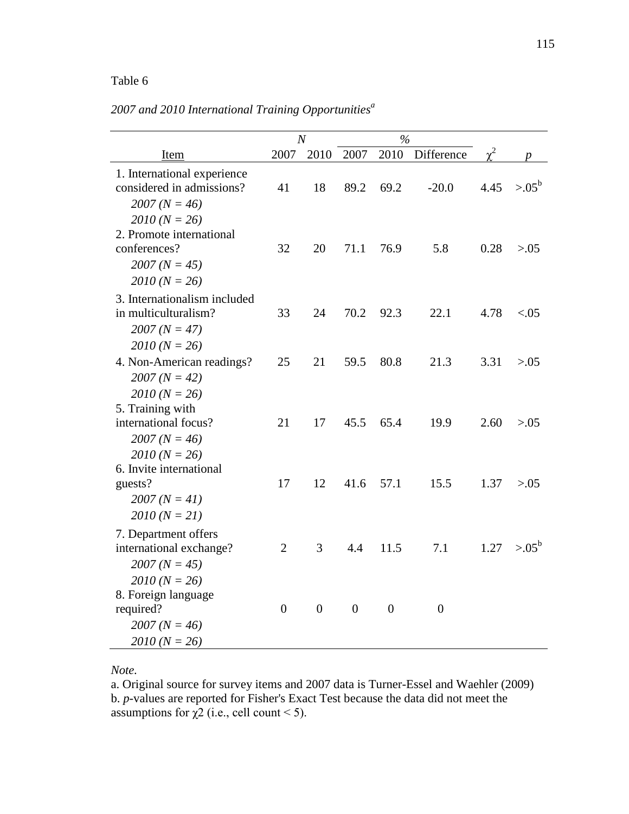|                                                                                                   |                  | $\boldsymbol{N}$ |                | $\frac{6}{2}$ |            |          |            |
|---------------------------------------------------------------------------------------------------|------------------|------------------|----------------|---------------|------------|----------|------------|
| Item                                                                                              | 2007             | 2010             | 2007           | 2010          | Difference | $\chi^2$ | p          |
| 1. International experience<br>considered in admissions?<br>$2007 (N = 46)$                       | 41               | 18               | 89.2           | 69.2          | $-20.0$    | 4.45     | $> 0.05^b$ |
| $2010 (N = 26)$<br>2. Promote international<br>conferences?<br>$2007 (N = 45)$<br>$2010 (N = 26)$ | 32               | 20               | 71.1           | 76.9          | 5.8        | 0.28     | > 0.05     |
| 3. Internationalism included<br>in multiculturalism?<br>$2007 (N = 47)$                           | 33               | 24               | 70.2           | 92.3          | 22.1       | 4.78     | < 0.05     |
| $2010 (N = 26)$<br>4. Non-American readings?<br>$2007 (N = 42)$                                   | 25               | 21               | 59.5           | 80.8          | 21.3       | 3.31     | > 0.05     |
| $2010 (N = 26)$<br>5. Training with<br>international focus?<br>$2007 (N = 46)$<br>$2010 (N = 26)$ | 21               | 17               | 45.5           | 65.4          | 19.9       | 2.60     | > 0.05     |
| 6. Invite international<br>guests?<br>$2007 (N = 41)$<br>$2010 (N = 21)$                          | 17               | 12               | 41.6           | 57.1          | 15.5       | 1.37     | > 0.05     |
| 7. Department offers<br>international exchange?<br>$2007 (N = 45)$<br>$2010 (N = 26)$             | $\overline{2}$   | 3                | 4.4            | 11.5          | 7.1        | 1.27     | $> 0.05^b$ |
| 8. Foreign language<br>required?<br>$2007 (N = 46)$<br>$2010 (N = 26)$                            | $\boldsymbol{0}$ | $\theta$         | $\overline{0}$ | $\theta$      | $\theta$   |          |            |

*2007 and 2010 International Training Opportunities<sup>a</sup>*

## *Note.*

a. Original source for survey items and 2007 data is Turner-Essel and Waehler (2009) b. *p*-values are reported for Fisher's Exact Test because the data did not meet the assumptions for  $\chi$ 2 (i.e., cell count < 5).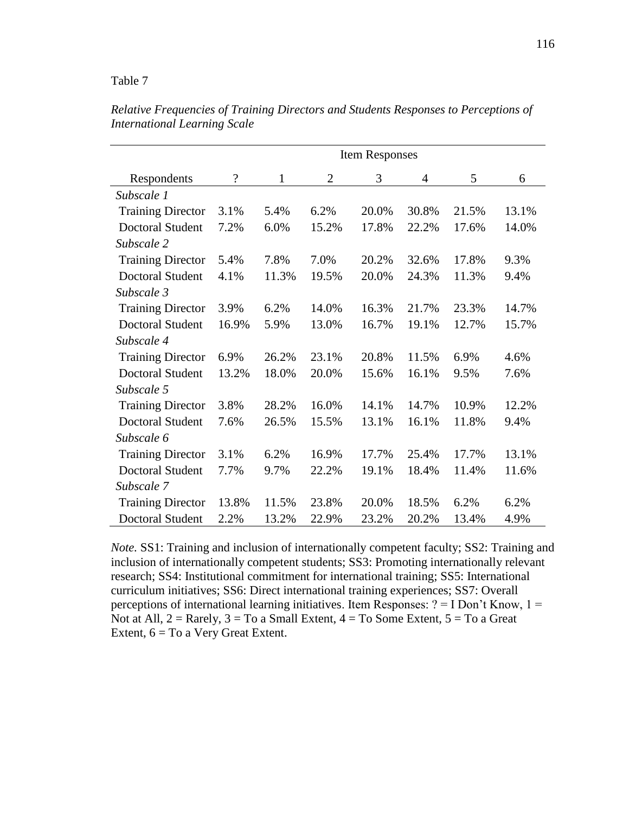|                          |                          |              |                | <b>Item Responses</b> |       |       |       |
|--------------------------|--------------------------|--------------|----------------|-----------------------|-------|-------|-------|
| Respondents              | $\overline{\mathcal{L}}$ | $\mathbf{1}$ | $\overline{2}$ | 3                     | 4     | 5     | 6     |
| Subscale 1               |                          |              |                |                       |       |       |       |
| <b>Training Director</b> | 3.1%                     | 5.4%         | 6.2%           | 20.0%                 | 30.8% | 21.5% | 13.1% |
| <b>Doctoral Student</b>  | 7.2%                     | 6.0%         | 15.2%          | 17.8%                 | 22.2% | 17.6% | 14.0% |
| Subscale 2               |                          |              |                |                       |       |       |       |
| <b>Training Director</b> | 5.4%                     | 7.8%         | 7.0%           | 20.2%                 | 32.6% | 17.8% | 9.3%  |
| <b>Doctoral Student</b>  | 4.1%                     | 11.3%        | 19.5%          | 20.0%                 | 24.3% | 11.3% | 9.4%  |
| Subscale 3               |                          |              |                |                       |       |       |       |
| <b>Training Director</b> | 3.9%                     | 6.2%         | 14.0%          | 16.3%                 | 21.7% | 23.3% | 14.7% |
| <b>Doctoral Student</b>  | 16.9%                    | 5.9%         | 13.0%          | 16.7%                 | 19.1% | 12.7% | 15.7% |
| Subscale 4               |                          |              |                |                       |       |       |       |
| <b>Training Director</b> | 6.9%                     | 26.2%        | 23.1%          | 20.8%                 | 11.5% | 6.9%  | 4.6%  |
| <b>Doctoral Student</b>  | 13.2%                    | 18.0%        | 20.0%          | 15.6%                 | 16.1% | 9.5%  | 7.6%  |
| Subscale 5               |                          |              |                |                       |       |       |       |
| <b>Training Director</b> | 3.8%                     | 28.2%        | 16.0%          | 14.1%                 | 14.7% | 10.9% | 12.2% |
| <b>Doctoral Student</b>  | 7.6%                     | 26.5%        | 15.5%          | 13.1%                 | 16.1% | 11.8% | 9.4%  |
| Subscale 6               |                          |              |                |                       |       |       |       |
| <b>Training Director</b> | 3.1%                     | 6.2%         | 16.9%          | 17.7%                 | 25.4% | 17.7% | 13.1% |
| <b>Doctoral Student</b>  | 7.7%                     | 9.7%         | 22.2%          | 19.1%                 | 18.4% | 11.4% | 11.6% |
| Subscale 7               |                          |              |                |                       |       |       |       |
| <b>Training Director</b> | 13.8%                    | 11.5%        | 23.8%          | 20.0%                 | 18.5% | 6.2%  | 6.2%  |
| <b>Doctoral Student</b>  | 2.2%                     | 13.2%        | 22.9%          | 23.2%                 | 20.2% | 13.4% | 4.9%  |

*Relative Frequencies of Training Directors and Students Responses to Perceptions of International Learning Scale*

*Note.* SS1: Training and inclusion of internationally competent faculty; SS2: Training and inclusion of internationally competent students; SS3: Promoting internationally relevant research; SS4: Institutional commitment for international training; SS5: International curriculum initiatives; SS6: Direct international training experiences; SS7: Overall perceptions of international learning initiatives. Item Responses:  $? = I$  Don't Know,  $1 =$ Not at All,  $2 =$  Rarely,  $3 =$  To a Small Extent,  $4 =$  To Some Extent,  $5 =$  To a Great Extent,  $6 = To$  a Very Great Extent.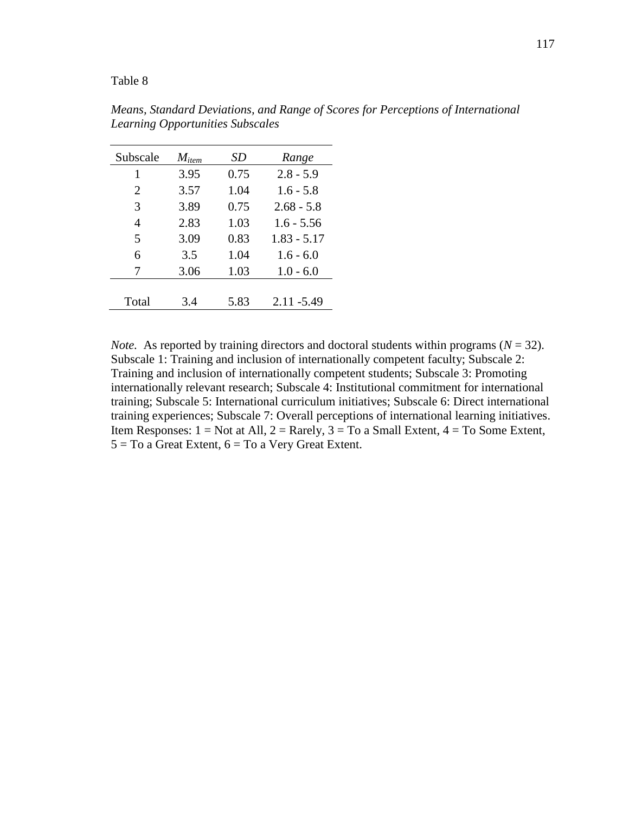| Subscale       | $M_{item}$ | SD   | Range         |
|----------------|------------|------|---------------|
| 1              | 3.95       | 0.75 | $2.8 - 5.9$   |
| 2              | 3.57       | 1.04 | $1.6 - 5.8$   |
| 3              | 3.89       | 0.75 | $2.68 - 5.8$  |
| $\overline{4}$ | 2.83       | 1.03 | $1.6 - 5.56$  |
| 5              | 3.09       | 0.83 | $1.83 - 5.17$ |
| 6              | 3.5        | 1.04 | $1.6 - 6.0$   |
| 7              | 3.06       | 1.03 | $1.0 - 6.0$   |
|                |            |      |               |
| Total          | 3.4        | 5.83 | $2.11 - 5.49$ |

*Means, Standard Deviations, and Range of Scores for Perceptions of International Learning Opportunities Subscales*

*Note.* As reported by training directors and doctoral students within programs ( $N = 32$ ). Subscale 1: Training and inclusion of internationally competent faculty; Subscale 2: Training and inclusion of internationally competent students; Subscale 3: Promoting internationally relevant research; Subscale 4: Institutional commitment for international training; Subscale 5: International curriculum initiatives; Subscale 6: Direct international training experiences; Subscale 7: Overall perceptions of international learning initiatives. Item Responses:  $1 = Not$  at All,  $2 = R$ arely,  $3 = To$  a Small Extent,  $4 = To$  Some Extent,  $5 = To$  a Great Extent,  $6 = To$  a Very Great Extent.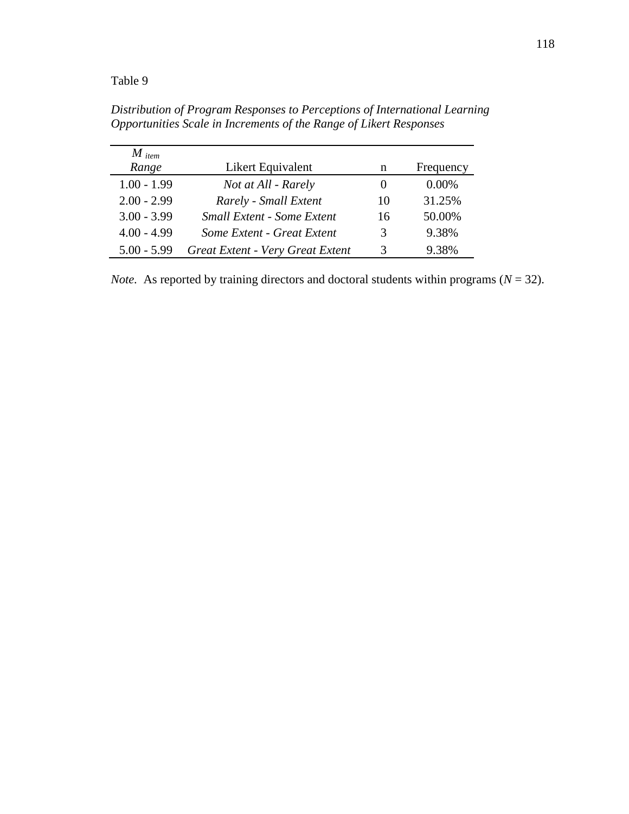| $M$ item      |                                   |          |           |
|---------------|-----------------------------------|----------|-----------|
| Range         | Likert Equivalent                 | n        | Frequency |
| $1.00 - 1.99$ | Not at All - Rarely               | $\theta$ | $0.00\%$  |
| $2.00 - 2.99$ | Rarely - Small Extent             | 10       | 31.25%    |
| $3.00 - 3.99$ | <b>Small Extent - Some Extent</b> | 16       | 50.00%    |
| $4.00 - 4.99$ | Some Extent - Great Extent        | 3        | 9.38%     |
| $5.00 - 5.99$ | Great Extent - Very Great Extent  | 3        | 9.38%     |

*Distribution of Program Responses to Perceptions of International Learning Opportunities Scale in Increments of the Range of Likert Responses*

*Note.* As reported by training directors and doctoral students within programs ( $N = 32$ ).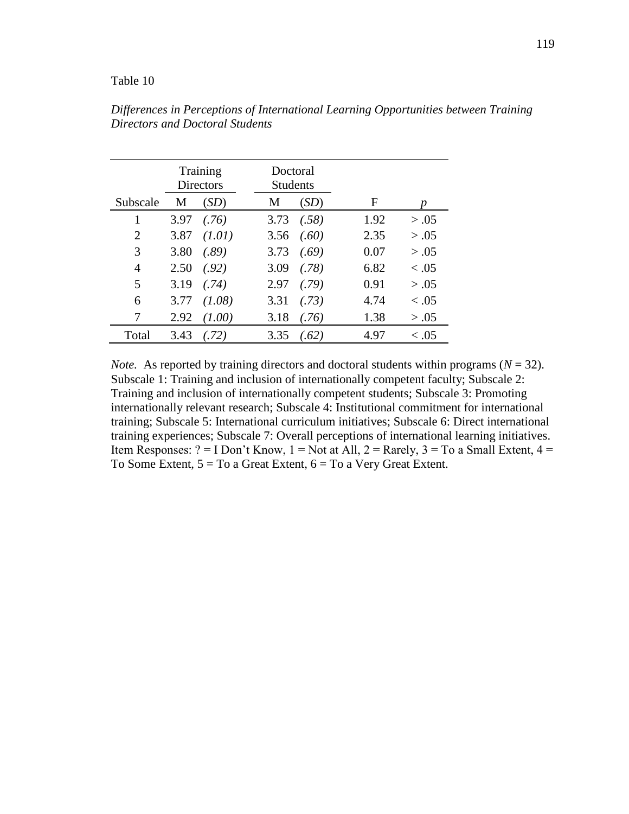|                |      | Training<br><b>Directors</b> | Doctoral<br><b>Students</b> |       |      |            |
|----------------|------|------------------------------|-----------------------------|-------|------|------------|
| Subscale       | M    | (SD)                         | M                           | (SD)  | F    | p          |
| 1              | 3.97 | (.76)                        | 3.73                        | (.58) | 1.92 | > .05      |
| $\overline{2}$ | 3.87 | (1.01)                       | 3.56                        | (.60) | 2.35 | > .05      |
| 3              | 3.80 | (.89)                        | 3.73                        | (.69) | 0.07 | > .05      |
| 4              | 2.50 | (.92)                        | 3.09                        | (.78) | 6.82 | $\leq .05$ |
| 5              | 3.19 | (.74)                        | 2.97                        | (.79) | 0.91 | > .05      |
| 6              | 3.77 | (1.08)                       | 3.31                        | (.73) | 4.74 | $\leq .05$ |
| 7              | 2.92 | (1.00)                       | 3.18                        | (76)  | 1.38 | > .05      |
| Total          | 3.43 | (72)                         | 3.35                        | (.62) | 4.97 | < .05      |

*Differences in Perceptions of International Learning Opportunities between Training Directors and Doctoral Students*

*Note.* As reported by training directors and doctoral students within programs ( $N = 32$ ). Subscale 1: Training and inclusion of internationally competent faculty; Subscale 2: Training and inclusion of internationally competent students; Subscale 3: Promoting internationally relevant research; Subscale 4: Institutional commitment for international training; Subscale 5: International curriculum initiatives; Subscale 6: Direct international training experiences; Subscale 7: Overall perceptions of international learning initiatives. Item Responses: ? = I Don't Know,  $1 = Not$  at All,  $2 = Rarely$ ,  $3 = To$  a Small Extent,  $4 =$ To Some Extent,  $5 = To$  a Great Extent,  $6 = To$  a Very Great Extent.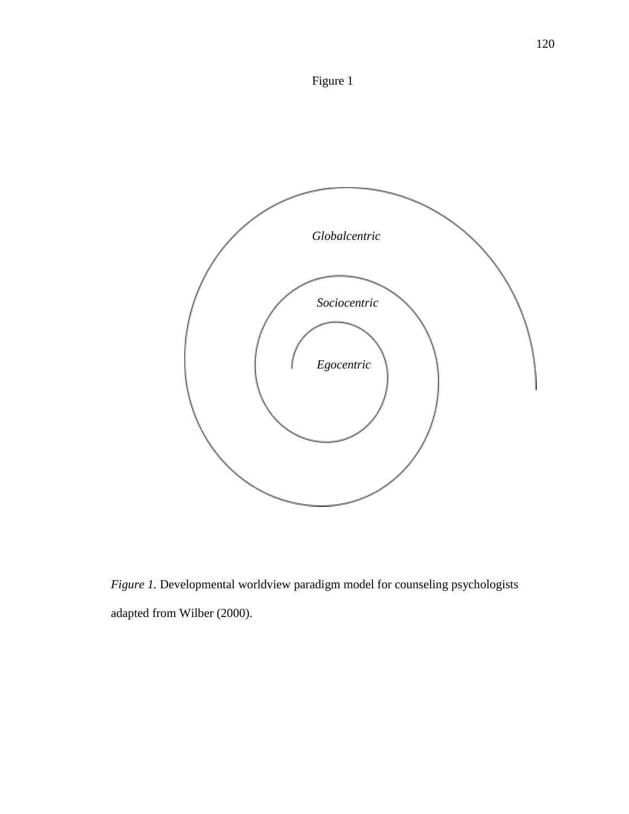



*Figure 1.* Developmental worldview paradigm model for counseling psychologists adapted from Wilber (2000).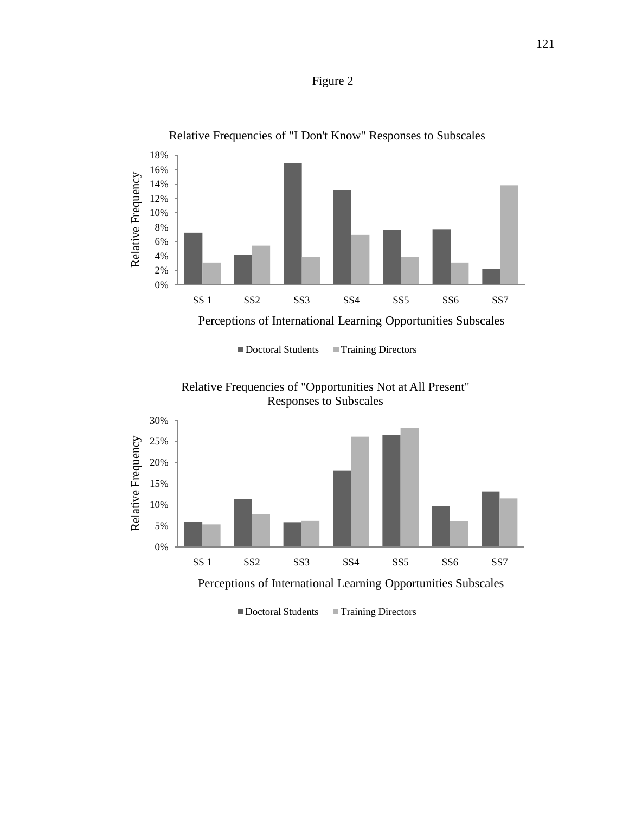



Relative Frequencies of "I Don't Know" Responses to Subscales

■ Doctoral Students ■ Training Directors





Doctoral Students Training Directors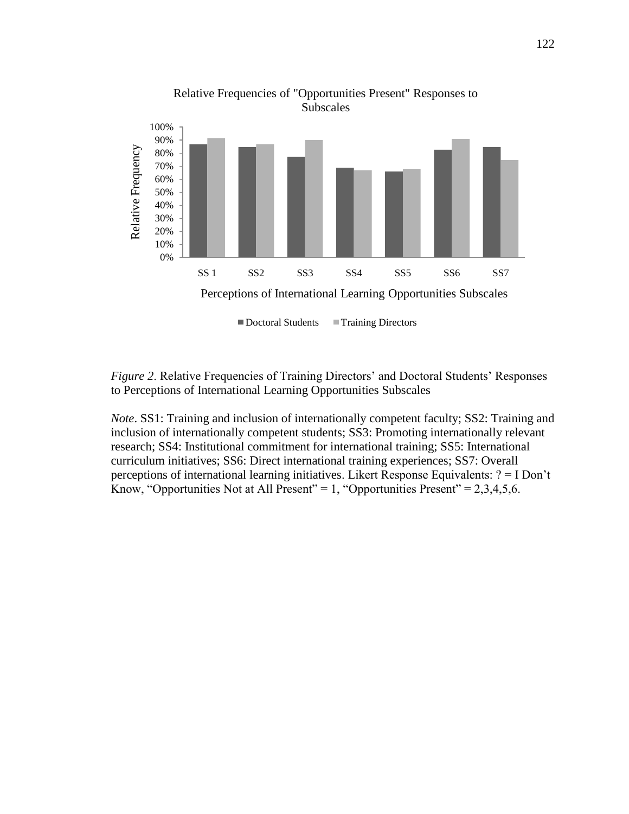

*Figure 2.* Relative Frequencies of Training Directors' and Doctoral Students' Responses to Perceptions of International Learning Opportunities Subscales

*Note*. SS1: Training and inclusion of internationally competent faculty; SS2: Training and inclusion of internationally competent students; SS3: Promoting internationally relevant research; SS4: Institutional commitment for international training; SS5: International curriculum initiatives; SS6: Direct international training experiences; SS7: Overall perceptions of international learning initiatives. Likert Response Equivalents: ? = I Don't Know, "Opportunities Not at All Present" = 1, "Opportunities Present" =  $2,3,4,5,6$ .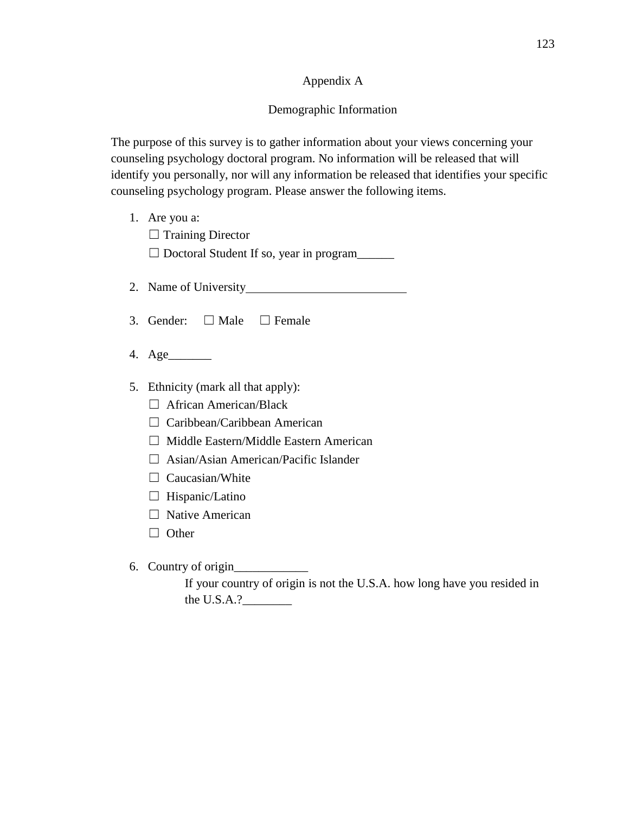# Appendix A

# Demographic Information

The purpose of this survey is to gather information about your views concerning your counseling psychology doctoral program. No information will be released that will identify you personally, nor will any information be released that identifies your specific counseling psychology program. Please answer the following items.

- 1. Are you a:
	- □ Training Director

 $\Box$  Doctoral Student If so, year in program

- 2. Name of University
- 3. Gender:  $\Box$  Male  $\Box$  Female
- 4. Age\_\_\_\_\_\_\_
- 5. Ethnicity (mark all that apply):
	- □ African American/Black
	- □ Caribbean/Caribbean American
	- ☐ Middle Eastern/Middle Eastern American
	- ☐ Asian/Asian American/Pacific Islander
	- $\Box$  Caucasian/White
	- $\Box$  Hispanic/Latino
	- □ Native American
	- ☐ Other
- 6. Country of origin\_\_\_\_\_\_\_\_\_\_\_\_

If your country of origin is not the U.S.A. how long have you resided in the U.S.A.?\_\_\_\_\_\_\_\_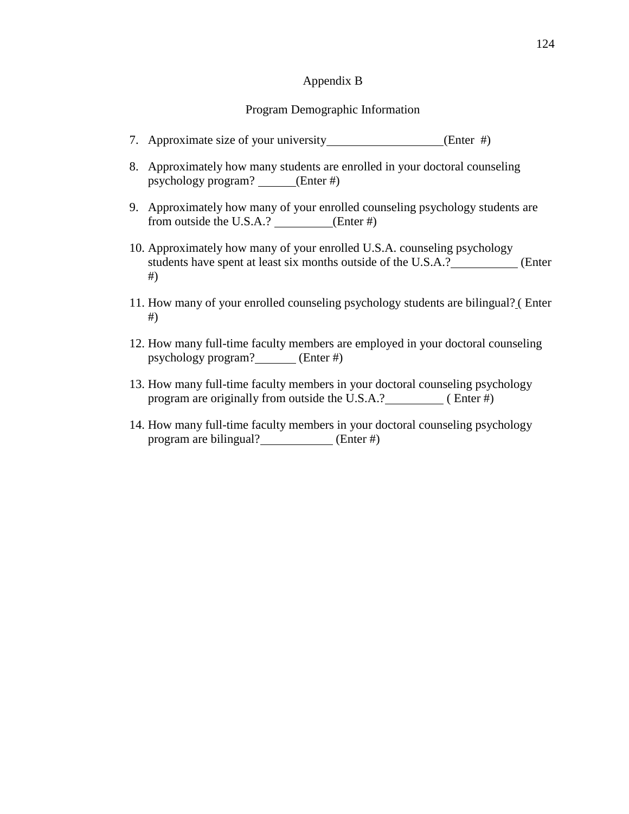#### Appendix B

## Program Demographic Information

- 7. Approximate size of your university\_\_\_\_\_\_\_\_\_\_\_\_\_\_\_\_\_(Enter #)
- 8. Approximately how many students are enrolled in your doctoral counseling psychology program? (Enter #)
- 9. Approximately how many of your enrolled counseling psychology students are from outside the U.S.A.? (Enter #)
- 10. Approximately how many of your enrolled U.S.A. counseling psychology students have spent at least six months outside of the U.S.A.? (Enter #)
- 11. How many of your enrolled counseling psychology students are bilingual? ( Enter #)
- 12. How many full-time faculty members are employed in your doctoral counseling psychology program? (Enter #)
- 13. How many full-time faculty members in your doctoral counseling psychology program are originally from outside the U.S.A.? ( Enter #)
- 14. How many full-time faculty members in your doctoral counseling psychology program are bilingual? **Enter #**)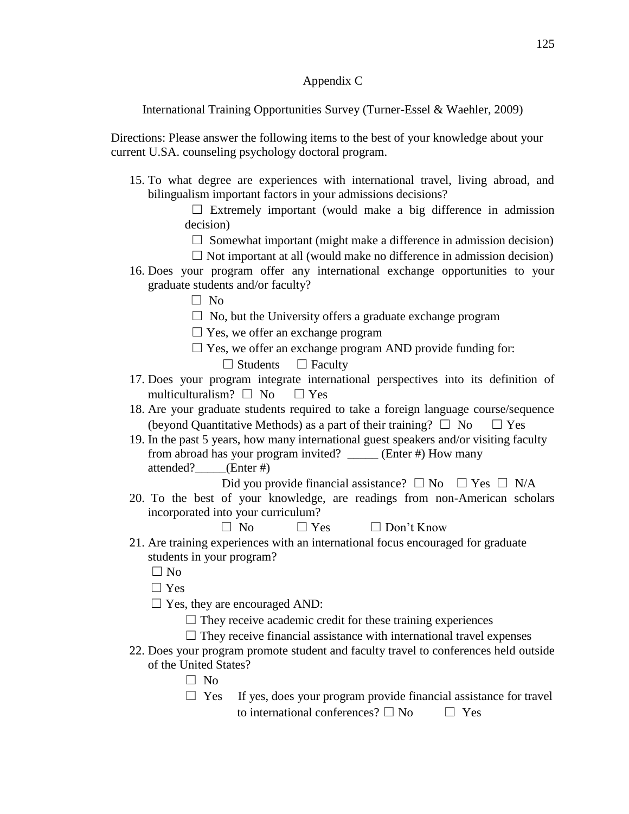# Appendix C

International Training Opportunities Survey (Turner-Essel & Waehler, 2009)

Directions: Please answer the following items to the best of your knowledge about your current U.SA. counseling psychology doctoral program.

- 15. To what degree are experiences with international travel, living abroad, and bilingualism important factors in your admissions decisions?
	- $\Box$  Extremely important (would make a big difference in admission decision)
		- $\Box$  Somewhat important (might make a difference in admission decision)
		- $\Box$  Not important at all (would make no difference in admission decision)
- 16. Does your program offer any international exchange opportunities to your graduate students and/or faculty?

☐ No

- $\Box$  No, but the University offers a graduate exchange program
- $\Box$  Yes, we offer an exchange program
- $\Box$  Yes, we offer an exchange program AND provide funding for:
	- $\Box$  Students  $\Box$  Faculty
- 17. Does your program integrate international perspectives into its definition of multiculturalism?  $\Box$  No  $\Box$  Yes
- 18. Are your graduate students required to take a foreign language course/sequence (beyond Quantitative Methods) as a part of their training?  $\Box$  No  $\Box$  Yes
- 19. In the past 5 years, how many international guest speakers and/or visiting faculty from abroad has your program invited? \_\_\_\_\_ (Enter #) How many attended? (Enter #)
	- Did you provide financial assistance?  $\Box$  No  $\Box$  Yes  $\Box$  N/A
- 20. To the best of your knowledge, are readings from non-American scholars incorporated into your curriculum?

 $\Box$  No  $\Box$  Yes  $\Box$  Don't Know

21. Are training experiences with an international focus encouraged for graduate students in your program?

 $\Box$  No

☐ Yes

- $\Box$  Yes, they are encouraged AND:
	- $\Box$  They receive academic credit for these training experiences
	- $\Box$  They receive financial assistance with international travel expenses
- 22. Does your program promote student and faculty travel to conferences held outside of the United States?
	- $\Box$  No
	- $\Box$  Yes If yes, does your program provide financial assistance for travel to international conferences?  $\Box$  No  $\Box$  Yes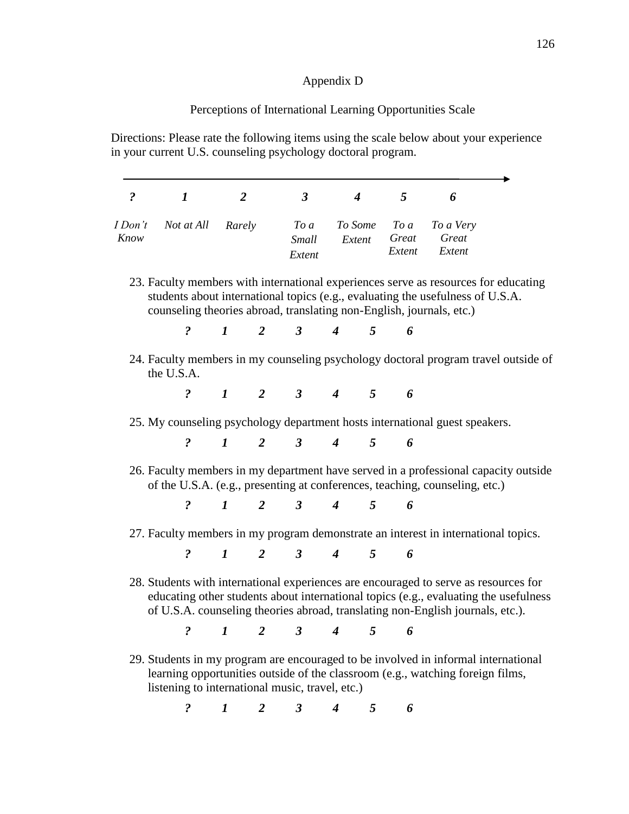# Appendix D

## Perceptions of International Learning Opportunities Scale

Directions: Please rate the following items using the scale below about your experience in your current U.S. counseling psychology doctoral program.

| $\ddot{\mathbf{c}}$ | $\boldsymbol{l}$                                                                                                                                                                                                                              | $\overline{2}$ | $\mathbf{3}$                                                                       | $\overline{4}$ | 5 <sup>5</sup> | 6                      |
|---------------------|-----------------------------------------------------------------------------------------------------------------------------------------------------------------------------------------------------------------------------------------------|----------------|------------------------------------------------------------------------------------|----------------|----------------|------------------------|
| I Don't             | Not at All Rarely                                                                                                                                                                                                                             |                | $To\ a$                                                                            |                |                | To Some To a To a Very |
| Know                |                                                                                                                                                                                                                                               |                | <b>Small</b>                                                                       | Extent         |                | Great Great            |
|                     |                                                                                                                                                                                                                                               |                | Extent                                                                             |                |                | Extent Extent          |
|                     | 23. Faculty members with international experiences serve as resources for educating<br>students about international topics (e.g., evaluating the usefulness of U.S.A.<br>counseling theories abroad, translating non-English, journals, etc.) |                |                                                                                    |                |                |                        |
|                     |                                                                                                                                                                                                                                               |                | $\begin{array}{ccccccccccccc}\n? & & 1 & & 2 & & 3 & & 4 & & 5 & & 6\n\end{array}$ |                |                |                        |
|                     |                                                                                                                                                                                                                                               |                |                                                                                    |                |                |                        |
|                     | 24. Faculty members in my counseling psychology doctoral program travel outside of<br>the U.S.A.                                                                                                                                              |                | $? \t1 \t2 \t3 \t4 \t5 \t6$                                                        |                |                |                        |
|                     | 25. My counseling psychology department hosts international guest speakers.                                                                                                                                                                   |                |                                                                                    |                |                |                        |
|                     |                                                                                                                                                                                                                                               |                | $\begin{array}{ccccccccccccc}\n? & & 1 & & 2 & & 3 & & 4 & & 5 & & 6\n\end{array}$ |                |                |                        |
|                     | 26. Faculty members in my department have served in a professional capacity outside<br>of the U.S.A. (e.g., presenting at conferences, teaching, counseling, etc.)                                                                            |                |                                                                                    |                |                |                        |
|                     |                                                                                                                                                                                                                                               |                | $? \t1 \t2 \t3 \t4 \t5 \t6$                                                        |                |                |                        |
|                     | 27. Faculty members in my program demonstrate an interest in international topics.                                                                                                                                                            |                |                                                                                    |                |                |                        |

of U.S.A. counseling theories abroad, translating non-English journals, etc.).

*? 1 2 3 4 5 6*

29. Students in my program are encouraged to be involved in informal international learning opportunities outside of the classroom (e.g., watching foreign films, listening to international music, travel, etc.)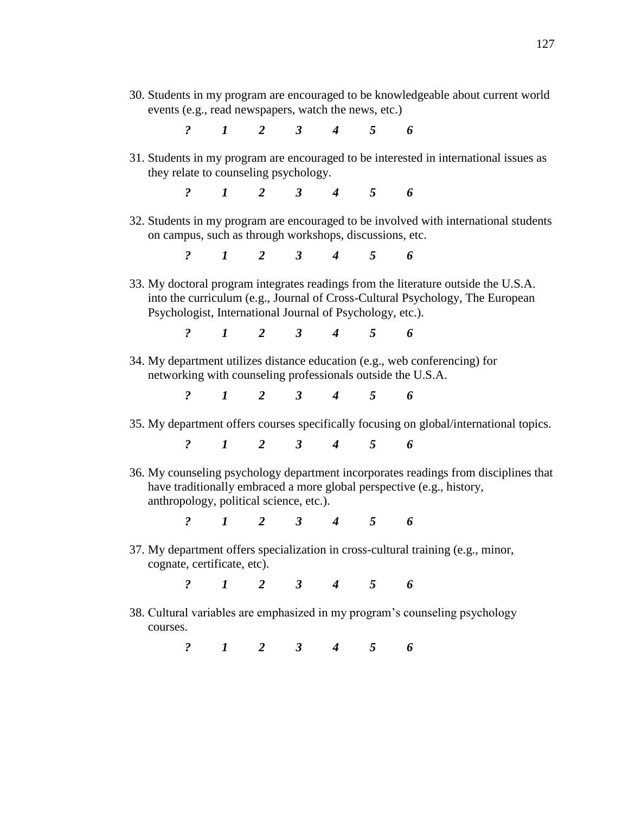- 30. Students in my program are encouraged to be knowledgeable about current world events (e.g., read newspapers, watch the news, etc.)
	- *? 1 2 3 4 5 6*
- 31. Students in my program are encouraged to be interested in international issues as they relate to counseling psychology.

*? 1 2 3 4 5 6*

32. Students in my program are encouraged to be involved with international students on campus, such as through workshops, discussions, etc.

*? 1 2 3 4 5 6*

33. My doctoral program integrates readings from the literature outside the U.S.A. into the curriculum (e.g., Journal of Cross-Cultural Psychology, The European Psychologist, International Journal of Psychology, etc.).

*? 1 2 3 4 5 6*

34. My department utilizes distance education (e.g., web conferencing) for networking with counseling professionals outside the U.S.A.

*? 1 2 3 4 5 6*

35. My department offers courses specifically focusing on global/international topics.

*? 1 2 3 4 5 6*

36. My counseling psychology department incorporates readings from disciplines that have traditionally embraced a more global perspective (e.g., history, anthropology, political science, etc.).

*? 1 2 3 4 5 6*

37. My department offers specialization in cross-cultural training (e.g., minor, cognate, certificate, etc).

*? 1 2 3 4 5 6*

38. Cultural variables are emphasized in my program's counseling psychology courses.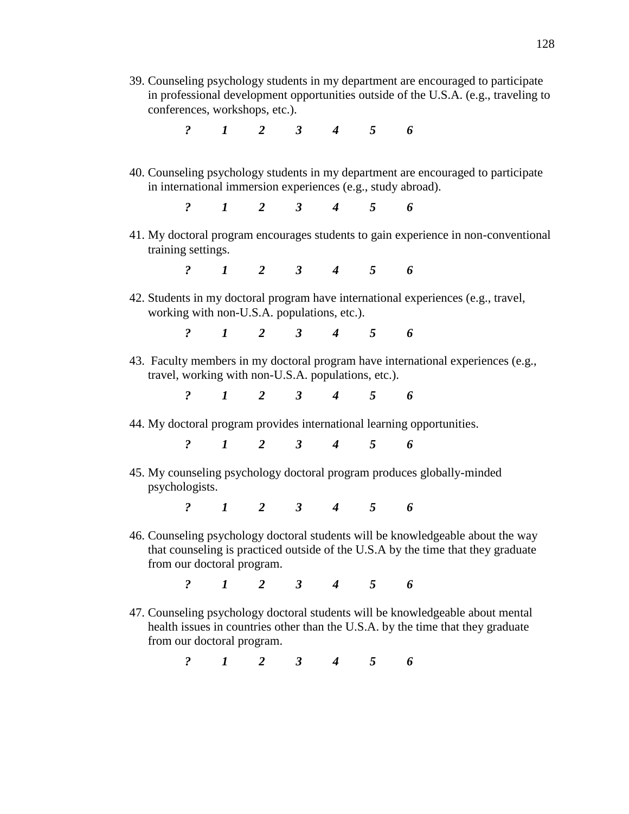39. Counseling psychology students in my department are encouraged to participate in professional development opportunities outside of the U.S.A. (e.g., traveling to conferences, workshops, etc.).

*? 1 2 3 4 5 6*

- 40. Counseling psychology students in my department are encouraged to participate in international immersion experiences (e.g., study abroad).
	- *? 1 2 3 4 5 6*
- 41. My doctoral program encourages students to gain experience in non-conventional training settings.

*? 1 2 3 4 5 6*

42. Students in my doctoral program have international experiences (e.g., travel, working with non-U.S.A. populations, etc.).

*? 1 2 3 4 5 6*

43. Faculty members in my doctoral program have international experiences (e.g., travel, working with non-U.S.A. populations, etc.).

*? 1 2 3 4 5 6*

44. My doctoral program provides international learning opportunities.

*? 1 2 3 4 5 6*

45. My counseling psychology doctoral program produces globally-minded psychologists.

*? 1 2 3 4 5 6*

46. Counseling psychology doctoral students will be knowledgeable about the way that counseling is practiced outside of the U.S.A by the time that they graduate from our doctoral program.

*? 1 2 3 4 5 6*

47. Counseling psychology doctoral students will be knowledgeable about mental health issues in countries other than the U.S.A. by the time that they graduate from our doctoral program.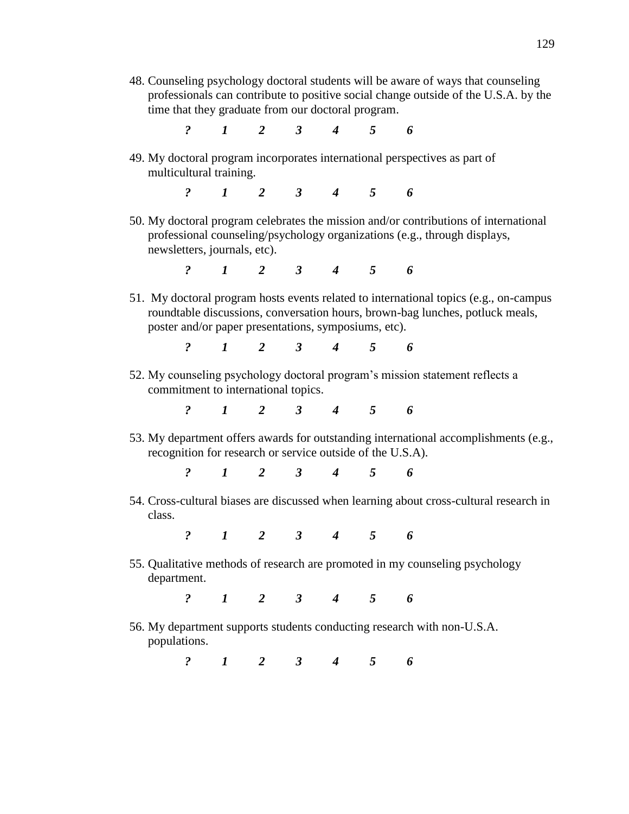- 48. Counseling psychology doctoral students will be aware of ways that counseling professionals can contribute to positive social change outside of the U.S.A. by the time that they graduate from our doctoral program.
	- *? 1 2 3 4 5 6*
- 49. My doctoral program incorporates international perspectives as part of multicultural training.
	- *? 1 2 3 4 5 6*
- 50. My doctoral program celebrates the mission and/or contributions of international professional counseling/psychology organizations (e.g., through displays, newsletters, journals, etc).

*? 1 2 3 4 5 6*

51. My doctoral program hosts events related to international topics (e.g., on-campus roundtable discussions, conversation hours, brown-bag lunches, potluck meals, poster and/or paper presentations, symposiums, etc).

*? 1 2 3 4 5 6*

52. My counseling psychology doctoral program's mission statement reflects a commitment to international topics.

*? 1 2 3 4 5 6*

53. My department offers awards for outstanding international accomplishments (e.g., recognition for research or service outside of the U.S.A).

*? 1 2 3 4 5 6*

54. Cross-cultural biases are discussed when learning about cross-cultural research in class.

*? 1 2 3 4 5 6*

55. Qualitative methods of research are promoted in my counseling psychology department.

*? 1 2 3 4 5 6*

56. My department supports students conducting research with non-U.S.A. populations.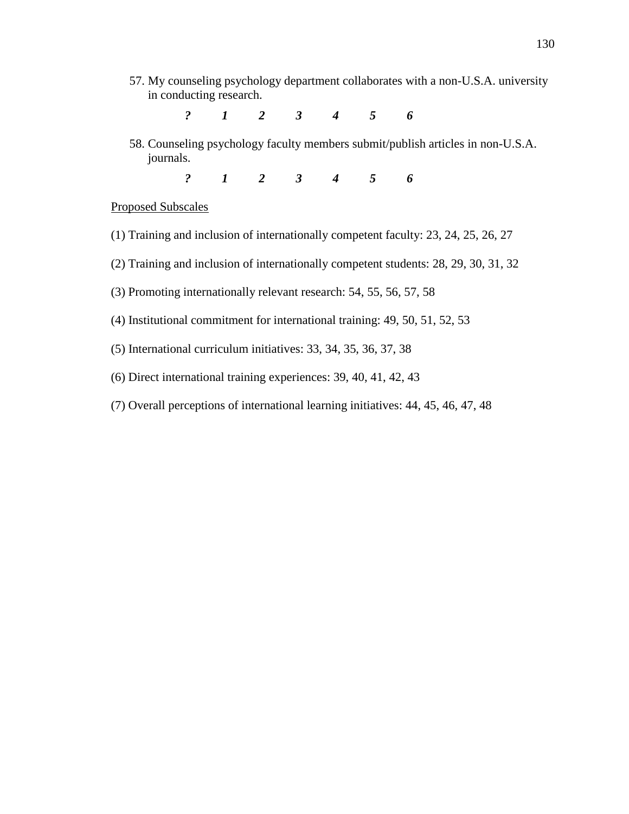- 57. My counseling psychology department collaborates with a non-U.S.A. university in conducting research.
	- *? 1 2 3 4 5 6*
- 58. Counseling psychology faculty members submit/publish articles in non-U.S.A. journals.
	- *? 1 2 3 4 5 6*

#### Proposed Subscales

- (1) Training and inclusion of internationally competent faculty: 23, 24, 25, 26, 27
- (2) Training and inclusion of internationally competent students: 28, 29, 30, 31, 32
- (3) Promoting internationally relevant research: 54, 55, 56, 57, 58
- (4) Institutional commitment for international training: 49, 50, 51, 52, 53
- (5) International curriculum initiatives: 33, 34, 35, 36, 37, 38
- (6) Direct international training experiences: 39, 40, 41, 42, 43
- (7) Overall perceptions of international learning initiatives: 44, 45, 46, 47, 48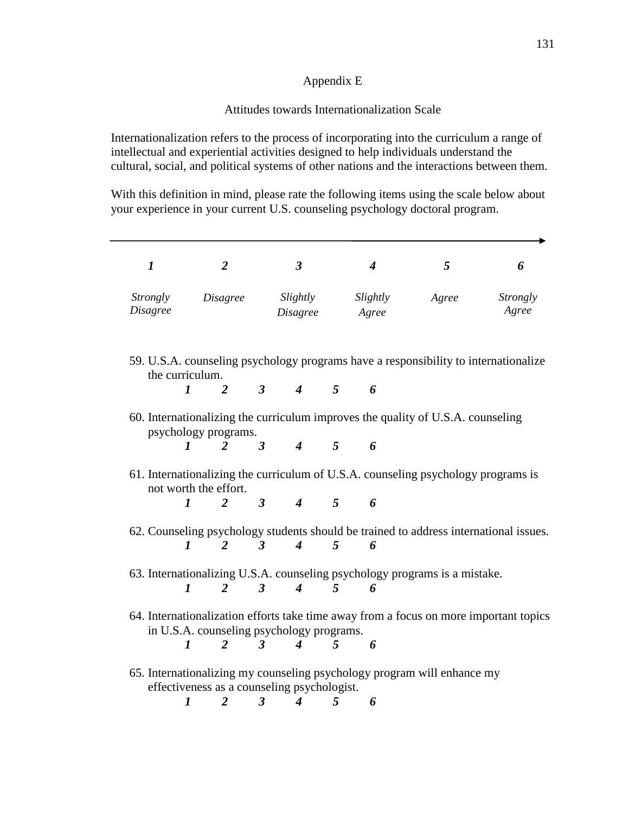# Appendix E

## Attitudes towards Internationalization Scale

Internationalization refers to the process of incorporating into the curriculum a range of intellectual and experiential activities designed to help individuals understand the cultural, social, and political systems of other nations and the interactions between them.

With this definition in mind, please rate the following items using the scale below about your experience in your current U.S. counseling psychology doctoral program.

| 1                                                                                                                                  |              | 2                                           |                      | 3 <sup>1</sup>                      |                | $\boldsymbol{4}$           | 5                                                                                     | 6                        |  |
|------------------------------------------------------------------------------------------------------------------------------------|--------------|---------------------------------------------|----------------------|-------------------------------------|----------------|----------------------------|---------------------------------------------------------------------------------------|--------------------------|--|
| <i>Strongly</i><br><b>Disagree</b>                                                                                                 |              | Disagree                                    |                      | <i>Disagree</i>                     |                | Slightly Slightly<br>Agree | Agree                                                                                 | <i>Strongly</i><br>Agree |  |
| 59. U.S.A. counseling psychology programs have a responsibility to internationalize<br>the curriculum.                             |              |                                             |                      |                                     |                |                            |                                                                                       |                          |  |
|                                                                                                                                    | $\mathbf{1}$ |                                             |                      | $2 \quad 3 \quad 4 \quad 5 \quad 6$ |                |                            |                                                                                       |                          |  |
| 60. Internationalizing the curriculum improves the quality of U.S.A. counseling<br>psychology programs.                            |              |                                             |                      |                                     |                |                            |                                                                                       |                          |  |
|                                                                                                                                    | 1            | 2 3 4 5                                     |                      |                                     |                | 6                          |                                                                                       |                          |  |
| 61. Internationalizing the curriculum of U.S.A. counseling psychology programs is<br>not worth the effort.                         |              |                                             |                      |                                     |                |                            |                                                                                       |                          |  |
|                                                                                                                                    | 1            | 2 3 4 5 6                                   |                      |                                     |                |                            |                                                                                       |                          |  |
|                                                                                                                                    |              |                                             |                      |                                     |                |                            | 62. Counseling psychology students should be trained to address international issues. |                          |  |
|                                                                                                                                    | $\bm{l}$     | $\overline{3}$<br>2                         |                      | $\boldsymbol{4}$                    | $\overline{5}$ | 6                          |                                                                                       |                          |  |
| 63. Internationalizing U.S.A. counseling psychology programs is a mistake.                                                         |              |                                             |                      |                                     |                |                            |                                                                                       |                          |  |
|                                                                                                                                    |              | $1 \quad 2 \quad 3 \quad 4 \quad 5 \quad 6$ |                      |                                     |                |                            |                                                                                       |                          |  |
| 64. Internationalization efforts take time away from a focus on more important topics<br>in U.S.A. counseling psychology programs. |              |                                             |                      |                                     |                |                            |                                                                                       |                          |  |
|                                                                                                                                    | $\bm{l}$     | $\overline{2}$                              | $\boldsymbol{\beta}$ | $4\quad 5$                          |                | 6                          |                                                                                       |                          |  |
| 65. Internationalizing my counseling psychology program will enhance my<br>effectiveness as a counseling psychologist.             |              |                                             |                      |                                     |                |                            |                                                                                       |                          |  |
|                                                                                                                                    | 1            | 2                                           | 3 <sup>7</sup>       | $\overline{4}$                      | 5              | 6                          |                                                                                       |                          |  |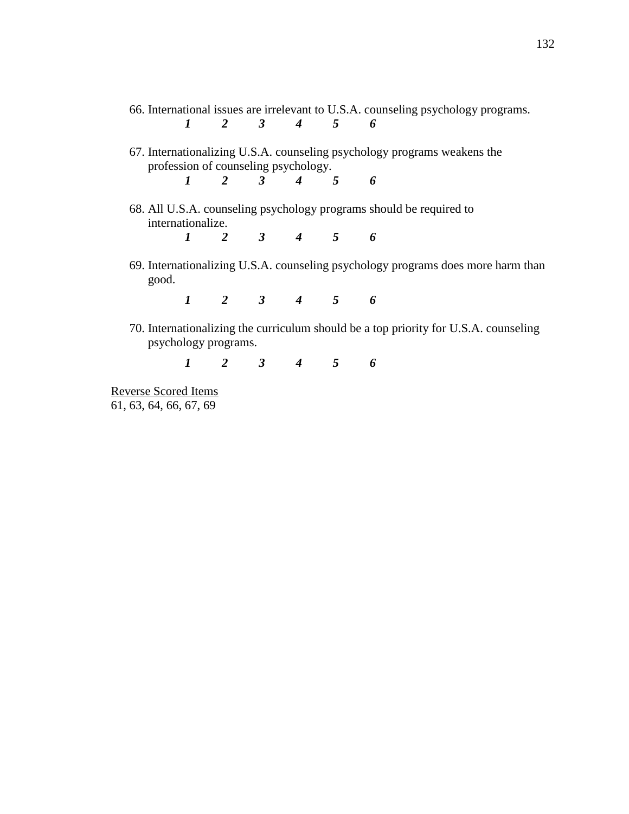| 66. International issues are irrelevant to U.S.A. counseling psychology programs. |                                      |  |  |                                             |  |  |                                                                                      |  |
|-----------------------------------------------------------------------------------|--------------------------------------|--|--|---------------------------------------------|--|--|--------------------------------------------------------------------------------------|--|
|                                                                                   |                                      |  |  | $1 \quad 2 \quad 3 \quad 4 \quad 5 \quad 6$ |  |  |                                                                                      |  |
|                                                                                   | profession of counseling psychology. |  |  | $1 \quad 2 \quad 3 \quad 4 \quad 5 \quad 6$ |  |  | 67. Internationalizing U.S.A. counseling psychology programs weakens the             |  |
|                                                                                   | internationalize.                    |  |  | $1 \quad 2 \quad 3 \quad 4 \quad 5 \quad 6$ |  |  | 68. All U.S.A. counseling psychology programs should be required to                  |  |
|                                                                                   | good.                                |  |  |                                             |  |  | 69. Internationalizing U.S.A. counseling psychology programs does more harm than     |  |
|                                                                                   |                                      |  |  | $1 \quad 2 \quad 3 \quad 4 \quad 5 \quad 6$ |  |  |                                                                                      |  |
|                                                                                   | psychology programs.                 |  |  |                                             |  |  | 70. Internationalizing the curriculum should be a top priority for U.S.A. counseling |  |

*1 2 3 4 5 6*

Reverse Scored Items 61, 63, 64, 66, 67, 69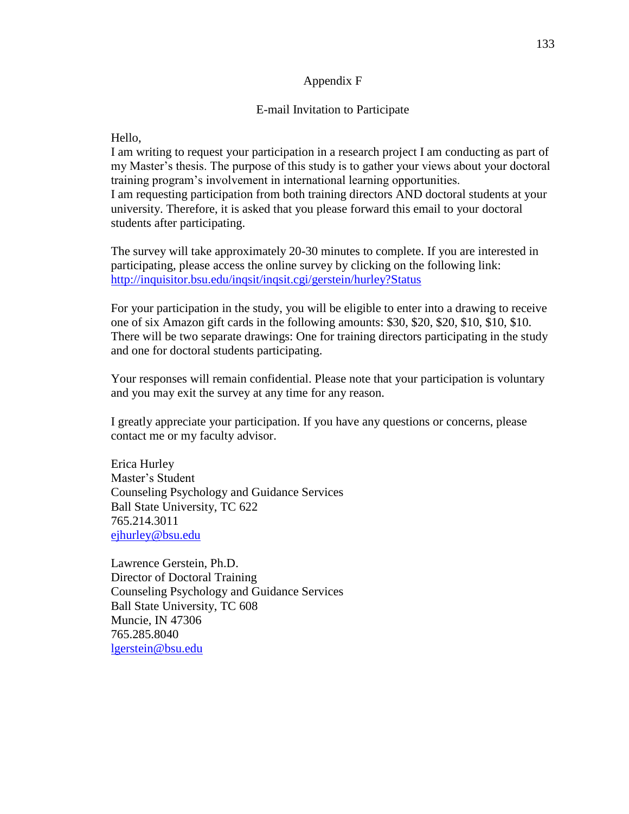## Appendix F

#### E-mail Invitation to Participate

Hello,

I am writing to request your participation in a research project I am conducting as part of my Master's thesis. The purpose of this study is to gather your views about your doctoral training program's involvement in international learning opportunities. I am requesting participation from both training directors AND doctoral students at your university. Therefore, it is asked that you please forward this email to your doctoral students after participating.

The survey will take approximately 20-30 minutes to complete. If you are interested in participating, please access the online survey by clicking on the following link: <http://inquisitor.bsu.edu/inqsit/inqsit.cgi/gerstein/hurley?Status>

For your participation in the study, you will be eligible to enter into a drawing to receive one of six Amazon gift cards in the following amounts: \$30, \$20, \$20, \$10, \$10, \$10. There will be two separate drawings: One for training directors participating in the study and one for doctoral students participating.

Your responses will remain confidential. Please note that your participation is voluntary and you may exit the survey at any time for any reason.

I greatly appreciate your participation. If you have any questions or concerns, please contact me or my faculty advisor.

Erica Hurley Master's Student Counseling Psychology and Guidance Services Ball State University, TC 622 765.214.3011 [ejhurley@bsu.edu](mailto:ejhurley@bsu.edu)

Lawrence Gerstein, Ph.D. Director of Doctoral Training Counseling Psychology and Guidance Services Ball State University, TC 608 Muncie, IN 47306 765.285.8040 [lgerstein@bsu.edu](mailto:lgerstein@bsu.edu)